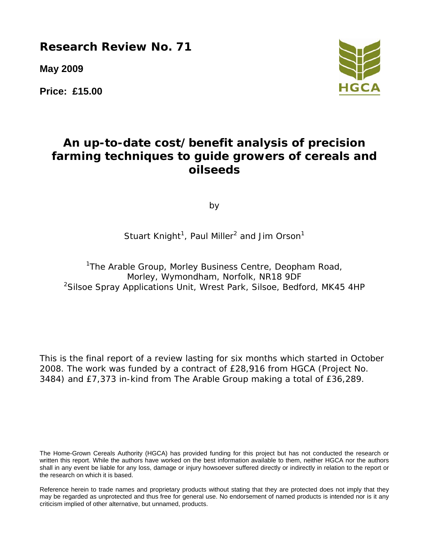**Research Review No. 71**

**May 2009** 

**Price: £15.00** 



# **An up-to-date cost/benefit analysis of precision farming techniques to guide growers of cereals and oilseeds**

by

Stuart Knight<sup>1</sup>, Paul Miller<sup>2</sup> and Jim Orson<sup>1</sup>

<sup>1</sup>The Arable Group, Morley Business Centre, Deopham Road, Morley, Wymondham, Norfolk, NR18 9DF <sup>2</sup>Silsoe Spray Applications Unit, Wrest Park, Silsoe, Bedford, MK45 4HP

This is the final report of a review lasting for six months which started in October 2008. The work was funded by a contract of £28,916 from HGCA (Project No. 3484) and £7,373 in-kind from The Arable Group making a total of £36,289.

The Home-Grown Cereals Authority (HGCA) has provided funding for this project but has not conducted the research or written this report. While the authors have worked on the best information available to them, neither HGCA nor the authors shall in any event be liable for any loss, damage or injury howsoever suffered directly or indirectly in relation to the report or the research on which it is based.

Reference herein to trade names and proprietary products without stating that they are protected does not imply that they may be regarded as unprotected and thus free for general use. No endorsement of named products is intended nor is it any criticism implied of other alternative, but unnamed, products.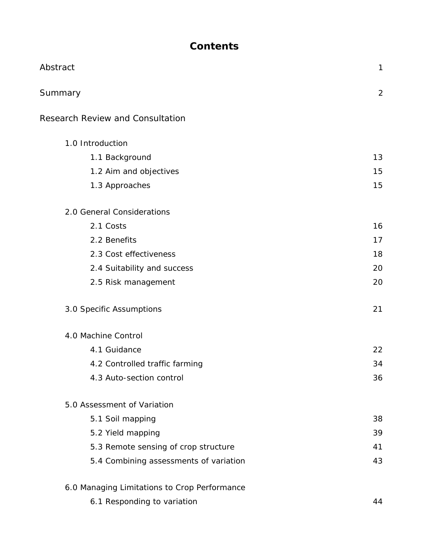# **Contents**

| Abstract                                     | 1  |
|----------------------------------------------|----|
| Summary                                      | 2  |
| <b>Research Review and Consultation</b>      |    |
| 1.0 Introduction                             |    |
| 1.1 Background                               | 13 |
| 1.2 Aim and objectives                       | 15 |
| 1.3 Approaches                               | 15 |
| 2.0 General Considerations                   |    |
| 2.1 Costs                                    | 16 |
| 2.2 Benefits                                 | 17 |
| 2.3 Cost effectiveness                       | 18 |
| 2.4 Suitability and success                  | 20 |
| 2.5 Risk management                          | 20 |
| 3.0 Specific Assumptions                     | 21 |
| 4.0 Machine Control                          |    |
| 4.1 Guidance                                 | 22 |
| 4.2 Controlled traffic farming               | 34 |
| 4.3 Auto-section control                     | 36 |
| 5.0 Assessment of Variation                  |    |
| 5.1 Soil mapping                             | 38 |
| 5.2 Yield mapping                            | 39 |
| 5.3 Remote sensing of crop structure         | 41 |
| 5.4 Combining assessments of variation       | 43 |
| 6.0 Managing Limitations to Crop Performance |    |

6.1 Responding to variation **44**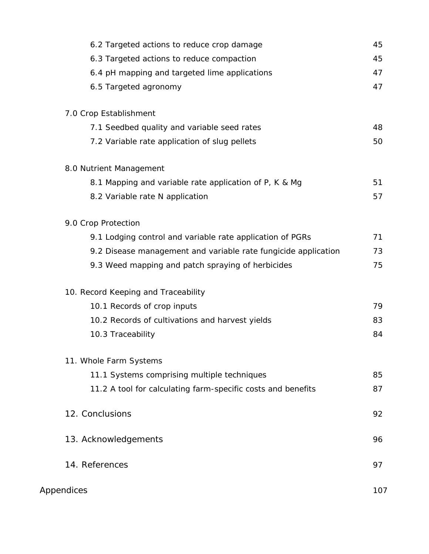| 6.2 Targeted actions to reduce crop damage                     | 45  |
|----------------------------------------------------------------|-----|
| 6.3 Targeted actions to reduce compaction                      | 45  |
| 6.4 pH mapping and targeted lime applications                  | 47  |
| 6.5 Targeted agronomy                                          | 47  |
| 7.0 Crop Establishment                                         |     |
| 7.1 Seedbed quality and variable seed rates                    | 48  |
| 7.2 Variable rate application of slug pellets                  | 50  |
| 8.0 Nutrient Management                                        |     |
| 8.1 Mapping and variable rate application of P, K & Mg         | 51  |
| 8.2 Variable rate N application                                | 57  |
| 9.0 Crop Protection                                            |     |
| 9.1 Lodging control and variable rate application of PGRs      | 71  |
| 9.2 Disease management and variable rate fungicide application | 73  |
| 9.3 Weed mapping and patch spraying of herbicides              | 75  |
| 10. Record Keeping and Traceability                            |     |
| 10.1 Records of crop inputs                                    | 79  |
| 10.2 Records of cultivations and harvest yields                | 83  |
| 10.3 Traceability                                              | 84  |
| 11. Whole Farm Systems                                         |     |
| 11.1 Systems comprising multiple techniques                    | 85  |
| 11.2 A tool for calculating farm-specific costs and benefits   | 87  |
| 12. Conclusions                                                | 92  |
| 13. Acknowledgements                                           | 96  |
| 14. References                                                 | 97  |
| Appendices                                                     | 107 |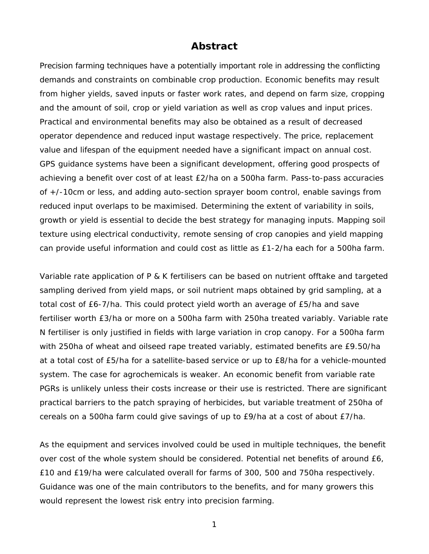## **Abstract**

Precision farming techniques have a potentially important role in addressing the conflicting demands and constraints on combinable crop production. Economic benefits may result from higher yields, saved inputs or faster work rates, and depend on farm size, cropping and the amount of soil, crop or yield variation as well as crop values and input prices. Practical and environmental benefits may also be obtained as a result of decreased operator dependence and reduced input wastage respectively. The price, replacement value and lifespan of the equipment needed have a significant impact on annual cost. GPS guidance systems have been a significant development, offering good prospects of achieving a benefit over cost of at least £2/ha on a 500ha farm. Pass-to-pass accuracies of +/-10cm or less, and adding auto-section sprayer boom control, enable savings from reduced input overlaps to be maximised. Determining the extent of variability in soils, growth or yield is essential to decide the best strategy for managing inputs. Mapping soil texture using electrical conductivity, remote sensing of crop canopies and yield mapping can provide useful information and could cost as little as £1-2/ha each for a 500ha farm.

Variable rate application of P & K fertilisers can be based on nutrient offtake and targeted sampling derived from yield maps, or soil nutrient maps obtained by grid sampling, at a total cost of £6-7/ha. This could protect yield worth an average of £5/ha and save fertiliser worth £3/ha or more on a 500ha farm with 250ha treated variably. Variable rate N fertiliser is only justified in fields with large variation in crop canopy. For a 500ha farm with 250ha of wheat and oilseed rape treated variably, estimated benefits are £9.50/ha at a total cost of £5/ha for a satellite-based service or up to £8/ha for a vehicle-mounted system. The case for agrochemicals is weaker. An economic benefit from variable rate PGRs is unlikely unless their costs increase or their use is restricted. There are significant practical barriers to the patch spraying of herbicides, but variable treatment of 250ha of cereals on a 500ha farm could give savings of up to £9/ha at a cost of about £7/ha.

As the equipment and services involved could be used in multiple techniques, the benefit over cost of the whole system should be considered. Potential net benefits of around £6, £10 and £19/ha were calculated overall for farms of 300, 500 and 750ha respectively. Guidance was one of the main contributors to the benefits, and for many growers this would represent the lowest risk entry into precision farming.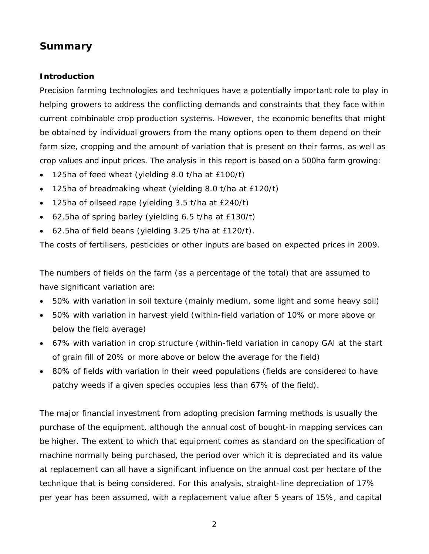# **Summary**

## **Introduction**

Precision farming technologies and techniques have a potentially important role to play in helping growers to address the conflicting demands and constraints that they face within current combinable crop production systems. However, the economic benefits that might be obtained by individual growers from the many options open to them depend on their farm size, cropping and the amount of variation that is present on their farms, as well as crop values and input prices. The analysis in this report is based on a 500ha farm growing:

- 125ha of feed wheat (yielding 8.0 t/ha at £100/t)
- 125ha of breadmaking wheat (yielding 8.0 t/ha at £120/t)
- 125ha of oilseed rape (yielding 3.5 t/ha at £240/t)
- 62.5ha of spring barley (yielding 6.5 t/ha at £130/t)
- 62.5ha of field beans (yielding 3.25 t/ha at £120/t).

The costs of fertilisers, pesticides or other inputs are based on expected prices in 2009.

The numbers of fields on the farm (as a percentage of the total) that are assumed to have significant variation are:

- 50% with variation in soil texture (mainly medium, some light and some heavy soil)
- 50% with variation in harvest yield (within-field variation of 10% or more above or below the field average)
- 67% with variation in crop structure (within-field variation in canopy GAI at the start of grain fill of 20% or more above or below the average for the field)
- 80% of fields with variation in their weed populations (fields are considered to have patchy weeds if a given species occupies less than 67% of the field).

The major financial investment from adopting precision farming methods is usually the purchase of the equipment, although the annual cost of bought-in mapping services can be higher. The extent to which that equipment comes as standard on the specification of machine normally being purchased, the period over which it is depreciated and its value at replacement can all have a significant influence on the annual cost per hectare of the technique that is being considered. For this analysis, straight-line depreciation of 17% per year has been assumed, with a replacement value after 5 years of 15%, and capital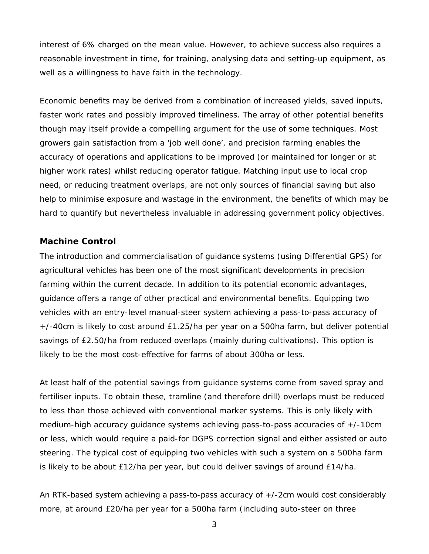interest of 6% charged on the mean value. However, to achieve success also requires a reasonable investment in time, for training, analysing data and setting-up equipment, as well as a willingness to have faith in the technology.

Economic benefits may be derived from a combination of increased yields, saved inputs, faster work rates and possibly improved timeliness. The array of other potential benefits though may itself provide a compelling argument for the use of some techniques. Most growers gain satisfaction from a 'job well done', and precision farming enables the accuracy of operations and applications to be improved (or maintained for longer or at higher work rates) whilst reducing operator fatigue. Matching input use to local crop need, or reducing treatment overlaps, are not only sources of financial saving but also help to minimise exposure and wastage in the environment, the benefits of which may be hard to quantify but nevertheless invaluable in addressing government policy objectives.

## **Machine Control**

The introduction and commercialisation of guidance systems (using Differential GPS) for agricultural vehicles has been one of the most significant developments in precision farming within the current decade. In addition to its potential economic advantages, guidance offers a range of other practical and environmental benefits. Equipping two vehicles with an entry-level manual-steer system achieving a pass-to-pass accuracy of +/-40cm is likely to cost around £1.25/ha per year on a 500ha farm, but deliver potential savings of £2.50/ha from reduced overlaps (mainly during cultivations). This option is likely to be the most cost-effective for farms of about 300ha or less.

At least half of the potential savings from guidance systems come from saved spray and fertiliser inputs. To obtain these, tramline (and therefore drill) overlaps must be reduced to less than those achieved with conventional marker systems. This is only likely with medium-high accuracy guidance systems achieving pass-to-pass accuracies of +/-10cm or less, which would require a paid-for DGPS correction signal and either assisted or auto steering. The typical cost of equipping two vehicles with such a system on a 500ha farm is likely to be about £12/ha per year, but could deliver savings of around £14/ha.

An RTK-based system achieving a pass-to-pass accuracy of +/-2cm would cost considerably more, at around £20/ha per year for a 500ha farm (including auto-steer on three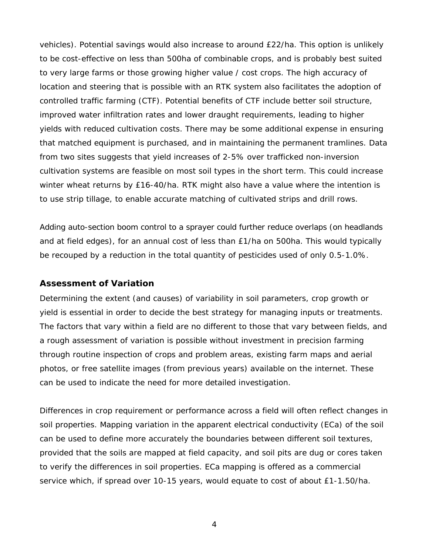vehicles). Potential savings would also increase to around £22/ha. This option is unlikely to be cost-effective on less than 500ha of combinable crops, and is probably best suited to very large farms or those growing higher value / cost crops. The high accuracy of location and steering that is possible with an RTK system also facilitates the adoption of controlled traffic farming (CTF). Potential benefits of CTF include better soil structure, improved water infiltration rates and lower draught requirements, leading to higher yields with reduced cultivation costs. There may be some additional expense in ensuring that matched equipment is purchased, and in maintaining the permanent tramlines. Data from two sites suggests that yield increases of 2-5% over trafficked non-inversion cultivation systems are feasible on most soil types in the short term. This could increase winter wheat returns by £16-40/ha. RTK might also have a value where the intention is to use strip tillage, to enable accurate matching of cultivated strips and drill rows.

Adding auto-section boom control to a sprayer could further reduce overlaps (on headlands and at field edges), for an annual cost of less than £1/ha on 500ha. This would typically be recouped by a reduction in the total quantity of pesticides used of only 0.5-1.0%.

### **Assessment of Variation**

Determining the extent (and causes) of variability in soil parameters, crop growth or yield is essential in order to decide the best strategy for managing inputs or treatments. The factors that vary within a field are no different to those that vary between fields, and a rough assessment of variation is possible without investment in precision farming through routine inspection of crops and problem areas, existing farm maps and aerial photos, or free satellite images (from previous years) available on the internet. These can be used to indicate the need for more detailed investigation.

Differences in crop requirement or performance across a field will often reflect changes in soil properties. Mapping variation in the apparent electrical conductivity (ECa) of the soil can be used to define more accurately the boundaries between different soil textures, provided that the soils are mapped at field capacity, and soil pits are dug or cores taken to verify the differences in soil properties. ECa mapping is offered as a commercial service which, if spread over 10-15 years, would equate to cost of about £1-1.50/ha.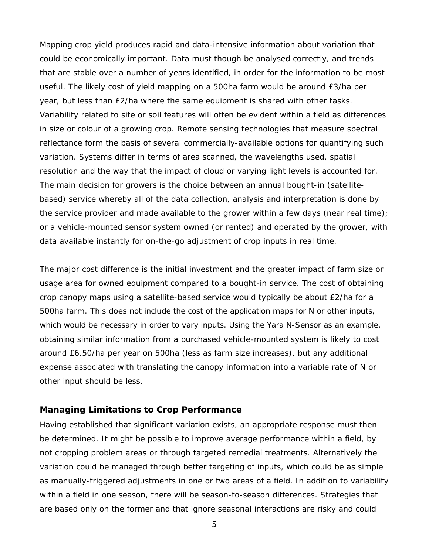Mapping crop yield produces rapid and data-intensive information about variation that could be economically important. Data must though be analysed correctly, and trends that are stable over a number of years identified, in order for the information to be most useful. The likely cost of yield mapping on a 500ha farm would be around £3/ha per year, but less than £2/ha where the same equipment is shared with other tasks. Variability related to site or soil features will often be evident within a field as differences in size or colour of a growing crop. Remote sensing technologies that measure spectral reflectance form the basis of several commercially-available options for quantifying such variation. Systems differ in terms of area scanned, the wavelengths used, spatial resolution and the way that the impact of cloud or varying light levels is accounted for. The main decision for growers is the choice between an annual bought-in (satellitebased) service whereby all of the data collection, analysis and interpretation is done by the service provider and made available to the grower within a few days (near real time); or a vehicle-mounted sensor system owned (or rented) and operated by the grower, with data available instantly for on-the-go adjustment of crop inputs in real time.

The major cost difference is the initial investment and the greater impact of farm size or usage area for owned equipment compared to a bought-in service. The cost of obtaining crop canopy maps using a satellite-based service would typically be about £2/ha for a 500ha farm. This does not include the cost of the application maps for N or other inputs, which would be necessary in order to vary inputs. Using the Yara N-Sensor as an example, obtaining similar information from a purchased vehicle-mounted system is likely to cost around £6.50/ha per year on 500ha (less as farm size increases), but any additional expense associated with translating the canopy information into a variable rate of N or other input should be less.

#### **Managing Limitations to Crop Performance**

Having established that significant variation exists, an appropriate response must then be determined. It might be possible to improve average performance within a field, by not cropping problem areas or through targeted remedial treatments. Alternatively the variation could be managed through better targeting of inputs, which could be as simple as manually-triggered adjustments in one or two areas of a field. In addition to variability within a field in one season, there will be season-to-season differences. Strategies that are based only on the former and that ignore seasonal interactions are risky and could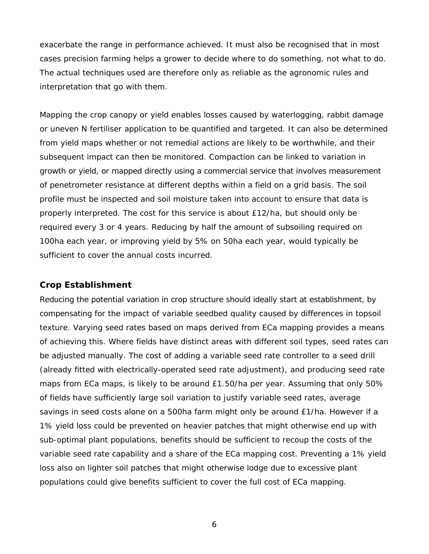exacerbate the range in performance achieved. It must also be recognised that in most cases precision farming helps a grower to decide where to do something, not what to do. The actual techniques used are therefore only as reliable as the agronomic rules and interpretation that go with them.

Mapping the crop canopy or yield enables losses caused by waterlogging, rabbit damage or uneven N fertiliser application to be quantified and targeted. It can also be determined from yield maps whether or not remedial actions are likely to be worthwhile, and their subsequent impact can then be monitored. Compaction can be linked to variation in growth or yield, or mapped directly using a commercial service that involves measurement of penetrometer resistance at different depths within a field on a grid basis. The soil profile must be inspected and soil moisture taken into account to ensure that data is properly interpreted. The cost for this service is about £12/ha, but should only be required every 3 or 4 years. Reducing by half the amount of subsoiling required on 100ha each year, or improving yield by 5% on 50ha each year, would typically be sufficient to cover the annual costs incurred.

### **Crop Establishment**

Reducing the potential variation in crop structure should ideally start at establishment, by compensating for the impact of variable seedbed quality caused by differences in topsoil texture. Varying seed rates based on maps derived from ECa mapping provides a means of achieving this. Where fields have distinct areas with different soil types, seed rates can be adjusted manually. The cost of adding a variable seed rate controller to a seed drill (already fitted with electrically-operated seed rate adjustment), and producing seed rate maps from ECa maps, is likely to be around £1.50/ha per year. Assuming that only 50% of fields have sufficiently large soil variation to justify variable seed rates, average savings in seed costs alone on a 500ha farm might only be around £1/ha. However if a 1% yield loss could be prevented on heavier patches that might otherwise end up with sub-optimal plant populations, benefits should be sufficient to recoup the costs of the variable seed rate capability and a share of the ECa mapping cost. Preventing a 1% yield loss also on lighter soil patches that might otherwise lodge due to excessive plant populations could give benefits sufficient to cover the full cost of ECa mapping.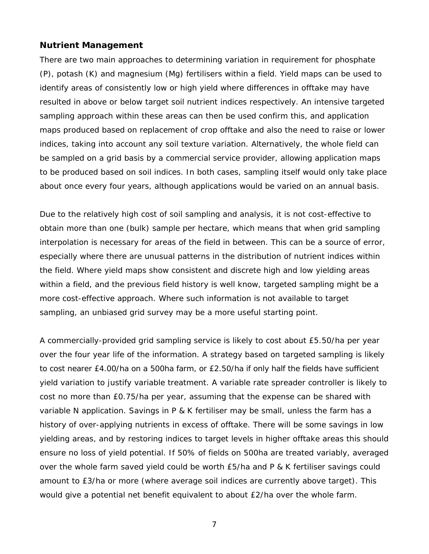### **Nutrient Management**

There are two main approaches to determining variation in requirement for phosphate (P), potash (K) and magnesium (Mg) fertilisers within a field. Yield maps can be used to identify areas of consistently low or high yield where differences in offtake may have resulted in above or below target soil nutrient indices respectively. An intensive targeted sampling approach within these areas can then be used confirm this, and application maps produced based on replacement of crop offtake and also the need to raise or lower indices, taking into account any soil texture variation. Alternatively, the whole field can be sampled on a grid basis by a commercial service provider, allowing application maps to be produced based on soil indices. In both cases, sampling itself would only take place about once every four years, although applications would be varied on an annual basis.

Due to the relatively high cost of soil sampling and analysis, it is not cost-effective to obtain more than one (bulk) sample per hectare, which means that when grid sampling interpolation is necessary for areas of the field in between. This can be a source of error, especially where there are unusual patterns in the distribution of nutrient indices within the field. Where yield maps show consistent and discrete high and low yielding areas within a field, and the previous field history is well know, targeted sampling might be a more cost-effective approach. Where such information is not available to target sampling, an unbiased grid survey may be a more useful starting point.

A commercially-provided grid sampling service is likely to cost about £5.50/ha per year over the four year life of the information. A strategy based on targeted sampling is likely to cost nearer £4.00/ha on a 500ha farm, or £2.50/ha if only half the fields have sufficient yield variation to justify variable treatment. A variable rate spreader controller is likely to cost no more than £0.75/ha per year, assuming that the expense can be shared with variable N application. Savings in P & K fertiliser may be small, unless the farm has a history of over-applying nutrients in excess of offtake. There will be some savings in low yielding areas, and by restoring indices to target levels in higher offtake areas this should ensure no loss of yield potential. If 50% of fields on 500ha are treated variably, averaged over the whole farm saved yield could be worth £5/ha and P & K fertiliser savings could amount to £3/ha or more (where average soil indices are currently above target). This would give a potential net benefit equivalent to about £2/ha over the whole farm.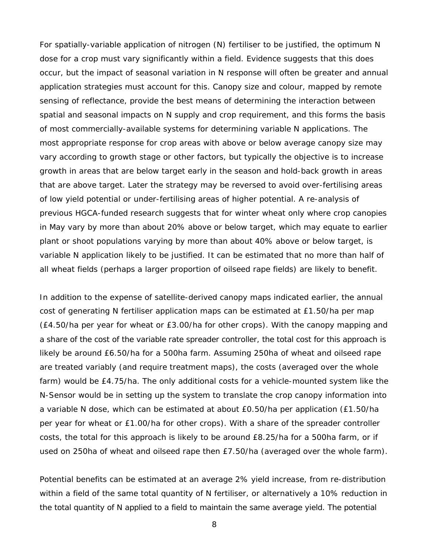For spatially-variable application of nitrogen (N) fertiliser to be justified, the optimum N dose for a crop must vary significantly within a field. Evidence suggests that this does occur, but the impact of seasonal variation in N response will often be greater and annual application strategies must account for this. Canopy size and colour, mapped by remote sensing of reflectance, provide the best means of determining the interaction between spatial and seasonal impacts on N supply and crop requirement, and this forms the basis of most commercially-available systems for determining variable N applications. The most appropriate response for crop areas with above or below average canopy size may vary according to growth stage or other factors, but typically the objective is to increase growth in areas that are below target early in the season and hold-back growth in areas that are above target. Later the strategy may be reversed to avoid over-fertilising areas of low yield potential or under-fertilising areas of higher potential. A re-analysis of previous HGCA-funded research suggests that for winter wheat only where crop canopies in May vary by more than about 20% above or below target, which may equate to earlier plant or shoot populations varying by more than about 40% above or below target, is variable N application likely to be justified. It can be estimated that no more than half of all wheat fields (perhaps a larger proportion of oilseed rape fields) are likely to benefit.

In addition to the expense of satellite-derived canopy maps indicated earlier, the annual cost of generating N fertiliser application maps can be estimated at £1.50/ha per map (£4.50/ha per year for wheat or £3.00/ha for other crops). With the canopy mapping and a share of the cost of the variable rate spreader controller, the total cost for this approach is likely be around £6.50/ha for a 500ha farm. Assuming 250ha of wheat and oilseed rape are treated variably (and require treatment maps), the costs (averaged over the whole farm) would be £4.75/ha. The only additional costs for a vehicle-mounted system like the N-Sensor would be in setting up the system to translate the crop canopy information into a variable N dose, which can be estimated at about £0.50/ha per application (£1.50/ha per year for wheat or £1.00/ha for other crops). With a share of the spreader controller costs, the total for this approach is likely to be around £8.25/ha for a 500ha farm, or if used on 250ha of wheat and oilseed rape then £7.50/ha (averaged over the whole farm).

Potential benefits can be estimated at an average 2% yield increase, from re-distribution within a field of the same total quantity of N fertiliser, or alternatively a 10% reduction in the total quantity of N applied to a field to maintain the same average yield. The potential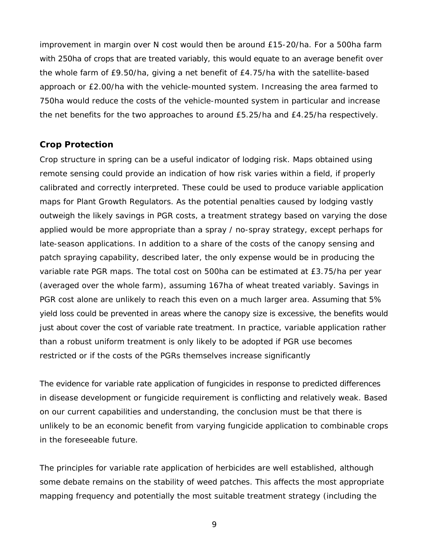improvement in margin over N cost would then be around £15-20/ha. For a 500ha farm with 250ha of crops that are treated variably, this would equate to an average benefit over the whole farm of £9.50/ha, giving a net benefit of £4.75/ha with the satellite-based approach or £2.00/ha with the vehicle-mounted system. Increasing the area farmed to 750ha would reduce the costs of the vehicle-mounted system in particular and increase the net benefits for the two approaches to around £5.25/ha and £4.25/ha respectively.

## **Crop Protection**

Crop structure in spring can be a useful indicator of lodging risk. Maps obtained using remote sensing could provide an indication of how risk varies within a field, if properly calibrated and correctly interpreted. These could be used to produce variable application maps for Plant Growth Regulators. As the potential penalties caused by lodging vastly outweigh the likely savings in PGR costs, a treatment strategy based on varying the dose applied would be more appropriate than a spray / no-spray strategy, except perhaps for late-season applications. In addition to a share of the costs of the canopy sensing and patch spraying capability, described later, the only expense would be in producing the variable rate PGR maps. The total cost on 500ha can be estimated at £3.75/ha per year (averaged over the whole farm), assuming 167ha of wheat treated variably. Savings in PGR cost alone are unlikely to reach this even on a much larger area. Assuming that 5% yield loss could be prevented in areas where the canopy size is excessive, the benefits would just about cover the cost of variable rate treatment. In practice, variable application rather than a robust uniform treatment is only likely to be adopted if PGR use becomes restricted or if the costs of the PGRs themselves increase significantly

The evidence for variable rate application of fungicides in response to predicted differences in disease development or fungicide requirement is conflicting and relatively weak. Based on our current capabilities and understanding, the conclusion must be that there is unlikely to be an economic benefit from varying fungicide application to combinable crops in the foreseeable future.

The principles for variable rate application of herbicides are well established, although some debate remains on the stability of weed patches. This affects the most appropriate mapping frequency and potentially the most suitable treatment strategy (including the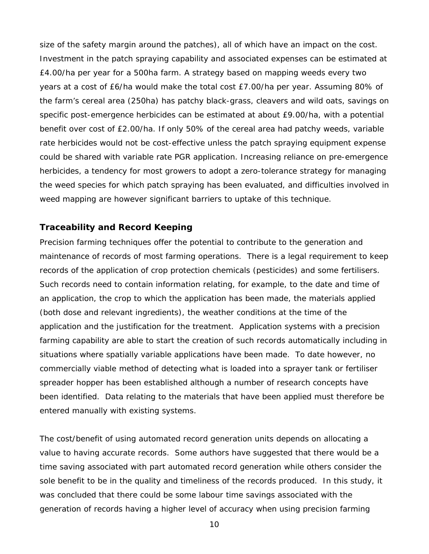size of the safety margin around the patches), all of which have an impact on the cost. Investment in the patch spraying capability and associated expenses can be estimated at £4.00/ha per year for a 500ha farm. A strategy based on mapping weeds every two years at a cost of £6/ha would make the total cost £7.00/ha per year. Assuming 80% of the farm's cereal area (250ha) has patchy black-grass, cleavers and wild oats, savings on specific post-emergence herbicides can be estimated at about £9.00/ha, with a potential benefit over cost of £2.00/ha. If only 50% of the cereal area had patchy weeds, variable rate herbicides would not be cost-effective unless the patch spraying equipment expense could be shared with variable rate PGR application. Increasing reliance on pre-emergence herbicides, a tendency for most growers to adopt a zero-tolerance strategy for managing the weed species for which patch spraying has been evaluated, and difficulties involved in weed mapping are however significant barriers to uptake of this technique.

## **Traceability and Record Keeping**

Precision farming techniques offer the potential to contribute to the generation and maintenance of records of most farming operations. There is a legal requirement to keep records of the application of crop protection chemicals (pesticides) and some fertilisers. Such records need to contain information relating, for example, to the date and time of an application, the crop to which the application has been made, the materials applied (both dose and relevant ingredients), the weather conditions at the time of the application and the justification for the treatment. Application systems with a precision farming capability are able to start the creation of such records automatically including in situations where spatially variable applications have been made. To date however, no commercially viable method of detecting what is loaded into a sprayer tank or fertiliser spreader hopper has been established although a number of research concepts have been identified. Data relating to the materials that have been applied must therefore be entered manually with existing systems.

The cost/benefit of using automated record generation units depends on allocating a value to having accurate records. Some authors have suggested that there would be a time saving associated with part automated record generation while others consider the sole benefit to be in the quality and timeliness of the records produced. In this study, it was concluded that there could be some labour time savings associated with the generation of records having a higher level of accuracy when using precision farming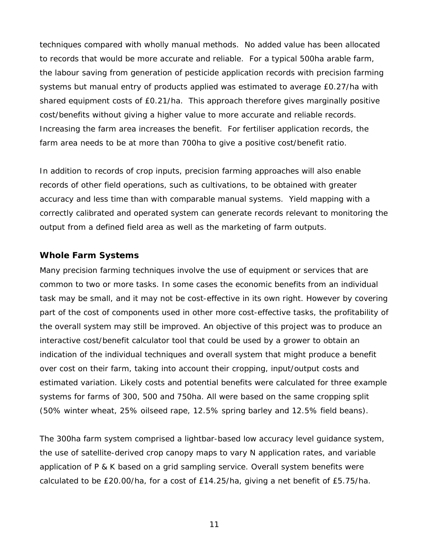techniques compared with wholly manual methods. No added value has been allocated to records that would be more accurate and reliable. For a typical 500ha arable farm, the labour saving from generation of pesticide application records with precision farming systems but manual entry of products applied was estimated to average £0.27/ha with shared equipment costs of £0.21/ha. This approach therefore gives marginally positive cost/benefits without giving a higher value to more accurate and reliable records. Increasing the farm area increases the benefit. For fertiliser application records, the farm area needs to be at more than 700ha to give a positive cost/benefit ratio.

In addition to records of crop inputs, precision farming approaches will also enable records of other field operations, such as cultivations, to be obtained with greater accuracy and less time than with comparable manual systems. Yield mapping with a correctly calibrated and operated system can generate records relevant to monitoring the output from a defined field area as well as the marketing of farm outputs.

### **Whole Farm Systems**

Many precision farming techniques involve the use of equipment or services that are common to two or more tasks. In some cases the economic benefits from an individual task may be small, and it may not be cost-effective in its own right. However by covering part of the cost of components used in other more cost-effective tasks, the profitability of the overall system may still be improved. An objective of this project was to produce an interactive cost/benefit calculator tool that could be used by a grower to obtain an indication of the individual techniques and overall system that might produce a benefit over cost on their farm, taking into account their cropping, input/output costs and estimated variation. Likely costs and potential benefits were calculated for three example systems for farms of 300, 500 and 750ha. All were based on the same cropping split (50% winter wheat, 25% oilseed rape, 12.5% spring barley and 12.5% field beans).

The 300ha farm system comprised a lightbar-based low accuracy level guidance system, the use of satellite-derived crop canopy maps to vary N application rates, and variable application of P & K based on a grid sampling service. Overall system benefits were calculated to be £20.00/ha, for a cost of £14.25/ha, giving a net benefit of £5.75/ha.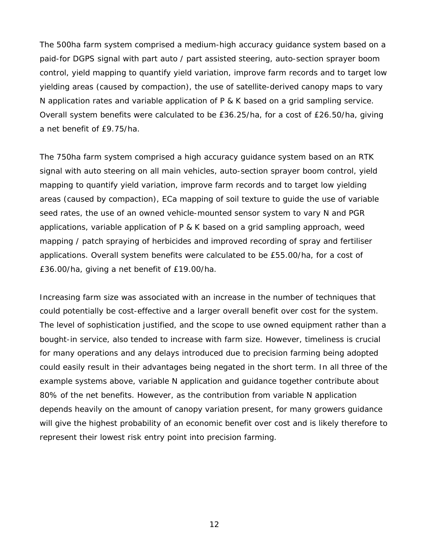The 500ha farm system comprised a medium-high accuracy guidance system based on a paid-for DGPS signal with part auto / part assisted steering, auto-section sprayer boom control, yield mapping to quantify yield variation, improve farm records and to target low yielding areas (caused by compaction), the use of satellite-derived canopy maps to vary N application rates and variable application of P & K based on a grid sampling service. Overall system benefits were calculated to be £36.25/ha, for a cost of £26.50/ha, giving a net benefit of £9.75/ha.

The 750ha farm system comprised a high accuracy guidance system based on an RTK signal with auto steering on all main vehicles, auto-section sprayer boom control, yield mapping to quantify yield variation, improve farm records and to target low yielding areas (caused by compaction), ECa mapping of soil texture to guide the use of variable seed rates, the use of an owned vehicle-mounted sensor system to vary N and PGR applications, variable application of P & K based on a grid sampling approach, weed mapping / patch spraying of herbicides and improved recording of spray and fertiliser applications. Overall system benefits were calculated to be £55.00/ha, for a cost of £36.00/ha, giving a net benefit of £19.00/ha.

Increasing farm size was associated with an increase in the number of techniques that could potentially be cost-effective and a larger overall benefit over cost for the system. The level of sophistication justified, and the scope to use owned equipment rather than a bought-in service, also tended to increase with farm size. However, timeliness is crucial for many operations and any delays introduced due to precision farming being adopted could easily result in their advantages being negated in the short term. In all three of the example systems above, variable N application and guidance together contribute about 80% of the net benefits. However, as the contribution from variable N application depends heavily on the amount of canopy variation present, for many growers guidance will give the highest probability of an economic benefit over cost and is likely therefore to represent their lowest risk entry point into precision farming.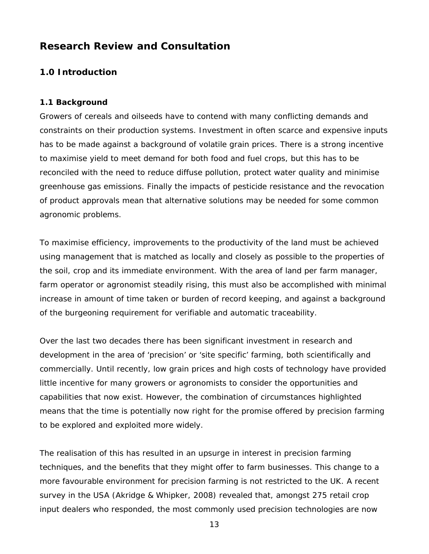# **Research Review and Consultation**

## **1.0 Introduction**

## **1.1 Background**

Growers of cereals and oilseeds have to contend with many conflicting demands and constraints on their production systems. Investment in often scarce and expensive inputs has to be made against a background of volatile grain prices. There is a strong incentive to maximise yield to meet demand for both food and fuel crops, but this has to be reconciled with the need to reduce diffuse pollution, protect water quality and minimise greenhouse gas emissions. Finally the impacts of pesticide resistance and the revocation of product approvals mean that alternative solutions may be needed for some common agronomic problems.

To maximise efficiency, improvements to the productivity of the land must be achieved using management that is matched as locally and closely as possible to the properties of the soil, crop and its immediate environment. With the area of land per farm manager, farm operator or agronomist steadily rising, this must also be accomplished with minimal increase in amount of time taken or burden of record keeping, and against a background of the burgeoning requirement for verifiable and automatic traceability.

Over the last two decades there has been significant investment in research and development in the area of 'precision' or 'site specific' farming, both scientifically and commercially. Until recently, low grain prices and high costs of technology have provided little incentive for many growers or agronomists to consider the opportunities and capabilities that now exist. However, the combination of circumstances highlighted means that the time is potentially now right for the promise offered by precision farming to be explored and exploited more widely.

The realisation of this has resulted in an upsurge in interest in precision farming techniques, and the benefits that they might offer to farm businesses. This change to a more favourable environment for precision farming is not restricted to the UK. A recent survey in the USA (Akridge & Whipker, 2008) revealed that, amongst 275 retail crop input dealers who responded, the most commonly used precision technologies are now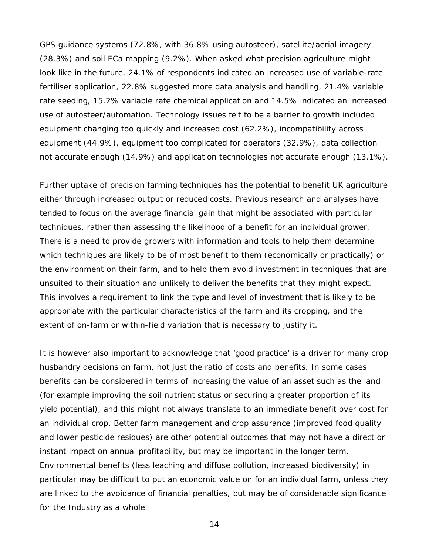GPS guidance systems (72.8%, with 36.8% using autosteer), satellite/aerial imagery (28.3%) and soil ECa mapping (9.2%). When asked what precision agriculture might look like in the future, 24.1% of respondents indicated an increased use of variable-rate fertiliser application, 22.8% suggested more data analysis and handling, 21.4% variable rate seeding, 15.2% variable rate chemical application and 14.5% indicated an increased use of autosteer/automation. Technology issues felt to be a barrier to growth included equipment changing too quickly and increased cost (62.2%), incompatibility across equipment (44.9%), equipment too complicated for operators (32.9%), data collection not accurate enough (14.9%) and application technologies not accurate enough (13.1%).

Further uptake of precision farming techniques has the potential to benefit UK agriculture either through increased output or reduced costs. Previous research and analyses have tended to focus on the average financial gain that might be associated with particular techniques, rather than assessing the likelihood of a benefit for an individual grower. There is a need to provide growers with information and tools to help them determine which techniques are likely to be of most benefit to them (economically or practically) or the environment on their farm, and to help them avoid investment in techniques that are unsuited to their situation and unlikely to deliver the benefits that they might expect. This involves a requirement to link the type and level of investment that is likely to be appropriate with the particular characteristics of the farm and its cropping, and the extent of on-farm or within-field variation that is necessary to justify it.

It is however also important to acknowledge that 'good practice' is a driver for many crop husbandry decisions on farm, not just the ratio of costs and benefits. In some cases benefits can be considered in terms of increasing the value of an asset such as the land (for example improving the soil nutrient status or securing a greater proportion of its yield potential), and this might not always translate to an immediate benefit over cost for an individual crop. Better farm management and crop assurance (improved food quality and lower pesticide residues) are other potential outcomes that may not have a direct or instant impact on annual profitability, but may be important in the longer term. Environmental benefits (less leaching and diffuse pollution, increased biodiversity) in particular may be difficult to put an economic value on for an individual farm, unless they are linked to the avoidance of financial penalties, but may be of considerable significance for the Industry as a whole.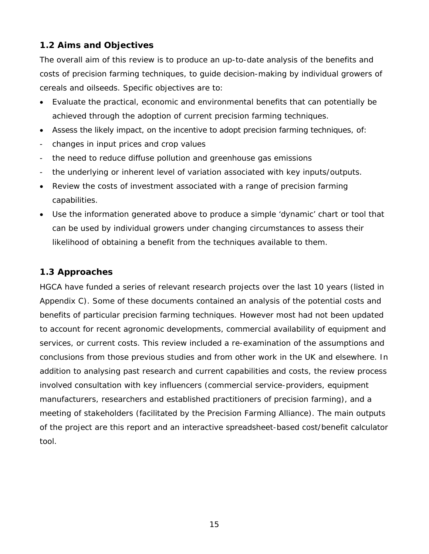## **1.2 Aims and Objectives**

The overall aim of this review is to produce an up-to-date analysis of the benefits and costs of precision farming techniques, to guide decision-making by individual growers of cereals and oilseeds. Specific objectives are to:

- Evaluate the practical, economic and environmental benefits that can potentially be achieved through the adoption of current precision farming techniques.
- Assess the likely impact, on the incentive to adopt precision farming techniques, of:
- changes in input prices and crop values
- the need to reduce diffuse pollution and greenhouse gas emissions
- the underlying or inherent level of variation associated with key inputs/outputs.
- Review the costs of investment associated with a range of precision farming capabilities.
- Use the information generated above to produce a simple 'dynamic' chart or tool that can be used by individual growers under changing circumstances to assess their likelihood of obtaining a benefit from the techniques available to them.

## **1.3 Approaches**

HGCA have funded a series of relevant research projects over the last 10 years (listed in Appendix C). Some of these documents contained an analysis of the potential costs and benefits of particular precision farming techniques. However most had not been updated to account for recent agronomic developments, commercial availability of equipment and services, or current costs. This review included a re-examination of the assumptions and conclusions from those previous studies and from other work in the UK and elsewhere. In addition to analysing past research and current capabilities and costs, the review process involved consultation with key influencers (commercial service-providers, equipment manufacturers, researchers and established practitioners of precision farming), and a meeting of stakeholders (facilitated by the Precision Farming Alliance). The main outputs of the project are this report and an interactive spreadsheet-based cost/benefit calculator tool.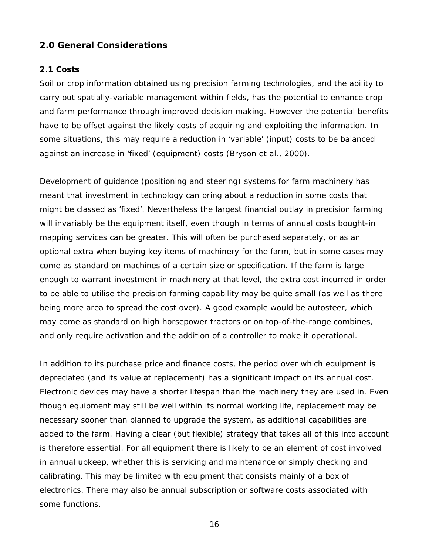## **2.0 General Considerations**

#### **2.1 Costs**

Soil or crop information obtained using precision farming technologies, and the ability to carry out spatially-variable management within fields, has the potential to enhance crop and farm performance through improved decision making. However the potential benefits have to be offset against the likely costs of acquiring and exploiting the information. In some situations, this may require a reduction in 'variable' (input) costs to be balanced against an increase in 'fixed' (equipment) costs (Bryson *et al.*, 2000).

Development of guidance (positioning and steering) systems for farm machinery has meant that investment in technology can bring about a reduction in some costs that might be classed as 'fixed'. Nevertheless the largest financial outlay in precision farming will invariably be the equipment itself, even though in terms of annual costs bought-in mapping services can be greater. This will often be purchased separately, or as an optional extra when buying key items of machinery for the farm, but in some cases may come as standard on machines of a certain size or specification. If the farm is large enough to warrant investment in machinery at that level, the extra cost incurred in order to be able to utilise the precision farming capability may be quite small (as well as there being more area to spread the cost over). A good example would be autosteer, which may come as standard on high horsepower tractors or on top-of-the-range combines, and only require activation and the addition of a controller to make it operational.

In addition to its purchase price and finance costs, the period over which equipment is depreciated (and its value at replacement) has a significant impact on its annual cost. Electronic devices may have a shorter lifespan than the machinery they are used in. Even though equipment may still be well within its normal working life, replacement may be necessary sooner than planned to upgrade the system, as additional capabilities are added to the farm. Having a clear (but flexible) strategy that takes all of this into account is therefore essential. For all equipment there is likely to be an element of cost involved in annual upkeep, whether this is servicing and maintenance or simply checking and calibrating. This may be limited with equipment that consists mainly of a box of electronics. There may also be annual subscription or software costs associated with some functions.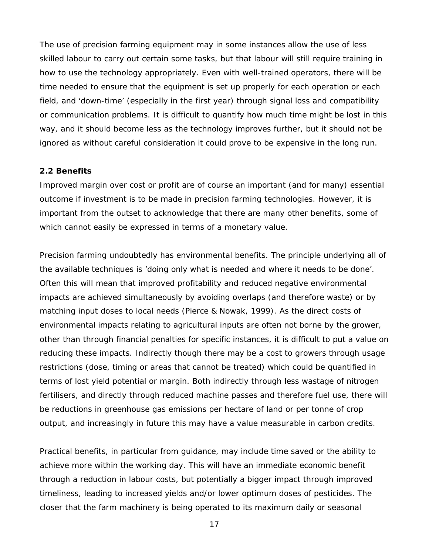The use of precision farming equipment may in some instances allow the use of less skilled labour to carry out certain some tasks, but that labour will still require training in how to use the technology appropriately. Even with well-trained operators, there will be time needed to ensure that the equipment is set up properly for each operation or each field, and 'down-time' (especially in the first year) through signal loss and compatibility or communication problems. It is difficult to quantify how much time might be lost in this way, and it should become less as the technology improves further, but it should not be ignored as without careful consideration it could prove to be expensive in the long run.

#### **2.2 Benefits**

Improved margin over cost or profit are of course an important (and for many) essential outcome if investment is to be made in precision farming technologies. However, it is important from the outset to acknowledge that there are many other benefits, some of which cannot easily be expressed in terms of a monetary value.

Precision farming undoubtedly has environmental benefits. The principle underlying all of the available techniques is 'doing only what is needed and where it needs to be done'. Often this will mean that improved profitability and reduced negative environmental impacts are achieved simultaneously by avoiding overlaps (and therefore waste) or by matching input doses to local needs (Pierce & Nowak, 1999). As the direct costs of environmental impacts relating to agricultural inputs are often not borne by the grower, other than through financial penalties for specific instances, it is difficult to put a value on reducing these impacts. Indirectly though there may be a cost to growers through usage restrictions (dose, timing or areas that cannot be treated) which could be quantified in terms of lost yield potential or margin. Both indirectly through less wastage of nitrogen fertilisers, and directly through reduced machine passes and therefore fuel use, there will be reductions in greenhouse gas emissions per hectare of land or per tonne of crop output, and increasingly in future this may have a value measurable in carbon credits.

Practical benefits, in particular from guidance, may include time saved or the ability to achieve more within the working day. This will have an immediate economic benefit through a reduction in labour costs, but potentially a bigger impact through improved timeliness, leading to increased yields and/or lower optimum doses of pesticides. The closer that the farm machinery is being operated to its maximum daily or seasonal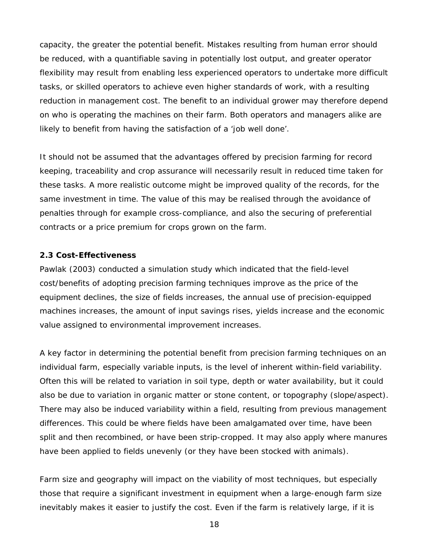capacity, the greater the potential benefit. Mistakes resulting from human error should be reduced, with a quantifiable saving in potentially lost output, and greater operator flexibility may result from enabling less experienced operators to undertake more difficult tasks, or skilled operators to achieve even higher standards of work, with a resulting reduction in management cost. The benefit to an individual grower may therefore depend on who is operating the machines on their farm. Both operators and managers alike are likely to benefit from having the satisfaction of a 'job well done'.

It should not be assumed that the advantages offered by precision farming for record keeping, traceability and crop assurance will necessarily result in reduced time taken for these tasks. A more realistic outcome might be improved quality of the records, for the same investment in time. The value of this may be realised through the avoidance of penalties through for example cross-compliance, and also the securing of preferential contracts or a price premium for crops grown on the farm.

#### **2.3 Cost-Effectiveness**

Pawlak (2003) conducted a simulation study which indicated that the field-level cost/benefits of adopting precision farming techniques improve as the price of the equipment declines, the size of fields increases, the annual use of precision-equipped machines increases, the amount of input savings rises, yields increase and the economic value assigned to environmental improvement increases.

A key factor in determining the potential benefit from precision farming techniques on an individual farm, especially variable inputs, is the level of inherent within-field variability. Often this will be related to variation in soil type, depth or water availability, but it could also be due to variation in organic matter or stone content, or topography (slope/aspect). There may also be induced variability within a field, resulting from previous management differences. This could be where fields have been amalgamated over time, have been split and then recombined, or have been strip-cropped. It may also apply where manures have been applied to fields unevenly (or they have been stocked with animals).

Farm size and geography will impact on the viability of most techniques, but especially those that require a significant investment in equipment when a large-enough farm size inevitably makes it easier to justify the cost. Even if the farm is relatively large, if it is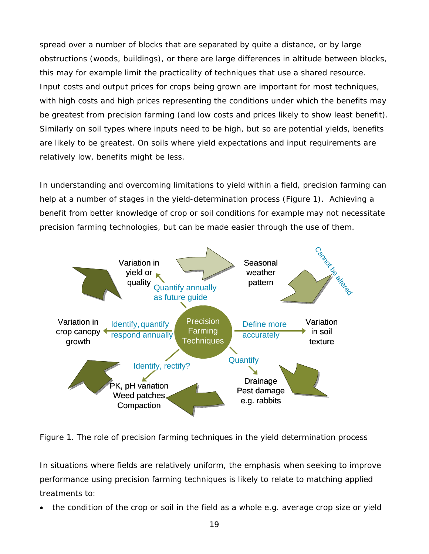spread over a number of blocks that are separated by quite a distance, or by large obstructions (woods, buildings), or there are large differences in altitude between blocks, this may for example limit the practicality of techniques that use a shared resource. Input costs and output prices for crops being grown are important for most techniques, with high costs and high prices representing the conditions under which the benefits may be greatest from precision farming (and low costs and prices likely to show least benefit). Similarly on soil types where inputs need to be high, but so are potential yields, benefits are likely to be greatest. On soils where yield expectations and input requirements are relatively low, benefits might be less.

In understanding and overcoming limitations to yield within a field, precision farming can help at a number of stages in the yield-determination process (Figure 1). Achieving a benefit from better knowledge of crop or soil conditions for example may not necessitate precision farming technologies, but can be made easier through the use of them.



Figure 1. The role of precision farming techniques in the yield determination process

In situations where fields are relatively uniform, the emphasis when seeking to improve performance using precision farming techniques is likely to relate to matching applied treatments to:

• the condition of the crop or soil in the field as a whole *e.g.* average crop size or yield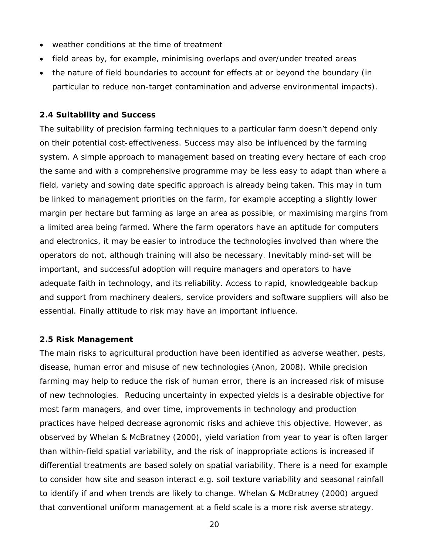- weather conditions at the time of treatment
- field areas by, for example, minimising overlaps and over/under treated areas
- the nature of field boundaries to account for effects at or beyond the boundary (in particular to reduce non-target contamination and adverse environmental impacts).

#### **2.4 Suitability and Success**

The suitability of precision farming techniques to a particular farm doesn't depend only on their potential cost-effectiveness. Success may also be influenced by the farming system. A simple approach to management based on treating every hectare of each crop the same and with a comprehensive programme may be less easy to adapt than where a field, variety and sowing date specific approach is already being taken. This may in turn be linked to management priorities on the farm, for example accepting a slightly lower margin per hectare but farming as large an area as possible, or maximising margins from a limited area being farmed. Where the farm operators have an aptitude for computers and electronics, it may be easier to introduce the technologies involved than where the operators do not, although training will also be necessary. Inevitably mind-set will be important, and successful adoption will require managers and operators to have adequate faith in technology, and its reliability. Access to rapid, knowledgeable backup and support from machinery dealers, service providers and software suppliers will also be essential. Finally attitude to risk may have an important influence.

#### **2.5 Risk Management**

The main risks to agricultural production have been identified as adverse weather, pests, disease, human error and misuse of new technologies (Anon, 2008). While precision farming may help to reduce the risk of human error, there is an increased risk of misuse of new technologies. Reducing uncertainty in expected yields is a desirable objective for most farm managers, and over time, improvements in technology and production practices have helped decrease agronomic risks and achieve this objective. However, as observed by Whelan & McBratney (2000), yield variation from year to year is often larger than within-field spatial variability, and the risk of inappropriate actions is increased if differential treatments are based solely on spatial variability. There is a need for example to consider how site and season interact *e.g.* soil texture variability and seasonal rainfall to identify if and when trends are likely to change. Whelan & McBratney (2000) argued that conventional uniform management at a field scale is a more risk averse strategy.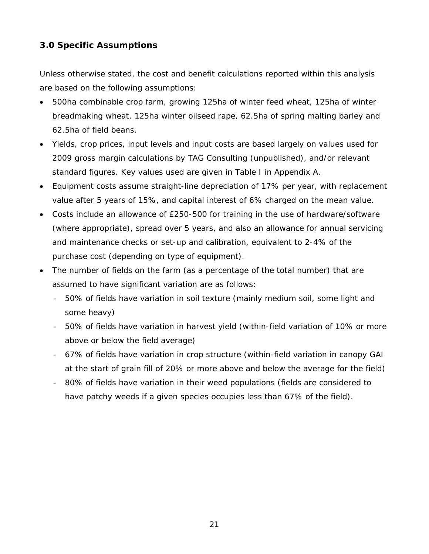## **3.0 Specific Assumptions**

Unless otherwise stated, the cost and benefit calculations reported within this analysis are based on the following assumptions:

- 500ha combinable crop farm, growing 125ha of winter feed wheat, 125ha of winter breadmaking wheat, 125ha winter oilseed rape, 62.5ha of spring malting barley and 62.5ha of field beans.
- Yields, crop prices, input levels and input costs are based largely on values used for 2009 gross margin calculations by TAG Consulting (unpublished), and/or relevant standard figures. Key values used are given in Table I in Appendix A.
- Equipment costs assume straight-line depreciation of 17% per year, with replacement value after 5 years of 15%, and capital interest of 6% charged on the mean value.
- Costs include an allowance of £250-500 for training in the use of hardware/software (where appropriate), spread over 5 years, and also an allowance for annual servicing and maintenance checks or set-up and calibration, equivalent to 2-4% of the purchase cost (depending on type of equipment).
- The number of fields on the farm (as a percentage of the total number) that are assumed to have significant variation are as follows:
	- 50% of fields have variation in soil texture (mainly medium soil, some light and some heavy)
	- 50% of fields have variation in harvest yield (within-field variation of 10% or more above or below the field average)
	- 67% of fields have variation in crop structure (within-field variation in canopy GAI at the start of grain fill of 20% or more above and below the average for the field)
	- 80% of fields have variation in their weed populations (fields are considered to have patchy weeds if a given species occupies less than 67% of the field).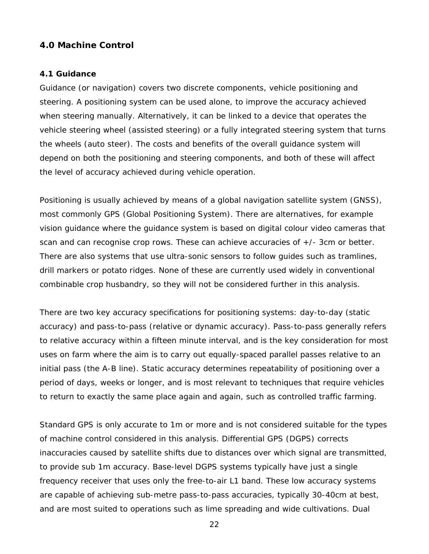## **4.0 Machine Control**

#### **4.1 Guidance**

Guidance (or navigation) covers two discrete components, vehicle positioning and steering. A positioning system can be used alone, to improve the accuracy achieved when steering manually. Alternatively, it can be linked to a device that operates the vehicle steering wheel (assisted steering) or a fully integrated steering system that turns the wheels (auto steer). The costs and benefits of the overall guidance system will depend on both the positioning and steering components, and both of these will affect the level of accuracy achieved during vehicle operation.

Positioning is usually achieved by means of a global navigation satellite system (GNSS), most commonly GPS (Global Positioning System). There are alternatives, for example vision guidance where the guidance system is based on digital colour video cameras that scan and can recognise crop rows. These can achieve accuracies of +/- 3cm or better. There are also systems that use ultra-sonic sensors to follow guides such as tramlines, drill markers or potato ridges. None of these are currently used widely in conventional combinable crop husbandry, so they will not be considered further in this analysis.

There are two key accuracy specifications for positioning systems: day-to-day (static accuracy) and pass-to-pass (relative or dynamic accuracy). Pass-to-pass generally refers to relative accuracy within a fifteen minute interval, and is the key consideration for most uses on farm where the aim is to carry out equally-spaced parallel passes relative to an initial pass (the A-B line). Static accuracy determines repeatability of positioning over a period of days, weeks or longer, and is most relevant to techniques that require vehicles to return to exactly the same place again and again, such as controlled traffic farming.

Standard GPS is only accurate to 1m or more and is not considered suitable for the types of machine control considered in this analysis. Differential GPS (DGPS) corrects inaccuracies caused by satellite shifts due to distances over which signal are transmitted, to provide sub 1m accuracy. Base-level DGPS systems typically have just a single frequency receiver that uses only the free-to-air L1 band. These low accuracy systems are capable of achieving sub-metre pass-to-pass accuracies, typically 30-40cm at best, and are most suited to operations such as lime spreading and wide cultivations. Dual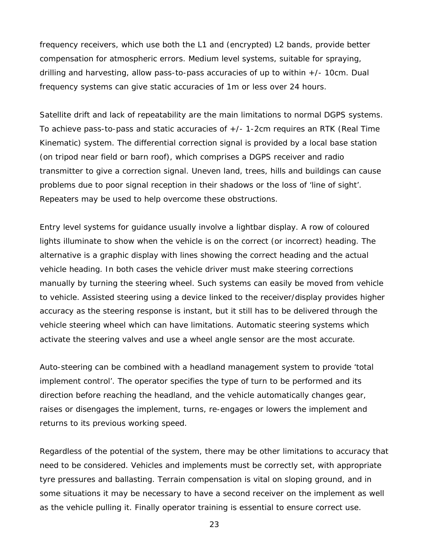frequency receivers, which use both the L1 and (encrypted) L2 bands, provide better compensation for atmospheric errors. Medium level systems, suitable for spraying, drilling and harvesting, allow pass-to-pass accuracies of up to within +/- 10cm. Dual frequency systems can give static accuracies of 1m or less over 24 hours.

Satellite drift and lack of repeatability are the main limitations to normal DGPS systems. To achieve pass-to-pass and static accuracies of +/- 1-2cm requires an RTK (Real Time Kinematic) system. The differential correction signal is provided by a local base station (on tripod near field or barn roof), which comprises a DGPS receiver and radio transmitter to give a correction signal. Uneven land, trees, hills and buildings can cause problems due to poor signal reception in their shadows or the loss of 'line of sight'. Repeaters may be used to help overcome these obstructions.

Entry level systems for guidance usually involve a lightbar display. A row of coloured lights illuminate to show when the vehicle is on the correct (or incorrect) heading. The alternative is a graphic display with lines showing the correct heading and the actual vehicle heading. In both cases the vehicle driver must make steering corrections manually by turning the steering wheel. Such systems can easily be moved from vehicle to vehicle. Assisted steering using a device linked to the receiver/display provides higher accuracy as the steering response is instant, but it still has to be delivered through the vehicle steering wheel which can have limitations. Automatic steering systems which activate the steering valves and use a wheel angle sensor are the most accurate.

Auto-steering can be combined with a headland management system to provide 'total implement control'. The operator specifies the type of turn to be performed and its direction before reaching the headland, and the vehicle automatically changes gear, raises or disengages the implement, turns, re-engages or lowers the implement and returns to its previous working speed.

Regardless of the potential of the system, there may be other limitations to accuracy that need to be considered. Vehicles and implements must be correctly set, with appropriate tyre pressures and ballasting. Terrain compensation is vital on sloping ground, and in some situations it may be necessary to have a second receiver on the implement as well as the vehicle pulling it. Finally operator training is essential to ensure correct use.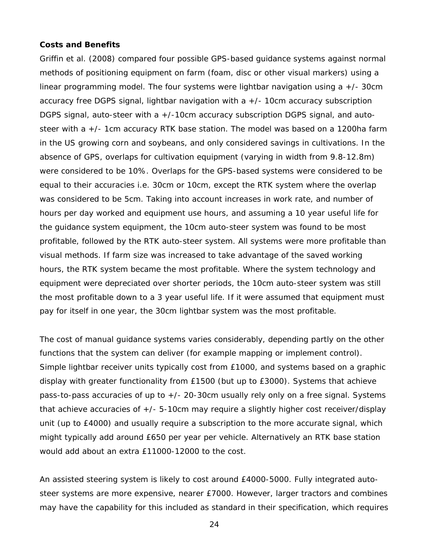#### **Costs and Benefits**

Griffin *et al.* (2008) compared four possible GPS-based guidance systems against normal methods of positioning equipment on farm (foam, disc or other visual markers) using a linear programming model. The four systems were lightbar navigation using  $a +/2$  30cm accuracy free DGPS signal, lightbar navigation with  $a +/10$ cm accuracy subscription DGPS signal, auto-steer with a +/-10cm accuracy subscription DGPS signal, and autosteer with a +/- 1cm accuracy RTK base station. The model was based on a 1200ha farm in the US growing corn and soybeans, and only considered savings in cultivations. In the absence of GPS, overlaps for cultivation equipment (varying in width from 9.8-12.8m) were considered to be 10%. Overlaps for the GPS-based systems were considered to be equal to their accuracies i.e. 30cm or 10cm, except the RTK system where the overlap was considered to be 5cm. Taking into account increases in work rate, and number of hours per day worked and equipment use hours, and assuming a 10 year useful life for the guidance system equipment, the 10cm auto-steer system was found to be most profitable, followed by the RTK auto-steer system. All systems were more profitable than visual methods. If farm size was increased to take advantage of the saved working hours, the RTK system became the most profitable. Where the system technology and equipment were depreciated over shorter periods, the 10cm auto-steer system was still the most profitable down to a 3 year useful life. If it were assumed that equipment must pay for itself in one year, the 30cm lightbar system was the most profitable.

The cost of manual guidance systems varies considerably, depending partly on the other functions that the system can deliver (for example mapping or implement control). Simple lightbar receiver units typically cost from £1000, and systems based on a graphic display with greater functionality from £1500 (but up to £3000). Systems that achieve pass-to-pass accuracies of up to +/- 20-30cm usually rely only on a free signal. Systems that achieve accuracies of +/- 5-10cm may require a slightly higher cost receiver/display unit (up to £4000) and usually require a subscription to the more accurate signal, which might typically add around £650 per year per vehicle. Alternatively an RTK base station would add about an extra £11000-12000 to the cost.

An assisted steering system is likely to cost around £4000-5000. Fully integrated autosteer systems are more expensive, nearer £7000. However, larger tractors and combines may have the capability for this included as standard in their specification, which requires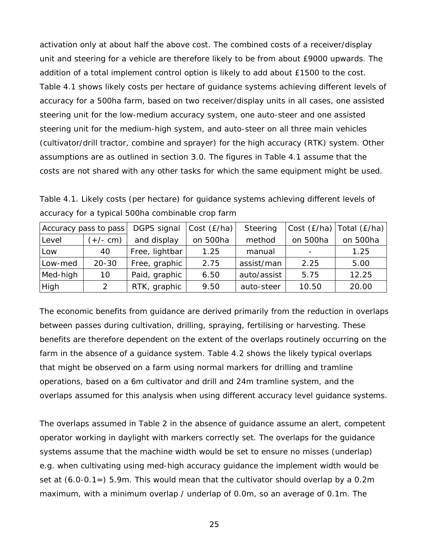activation only at about half the above cost. The combined costs of a receiver/display unit and steering for a vehicle are therefore likely to be from about £9000 upwards. The addition of a total implement control option is likely to add about £1500 to the cost. Table 4.1 shows likely costs per hectare of guidance systems achieving different levels of accuracy for a 500ha farm, based on two receiver/display units in all cases, one assisted steering unit for the low-medium accuracy system, one auto-steer and one assisted steering unit for the medium-high system, and auto-steer on all three main vehicles (cultivator/drill tractor, combine and sprayer) for the high accuracy (RTK) system. Other assumptions are as outlined in section 3.0. The figures in Table 4.1 assume that the costs are not shared with any other tasks for which the same equipment might be used.

Table 4.1. Likely costs (per hectare) for guidance systems achieving different levels of accuracy for a typical 500ha combinable crop farm

|          | Accuracy pass to pass | DGPS signal    | Cost $(E/ha)$ | Steering    |                          | Cost (£/ha)   Total (£/ha) |
|----------|-----------------------|----------------|---------------|-------------|--------------------------|----------------------------|
| Level    | $(+/- cm)$            | and display    | on 500ha      | method      | on 500ha                 | on 500ha                   |
| Low      | 40                    | Free, lightbar | 1.25          | manual      | $\overline{\phantom{0}}$ | 1.25                       |
| Low-med  | $20 - 30$             | Free, graphic  | 2.75          | assist/man  | 2.25                     | 5.00                       |
| Med-high | 10                    | Paid, graphic  | 6.50          | auto/assist | 5.75                     | 12.25                      |
| High     | 2                     | RTK, graphic   | 9.50          | auto-steer  | 10.50                    | 20.00                      |

The economic benefits from guidance are derived primarily from the reduction in overlaps between passes during cultivation, drilling, spraying, fertilising or harvesting. These benefits are therefore dependent on the extent of the overlaps routinely occurring on the farm in the absence of a guidance system. Table 4.2 shows the likely typical overlaps that might be observed on a farm using normal markers for drilling and tramline operations, based on a 6m cultivator and drill and 24m tramline system, and the overlaps assumed for this analysis when using different accuracy level guidance systems.

The overlaps assumed in Table 2 in the absence of guidance assume an alert, competent operator working in daylight with markers correctly set. The overlaps for the guidance systems assume that the machine width would be set to ensure no misses (underlap) e.g. when cultivating using med-high accuracy guidance the implement width would be set at (6.0-0.1=) 5.9m. This would mean that the cultivator should overlap by a 0.2m maximum, with a minimum overlap / underlap of 0.0m, so an average of 0.1m. The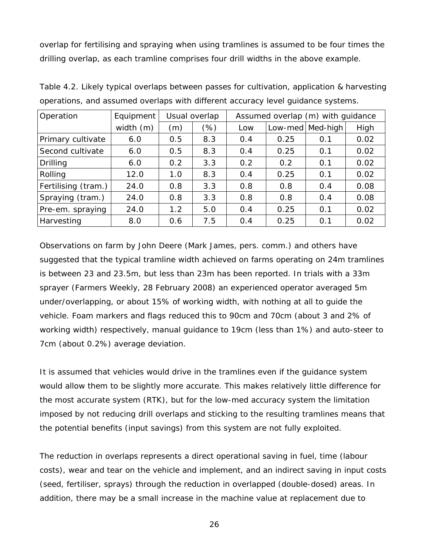overlap for fertilising and spraying when using tramlines is assumed to be four times the drilling overlap, as each tramline comprises four drill widths in the above example.

| Operation           | Equipment   |     | Usual overlap | Assumed overlap (m) with guidance |      |                  |      |
|---------------------|-------------|-----|---------------|-----------------------------------|------|------------------|------|
|                     | width $(m)$ | (m) | $(\%)$        | Low                               |      | Low-med Med-high | High |
| Primary cultivate   | 6.0         | 0.5 | 8.3           | 0.4                               | 0.25 | 0.1              | 0.02 |
| Second cultivate    | 6.0         | 0.5 | 8.3           | 0.4                               | 0.25 | 0.1              | 0.02 |
| <b>Drilling</b>     | 6.0         | 0.2 | 3.3           | 0.2                               | 0.2  | 0.1              | 0.02 |
| Rolling             | 12.0        | 1.0 | 8.3           | 0.4                               | 0.25 | 0.1              | 0.02 |
| Fertilising (tram.) | 24.0        | 0.8 | 3.3           | 0.8                               | 0.8  | 0.4              | 0.08 |
| Spraying (tram.)    | 24.0        | 0.8 | 3.3           | 0.8                               | 0.8  | 0.4              | 0.08 |
| Pre-em. spraying    | 24.0        | 1.2 | 5.0           | 0.4                               | 0.25 | 0.1              | 0.02 |
| Harvesting          | 8.0         | 0.6 | 7.5           | 0.4                               | 0.25 | 0.1              | 0.02 |

Table 4.2. Likely typical overlaps between passes for cultivation, application & harvesting operations, and assumed overlaps with different accuracy level guidance systems.

Observations on farm by John Deere (Mark James, pers. comm.) and others have suggested that the typical tramline width achieved on farms operating on 24m tramlines is between 23 and 23.5m, but less than 23m has been reported. In trials with a 33m sprayer (Farmers Weekly, 28 February 2008) an experienced operator averaged 5m under/overlapping, or about 15% of working width, with nothing at all to guide the vehicle. Foam markers and flags reduced this to 90cm and 70cm (about 3 and 2% of working width) respectively, manual guidance to 19cm (less than 1%) and auto-steer to 7cm (about 0.2%) average deviation.

It is assumed that vehicles would drive in the tramlines even if the guidance system would allow them to be slightly more accurate. This makes relatively little difference for the most accurate system (RTK), but for the low-med accuracy system the limitation imposed by not reducing drill overlaps and sticking to the resulting tramlines means that the potential benefits (input savings) from this system are not fully exploited.

The reduction in overlaps represents a direct operational saving in fuel, time (labour costs), wear and tear on the vehicle and implement, and an indirect saving in input costs (seed, fertiliser, sprays) through the reduction in overlapped (double-dosed) areas. In addition, there may be a small increase in the machine value at replacement due to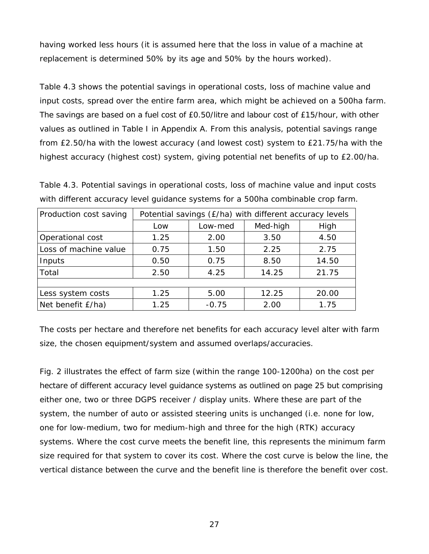having worked less hours (it is assumed here that the loss in value of a machine at replacement is determined 50% by its age and 50% by the hours worked).

Table 4.3 shows the potential savings in operational costs, loss of machine value and input costs, spread over the entire farm area, which might be achieved on a 500ha farm. The savings are based on a fuel cost of £0.50/litre and labour cost of £15/hour, with other values as outlined in Table I in Appendix A. From this analysis, potential savings range from £2.50/ha with the lowest accuracy (and lowest cost) system to £21.75/ha with the highest accuracy (highest cost) system, giving potential net benefits of up to £2.00/ha.

Table 4.3. Potential savings in operational costs, loss of machine value and input costs with different accuracy level guidance systems for a 500ha combinable crop farm.

| Production cost saving | Potential savings (£/ha) with different accuracy levels |         |          |       |  |  |  |
|------------------------|---------------------------------------------------------|---------|----------|-------|--|--|--|
|                        | Low                                                     | Low-med | Med-high | High  |  |  |  |
| Operational cost       | 1.25                                                    | 2.00    | 3.50     | 4.50  |  |  |  |
| Loss of machine value  | 0.75                                                    | 1.50    | 2.25     | 2.75  |  |  |  |
| Inputs                 | 0.50                                                    | 0.75    | 8.50     | 14.50 |  |  |  |
| Total                  | 2.50                                                    | 4.25    | 14.25    | 21.75 |  |  |  |
|                        |                                                         |         |          |       |  |  |  |
| Less system costs      | 1.25                                                    | 5.00    | 12.25    | 20.00 |  |  |  |
| Net benefit £/ha)      | 1.25                                                    | $-0.75$ | 2.00     | 1.75  |  |  |  |

The costs per hectare and therefore net benefits for each accuracy level alter with farm size, the chosen equipment/system and assumed overlaps/accuracies.

Fig. 2 illustrates the effect of farm size (within the range 100-1200ha) on the cost per hectare of different accuracy level guidance systems as outlined on page 25 but comprising either one, two or three DGPS receiver / display units. Where these are part of the system, the number of auto or assisted steering units is unchanged (*i.e.* none for low, one for low-medium, two for medium-high and three for the high (RTK) accuracy systems. Where the cost curve meets the benefit line, this represents the minimum farm size required for that system to cover its cost. Where the cost curve is below the line, the vertical distance between the curve and the benefit line is therefore the benefit over cost.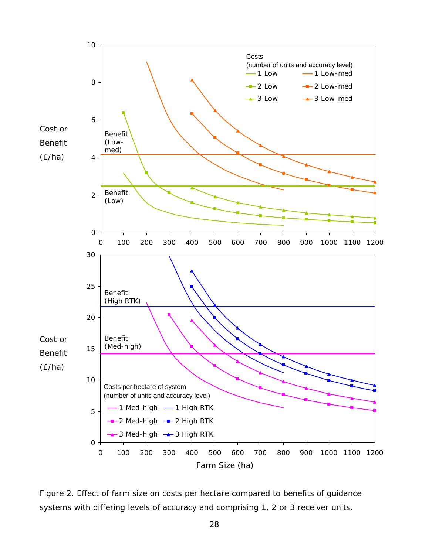

Figure 2. Effect of farm size on costs per hectare compared to benefits of guidance systems with differing levels of accuracy and comprising 1, 2 or 3 receiver units.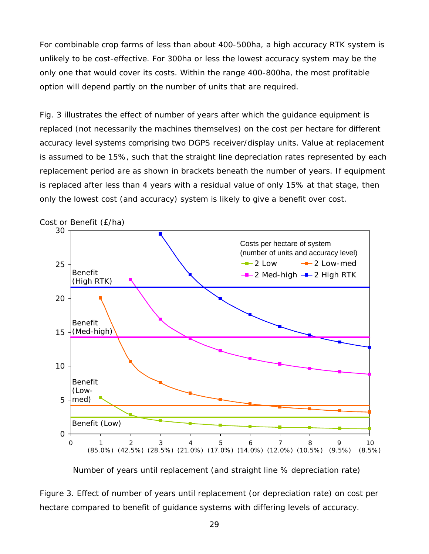For combinable crop farms of less than about 400-500ha, a high accuracy RTK system is unlikely to be cost-effective. For 300ha or less the lowest accuracy system may be the only one that would cover its costs. Within the range 400-800ha, the most profitable option will depend partly on the number of units that are required.

Fig. 3 illustrates the effect of number of years after which the guidance equipment is replaced (not necessarily the machines themselves) on the cost per hectare for different accuracy level systems comprising two DGPS receiver/display units. Value at replacement is assumed to be 15%, such that the straight line depreciation rates represented by each replacement period are as shown in brackets beneath the number of years. If equipment is replaced after less than 4 years with a residual value of only 15% at that stage, then only the lowest cost (and accuracy) system is likely to give a benefit over cost.



Number of years until replacement (and straight line % depreciation rate)

Figure 3. Effect of number of years until replacement (or depreciation rate) on cost per hectare compared to benefit of guidance systems with differing levels of accuracy.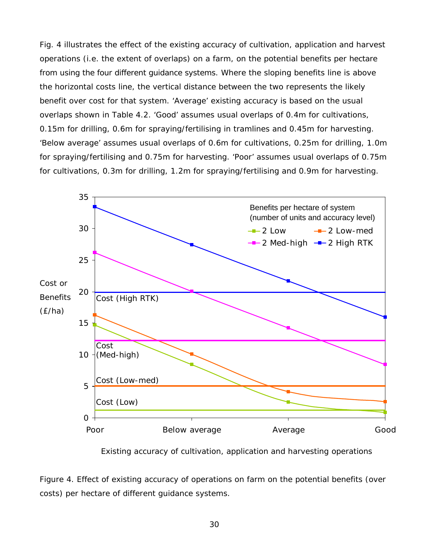Fig. 4 illustrates the effect of the existing accuracy of cultivation, application and harvest operations (*i.e.* the extent of overlaps) on a farm, on the potential benefits per hectare from using the four different guidance systems. Where the sloping benefits line is above the horizontal costs line, the vertical distance between the two represents the likely benefit over cost for that system. 'Average' existing accuracy is based on the usual overlaps shown in Table 4.2. 'Good' assumes usual overlaps of 0.4m for cultivations, 0.15m for drilling, 0.6m for spraying/fertilising in tramlines and 0.45m for harvesting. 'Below average' assumes usual overlaps of 0.6m for cultivations, 0.25m for drilling, 1.0m for spraying/fertilising and 0.75m for harvesting. 'Poor' assumes usual overlaps of 0.75m for cultivations, 0.3m for drilling, 1.2m for spraying/fertilising and 0.9m for harvesting.



Existing accuracy of cultivation, application and harvesting operations

Figure 4. Effect of existing accuracy of operations on farm on the potential benefits (over costs) per hectare of different guidance systems.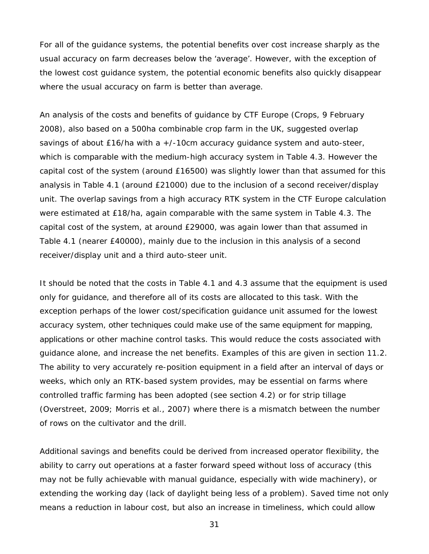For all of the guidance systems, the potential benefits over cost increase sharply as the usual accuracy on farm decreases below the 'average'. However, with the exception of the lowest cost guidance system, the potential economic benefits also quickly disappear where the usual accuracy on farm is better than average.

An analysis of the costs and benefits of guidance by CTF Europe (Crops, 9 February 2008), also based on a 500ha combinable crop farm in the UK, suggested overlap savings of about  $£16/ha$  with a  $+/-10cm$  accuracy guidance system and auto-steer, which is comparable with the medium-high accuracy system in Table 4.3. However the capital cost of the system (around £16500) was slightly lower than that assumed for this analysis in Table 4.1 (around £21000) due to the inclusion of a second receiver/display unit. The overlap savings from a high accuracy RTK system in the CTF Europe calculation were estimated at £18/ha, again comparable with the same system in Table 4.3. The capital cost of the system, at around £29000, was again lower than that assumed in Table 4.1 (nearer £40000), mainly due to the inclusion in this analysis of a second receiver/display unit and a third auto-steer unit.

It should be noted that the costs in Table 4.1 and 4.3 assume that the equipment is used only for guidance, and therefore all of its costs are allocated to this task. With the exception perhaps of the lower cost/specification guidance unit assumed for the lowest accuracy system, other techniques could make use of the same equipment for mapping, applications or other machine control tasks. This would reduce the costs associated with guidance alone, and increase the net benefits. Examples of this are given in section 11.2. The ability to very accurately re-position equipment in a field after an interval of days or weeks, which only an RTK-based system provides, may be essential on farms where controlled traffic farming has been adopted (see section 4.2) or for strip tillage (Overstreet, 2009; Morris *et al*., 2007) where there is a mismatch between the number of rows on the cultivator and the drill.

Additional savings and benefits could be derived from increased operator flexibility, the ability to carry out operations at a faster forward speed without loss of accuracy (this may not be fully achievable with manual guidance, especially with wide machinery), or extending the working day (lack of daylight being less of a problem). Saved time not only means a reduction in labour cost, but also an increase in timeliness, which could allow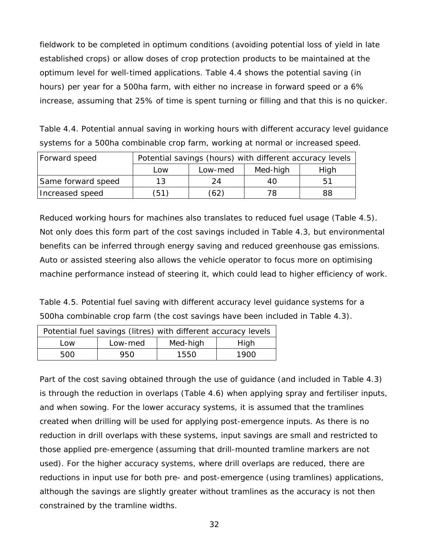fieldwork to be completed in optimum conditions (avoiding potential loss of yield in late established crops) or allow doses of crop protection products to be maintained at the optimum level for well-timed applications. Table 4.4 shows the potential saving (in hours) per year for a 500ha farm, with either no increase in forward speed or a 6% increase, assuming that 25% of time is spent turning or filling and that this is no quicker.

Table 4.4. Potential annual saving in working hours with different accuracy level guidance systems for a 500ha combinable crop farm, working at normal or increased speed.

| Forward speed      | Potential savings (hours) with different accuracy levels |      |    |    |  |
|--------------------|----------------------------------------------------------|------|----|----|--|
|                    | Med-high<br>High<br>Low-med<br>l ow                      |      |    |    |  |
| Same forward speed |                                                          | 24   | 40 | 51 |  |
| Increased speed    | (51)                                                     | (62) | 78 | 88 |  |

Reduced working hours for machines also translates to reduced fuel usage (Table 4.5). Not only does this form part of the cost savings included in Table 4.3, but environmental benefits can be inferred through energy saving and reduced greenhouse gas emissions. Auto or assisted steering also allows the vehicle operator to focus more on optimising machine performance instead of steering it, which could lead to higher efficiency of work.

Table 4.5. Potential fuel saving with different accuracy level guidance systems for a 500ha combinable crop farm (the cost savings have been included in Table 4.3).

| Potential fuel savings (litres) with different accuracy levels |     |       |      |  |  |
|----------------------------------------------------------------|-----|-------|------|--|--|
| Med-high<br>Low-med<br>High<br>Low                             |     |       |      |  |  |
| 500                                                            | 950 | 1550. | 1900 |  |  |

Part of the cost saving obtained through the use of guidance (and included in Table 4.3) is through the reduction in overlaps (Table 4.6) when applying spray and fertiliser inputs, and when sowing. For the lower accuracy systems, it is assumed that the tramlines created when drilling will be used for applying post-emergence inputs. As there is no reduction in drill overlaps with these systems, input savings are small and restricted to those applied pre-emergence (assuming that drill-mounted tramline markers are not used). For the higher accuracy systems, where drill overlaps are reduced, there are reductions in input use for both pre- and post-emergence (using tramlines) applications, although the savings are slightly greater without tramlines as the accuracy is not then constrained by the tramline widths.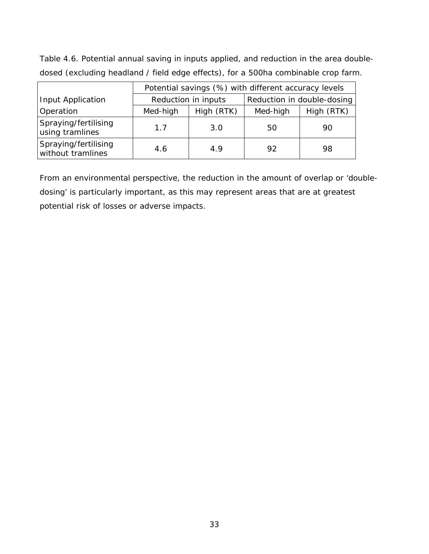|                                           | Potential savings (%) with different accuracy levels |                     |                            |    |
|-------------------------------------------|------------------------------------------------------|---------------------|----------------------------|----|
| Input Application                         |                                                      | Reduction in inputs | Reduction in double-dosing |    |
| Operation                                 | Med-high                                             | High (RTK)          | High (RTK)<br>Med-high     |    |
| Spraying/fertilising<br>using tramlines   | 1.7                                                  | 3.0                 | 50                         | 90 |
| Spraying/fertilising<br>without tramlines | 4.6                                                  | 4.9                 | 92                         | 98 |

Table 4.6. Potential annual saving in inputs applied, and reduction in the area doubledosed (excluding headland / field edge effects), for a 500ha combinable crop farm.

From an environmental perspective, the reduction in the amount of overlap or 'doubledosing' is particularly important, as this may represent areas that are at greatest potential risk of losses or adverse impacts.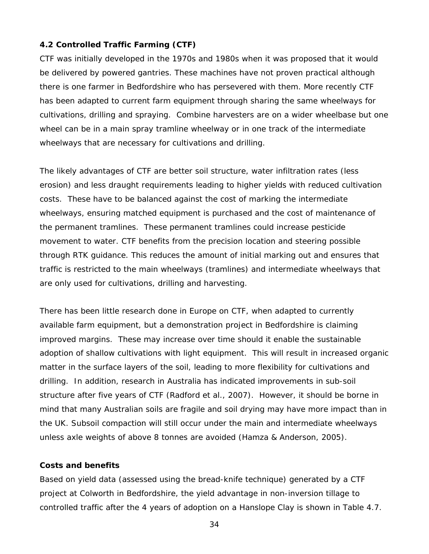# **4.2 Controlled Traffic Farming (CTF)**

CTF was initially developed in the 1970s and 1980s when it was proposed that it would be delivered by powered gantries. These machines have not proven practical although there is one farmer in Bedfordshire who has persevered with them. More recently CTF has been adapted to current farm equipment through sharing the same wheelways for cultivations, drilling and spraying. Combine harvesters are on a wider wheelbase but one wheel can be in a main spray tramline wheelway or in one track of the intermediate wheelways that are necessary for cultivations and drilling.

The likely advantages of CTF are better soil structure, water infiltration rates (less erosion) and less draught requirements leading to higher yields with reduced cultivation costs. These have to be balanced against the cost of marking the intermediate wheelways, ensuring matched equipment is purchased and the cost of maintenance of the permanent tramlines. These permanent tramlines could increase pesticide movement to water. CTF benefits from the precision location and steering possible through RTK guidance. This reduces the amount of initial marking out and ensures that traffic is restricted to the main wheelways (tramlines) and intermediate wheelways that are only used for cultivations, drilling and harvesting.

There has been little research done in Europe on CTF, when adapted to currently available farm equipment, but a demonstration project in Bedfordshire is claiming improved margins. These may increase over time should it enable the sustainable adoption of shallow cultivations with light equipment. This will result in increased organic matter in the surface layers of the soil, leading to more flexibility for cultivations and drilling. In addition, research in Australia has indicated improvements in sub-soil structure after five years of CTF (Radford *et al.*, 2007). However, it should be borne in mind that many Australian soils are fragile and soil drying may have more impact than in the UK. Subsoil compaction will still occur under the main and intermediate wheelways unless axle weights of above 8 tonnes are avoided (Hamza & Anderson, 2005).

### **Costs and benefits**

Based on yield data (assessed using the bread-knife technique) generated by a CTF project at Colworth in Bedfordshire, the yield advantage in non-inversion tillage to controlled traffic after the 4 years of adoption on a Hanslope Clay is shown in Table 4.7.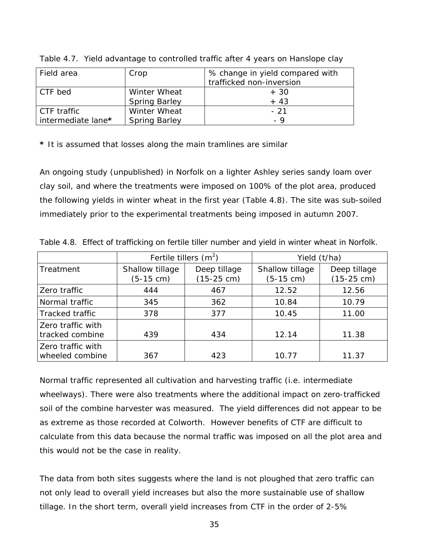| Field area         | Crop                 | % change in yield compared with |
|--------------------|----------------------|---------------------------------|
|                    |                      | trafficked non-inversion        |
| CTF bed            | Winter Wheat         | + 30                            |
|                    | <b>Spring Barley</b> | $+43$                           |
| CTF traffic        | Winter Wheat         | $-21$                           |
| intermediate lane* | <b>Spring Barley</b> | - 9                             |

Table 4.7. Yield advantage to controlled traffic after 4 years on Hanslope clay

**\*** It is assumed that losses along the main tramlines are similar

An ongoing study (unpublished) in Norfolk on a lighter Ashley series sandy loam over clay soil, and where the treatments were imposed on 100% of the plot area, produced the following yields in winter wheat in the first year (Table 4.8). The site was sub-soiled immediately prior to the experimental treatments being imposed in autumn 2007.

|                                      | Fertile tillers $(m^2)$                |                                      | Yield (t/ha)                           |                                      |  |
|--------------------------------------|----------------------------------------|--------------------------------------|----------------------------------------|--------------------------------------|--|
| Treatment                            | Shallow tillage<br>$(5-15 \text{ cm})$ | Deep tillage<br>$(15-25 \text{ cm})$ | Shallow tillage<br>$(5-15 \text{ cm})$ | Deep tillage<br>$(15-25 \text{ cm})$ |  |
| Zero traffic                         | 444                                    | 467                                  | 12.52                                  | 12.56                                |  |
| Normal traffic                       | 345                                    | 362                                  | 10.84                                  | 10.79                                |  |
| <b>Tracked traffic</b>               | 378                                    | 377                                  | 10.45                                  | 11.00                                |  |
| Zero traffic with<br>tracked combine | 439                                    | 434                                  | 12.14                                  | 11.38                                |  |
| Zero traffic with<br>wheeled combine | 367                                    | 423                                  | 10.77                                  | 11.37                                |  |

Table 4.8. Effect of trafficking on fertile tiller number and yield in winter wheat in Norfolk.

Normal traffic represented all cultivation and harvesting traffic (*i.e.* intermediate wheelways). There were also treatments where the additional impact on zero-trafficked soil of the combine harvester was measured. The yield differences did not appear to be as extreme as those recorded at Colworth. However benefits of CTF are difficult to calculate from this data because the normal traffic was imposed on all the plot area and this would not be the case in reality.

The data from both sites suggests where the land is not ploughed that zero traffic can not only lead to overall yield increases but also the more sustainable use of shallow tillage. In the short term, overall yield increases from CTF in the order of 2-5%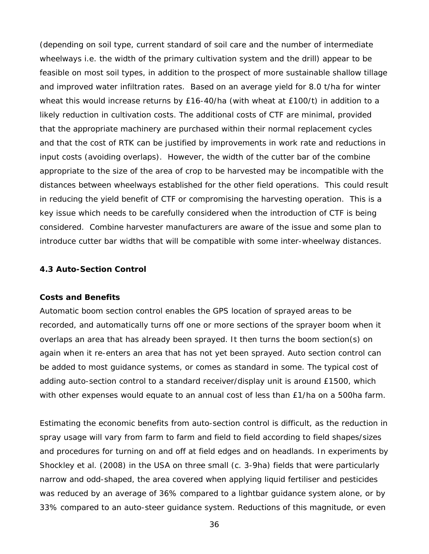(depending on soil type, current standard of soil care and the number of intermediate wheelways *i.e.* the width of the primary cultivation system and the drill) appear to be feasible on most soil types, in addition to the prospect of more sustainable shallow tillage and improved water infiltration rates. Based on an average yield for 8.0 t/ha for winter wheat this would increase returns by £16-40/ha (with wheat at £100/t) in addition to a likely reduction in cultivation costs. The additional costs of CTF are minimal, provided that the appropriate machinery are purchased within their normal replacement cycles and that the cost of RTK can be justified by improvements in work rate and reductions in input costs (avoiding overlaps). However, the width of the cutter bar of the combine appropriate to the size of the area of crop to be harvested may be incompatible with the distances between wheelways established for the other field operations. This could result in reducing the yield benefit of CTF or compromising the harvesting operation. This is a key issue which needs to be carefully considered when the introduction of CTF is being considered. Combine harvester manufacturers are aware of the issue and some plan to introduce cutter bar widths that will be compatible with some inter-wheelway distances.

### **4.3 Auto-Section Control**

#### **Costs and Benefits**

Automatic boom section control enables the GPS location of sprayed areas to be recorded, and automatically turns off one or more sections of the sprayer boom when it overlaps an area that has already been sprayed. It then turns the boom section(s) on again when it re-enters an area that has not yet been sprayed. Auto section control can be added to most guidance systems, or comes as standard in some. The typical cost of adding auto-section control to a standard receiver/display unit is around £1500, which with other expenses would equate to an annual cost of less than £1/ha on a 500ha farm.

Estimating the economic benefits from auto-section control is difficult, as the reduction in spray usage will vary from farm to farm and field to field according to field shapes/sizes and procedures for turning on and off at field edges and on headlands. In experiments by Shockley *et al.* (2008) in the USA on three small (c. 3-9ha) fields that were particularly narrow and odd-shaped, the area covered when applying liquid fertiliser and pesticides was reduced by an average of 36% compared to a lightbar guidance system alone, or by 33% compared to an auto-steer guidance system. Reductions of this magnitude, or even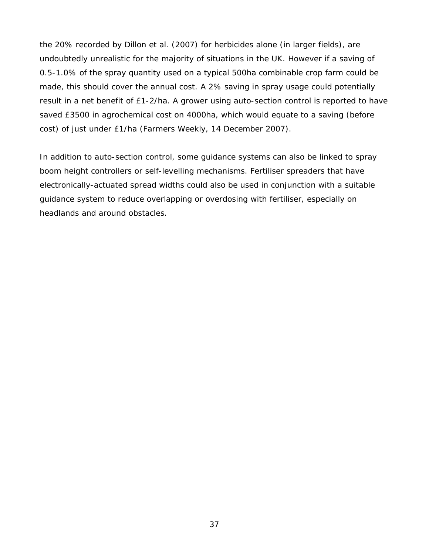the 20% recorded by Dillon *et al.* (2007) for herbicides alone (in larger fields), are undoubtedly unrealistic for the majority of situations in the UK. However if a saving of 0.5-1.0% of the spray quantity used on a typical 500ha combinable crop farm could be made, this should cover the annual cost. A 2% saving in spray usage could potentially result in a net benefit of £1-2/ha. A grower using auto-section control is reported to have saved £3500 in agrochemical cost on 4000ha, which would equate to a saving (before cost) of just under £1/ha (Farmers Weekly, 14 December 2007).

In addition to auto-section control, some guidance systems can also be linked to spray boom height controllers or self-levelling mechanisms. Fertiliser spreaders that have electronically-actuated spread widths could also be used in conjunction with a suitable guidance system to reduce overlapping or overdosing with fertiliser, especially on headlands and around obstacles.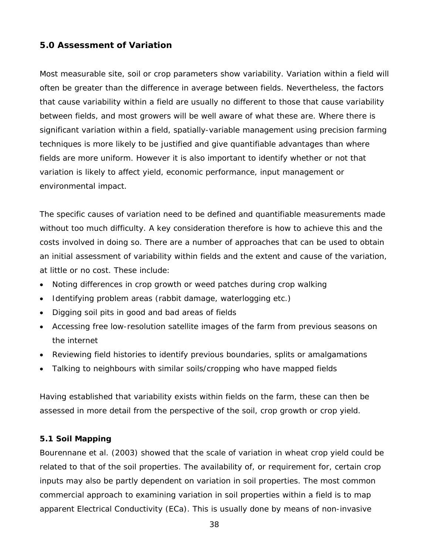# **5.0 Assessment of Variation**

Most measurable site, soil or crop parameters show variability. Variation within a field will often be greater than the difference in average between fields. Nevertheless, the factors that cause variability within a field are usually no different to those that cause variability between fields, and most growers will be well aware of what these are. Where there is significant variation within a field, spatially-variable management using precision farming techniques is more likely to be justified and give quantifiable advantages than where fields are more uniform. However it is also important to identify whether or not that variation is likely to affect yield, economic performance, input management or environmental impact.

The specific causes of variation need to be defined and quantifiable measurements made without too much difficulty. A key consideration therefore is how to achieve this and the costs involved in doing so. There are a number of approaches that can be used to obtain an initial assessment of variability within fields and the extent and cause of the variation, at little or no cost. These include:

- Noting differences in crop growth or weed patches during crop walking
- Identifying problem areas (rabbit damage, waterlogging etc.)
- Digging soil pits in good and bad areas of fields
- Accessing free low-resolution satellite images of the farm from previous seasons on the internet
- Reviewing field histories to identify previous boundaries, splits or amalgamations
- Talking to neighbours with similar soils/cropping who have mapped fields

Having established that variability exists within fields on the farm, these can then be assessed in more detail from the perspective of the soil, crop growth or crop yield.

# **5.1 Soil Mapping**

Bourennane *et al.* (2003) showed that the scale of variation in wheat crop yield could be related to that of the soil properties. The availability of, or requirement for, certain crop inputs may also be partly dependent on variation in soil properties. The most common commercial approach to examining variation in soil properties within a field is to map apparent Electrical Conductivity (ECa). This is usually done by means of non-invasive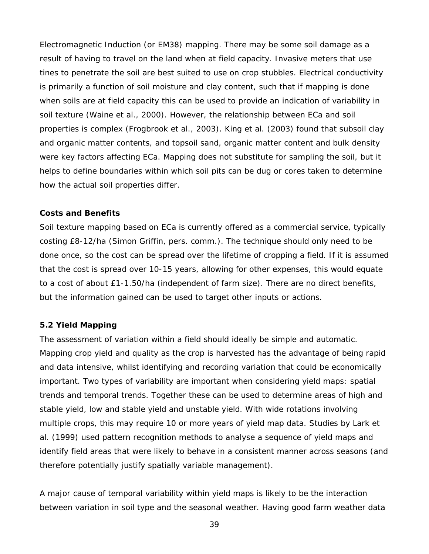Electromagnetic Induction (or EM38) mapping. There may be some soil damage as a result of having to travel on the land when at field capacity. Invasive meters that use tines to penetrate the soil are best suited to use on crop stubbles. Electrical conductivity is primarily a function of soil moisture and clay content, such that if mapping is done when soils are at field capacity this can be used to provide an indication of variability in soil texture (Waine *et al.*, 2000). However, the relationship between ECa and soil properties is complex (Frogbrook *et al.*, 2003). King *et al*. (2003) found that subsoil clay and organic matter contents, and topsoil sand, organic matter content and bulk density were key factors affecting ECa. Mapping does not substitute for sampling the soil, but it helps to define boundaries within which soil pits can be dug or cores taken to determine how the actual soil properties differ.

# **Costs and Benefits**

Soil texture mapping based on ECa is currently offered as a commercial service, typically costing £8-12/ha (Simon Griffin, pers. comm.). The technique should only need to be done once, so the cost can be spread over the lifetime of cropping a field. If it is assumed that the cost is spread over 10-15 years, allowing for other expenses, this would equate to a cost of about £1-1.50/ha (independent of farm size). There are no direct benefits, but the information gained can be used to target other inputs or actions.

# **5.2 Yield Mapping**

The assessment of variation within a field should ideally be simple and automatic. Mapping crop yield and quality as the crop is harvested has the advantage of being rapid and data intensive, whilst identifying and recording variation that could be economically important. Two types of variability are important when considering yield maps: spatial trends and temporal trends. Together these can be used to determine areas of high and stable yield, low and stable yield and unstable yield. With wide rotations involving multiple crops, this may require 10 or more years of yield map data. Studies by Lark *et al*. (1999) used pattern recognition methods to analyse a sequence of yield maps and identify field areas that were likely to behave in a consistent manner across seasons (and therefore potentially justify spatially variable management).

A major cause of temporal variability within yield maps is likely to be the interaction between variation in soil type and the seasonal weather. Having good farm weather data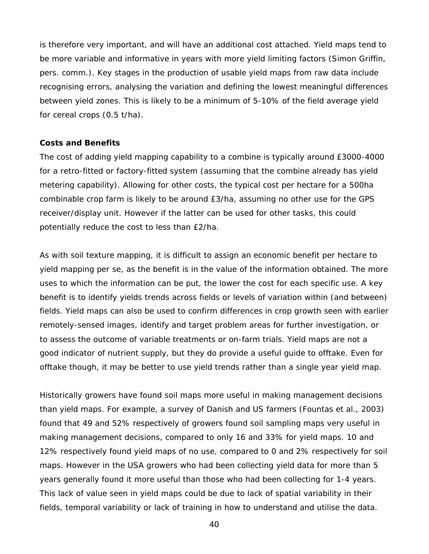is therefore very important, and will have an additional cost attached. Yield maps tend to be more variable and informative in years with more yield limiting factors (Simon Griffin, pers. comm.). Key stages in the production of usable yield maps from raw data include recognising errors, analysing the variation and defining the lowest meaningful differences between yield zones. This is likely to be a minimum of 5-10% of the field average yield for cereal crops (0.5 t/ha).

#### **Costs and Benefits**

The cost of adding yield mapping capability to a combine is typically around £3000-4000 for a retro-fitted or factory-fitted system (assuming that the combine already has yield metering capability). Allowing for other costs, the typical cost per hectare for a 500ha combinable crop farm is likely to be around £3/ha, assuming no other use for the GPS receiver/display unit. However if the latter can be used for other tasks, this could potentially reduce the cost to less than £2/ha.

As with soil texture mapping, it is difficult to assign an economic benefit per hectare to yield mapping per se, as the benefit is in the value of the information obtained. The more uses to which the information can be put, the lower the cost for each specific use. A key benefit is to identify yields trends across fields or levels of variation within (and between) fields. Yield maps can also be used to confirm differences in crop growth seen with earlier remotely-sensed images, identify and target problem areas for further investigation, or to assess the outcome of variable treatments or on-farm trials. Yield maps are not a good indicator of nutrient supply, but they do provide a useful guide to offtake. Even for offtake though, it may be better to use yield trends rather than a single year yield map.

Historically growers have found soil maps more useful in making management decisions than yield maps. For example, a survey of Danish and US farmers (Fountas *et al.*, 2003) found that 49 and 52% respectively of growers found soil sampling maps very useful in making management decisions, compared to only 16 and 33% for yield maps. 10 and 12% respectively found yield maps of no use, compared to 0 and 2% respectively for soil maps. However in the USA growers who had been collecting yield data for more than 5 years generally found it more useful than those who had been collecting for 1-4 years. This lack of value seen in yield maps could be due to lack of spatial variability in their fields, temporal variability or lack of training in how to understand and utilise the data.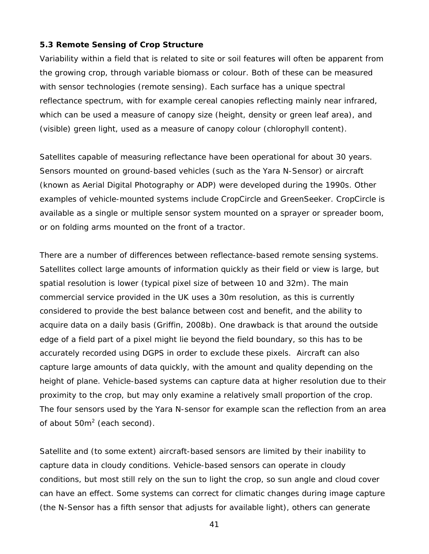## **5.3 Remote Sensing of Crop Structure**

Variability within a field that is related to site or soil features will often be apparent from the growing crop, through variable biomass or colour. Both of these can be measured with sensor technologies (remote sensing). Each surface has a unique spectral reflectance spectrum, with for example cereal canopies reflecting mainly near infrared, which can be used a measure of canopy size (height, density or green leaf area), and (visible) green light, used as a measure of canopy colour (chlorophyll content).

Satellites capable of measuring reflectance have been operational for about 30 years. Sensors mounted on ground-based vehicles (such as the Yara N-Sensor) or aircraft (known as Aerial Digital Photography or ADP) were developed during the 1990s. Other examples of vehicle-mounted systems include CropCircle and GreenSeeker. CropCircle is available as a single or multiple sensor system mounted on a sprayer or spreader boom, or on folding arms mounted on the front of a tractor.

There are a number of differences between reflectance-based remote sensing systems. Satellites collect large amounts of information quickly as their field or view is large, but spatial resolution is lower (typical pixel size of between 10 and 32m). The main commercial service provided in the UK uses a 30m resolution, as this is currently considered to provide the best balance between cost and benefit, and the ability to acquire data on a daily basis (Griffin, 2008b). One drawback is that around the outside edge of a field part of a pixel might lie beyond the field boundary, so this has to be accurately recorded using DGPS in order to exclude these pixels. Aircraft can also capture large amounts of data quickly, with the amount and quality depending on the height of plane. Vehicle-based systems can capture data at higher resolution due to their proximity to the crop, but may only examine a relatively small proportion of the crop. The four sensors used by the Yara N-sensor for example scan the reflection from an area of about  $50m^2$  (each second).

Satellite and (to some extent) aircraft-based sensors are limited by their inability to capture data in cloudy conditions. Vehicle-based sensors can operate in cloudy conditions, but most still rely on the sun to light the crop, so sun angle and cloud cover can have an effect. Some systems can correct for climatic changes during image capture (the N-Sensor has a fifth sensor that adjusts for available light), others can generate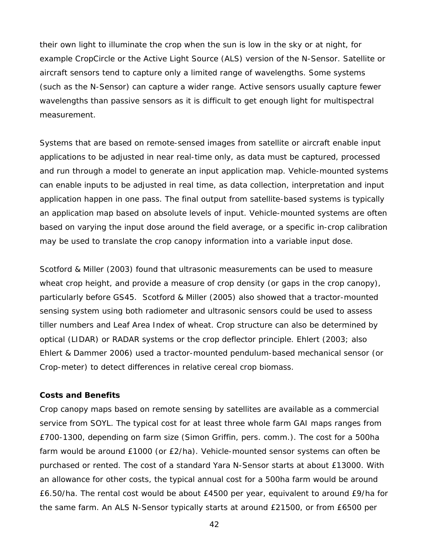their own light to illuminate the crop when the sun is low in the sky or at night, for example CropCircle or the Active Light Source (ALS) version of the N-Sensor. Satellite or aircraft sensors tend to capture only a limited range of wavelengths. Some systems (such as the N-Sensor) can capture a wider range. Active sensors usually capture fewer wavelengths than passive sensors as it is difficult to get enough light for multispectral measurement.

Systems that are based on remote-sensed images from satellite or aircraft enable input applications to be adjusted in near real-time only, as data must be captured, processed and run through a model to generate an input application map. Vehicle-mounted systems can enable inputs to be adjusted in real time, as data collection, interpretation and input application happen in one pass. The final output from satellite-based systems is typically an application map based on absolute levels of input. Vehicle-mounted systems are often based on varying the input dose around the field average, or a specific in-crop calibration may be used to translate the crop canopy information into a variable input dose.

Scotford & Miller (2003) found that ultrasonic measurements can be used to measure wheat crop height, and provide a measure of crop density (or gaps in the crop canopy), particularly before GS45. Scotford & Miller (2005) also showed that a tractor-mounted sensing system using both radiometer and ultrasonic sensors could be used to assess tiller numbers and Leaf Area Index of wheat. Crop structure can also be determined by optical (LIDAR) or RADAR systems or the crop deflector principle. Ehlert (2003; also Ehlert & Dammer 2006) used a tractor-mounted pendulum-based mechanical sensor (or Crop-meter) to detect differences in relative cereal crop biomass.

#### **Costs and Benefits**

Crop canopy maps based on remote sensing by satellites are available as a commercial service from SOYL. The typical cost for at least three whole farm GAI maps ranges from £700-1300, depending on farm size (Simon Griffin, pers. comm.). The cost for a 500ha farm would be around £1000 (or £2/ha). Vehicle-mounted sensor systems can often be purchased or rented. The cost of a standard Yara N-Sensor starts at about £13000. With an allowance for other costs, the typical annual cost for a 500ha farm would be around £6.50/ha. The rental cost would be about £4500 per year, equivalent to around £9/ha for the same farm. An ALS N-Sensor typically starts at around £21500, or from £6500 per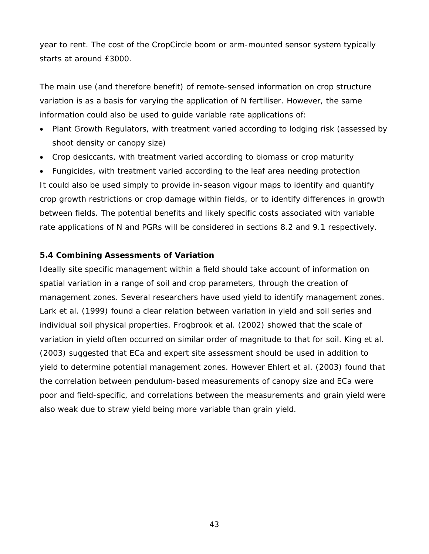year to rent. The cost of the CropCircle boom or arm-mounted sensor system typically starts at around £3000.

The main use (and therefore benefit) of remote-sensed information on crop structure variation is as a basis for varying the application of N fertiliser. However, the same information could also be used to guide variable rate applications of:

- Plant Growth Regulators, with treatment varied according to lodging risk (assessed by shoot density or canopy size)
- Crop desiccants, with treatment varied according to biomass or crop maturity

• Fungicides, with treatment varied according to the leaf area needing protection It could also be used simply to provide in-season vigour maps to identify and quantify crop growth restrictions or crop damage within fields, or to identify differences in growth between fields. The potential benefits and likely specific costs associated with variable rate applications of N and PGRs will be considered in sections 8.2 and 9.1 respectively.

# **5.4 Combining Assessments of Variation**

Ideally site specific management within a field should take account of information on spatial variation in a range of soil and crop parameters, through the creation of management zones. Several researchers have used yield to identify management zones. Lark *et al*. (1999) found a clear relation between variation in yield and soil series and individual soil physical properties. Frogbrook *et al*. (2002) showed that the scale of variation in yield often occurred on similar order of magnitude to that for soil. King *et al*. (2003) suggested that ECa and expert site assessment should be used in addition to yield to determine potential management zones. However Ehlert *et al.* (2003) found that the correlation between pendulum-based measurements of canopy size and ECa were poor and field-specific, and correlations between the measurements and grain yield were also weak due to straw yield being more variable than grain yield.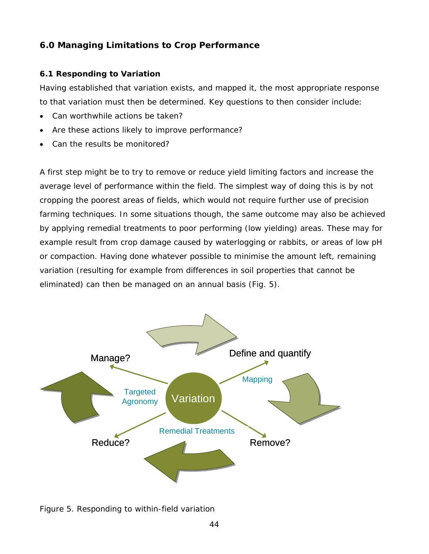# **6.0 Managing Limitations to Crop Performance**

# **6.1 Responding to Variation**

Having established that variation exists, and mapped it, the most appropriate response to that variation must then be determined. Key questions to then consider include:

- Can worthwhile actions be taken?
- Are these actions likely to improve performance?
- Can the results be monitored?

A first step might be to try to remove or reduce yield limiting factors and increase the average level of performance within the field. The simplest way of doing this is by not cropping the poorest areas of fields, which would not require further use of precision farming techniques. In some situations though, the same outcome may also be achieved by applying remedial treatments to poor performing (low yielding) areas. These may for example result from crop damage caused by waterlogging or rabbits, or areas of low pH or compaction. Having done whatever possible to minimise the amount left, remaining variation (resulting for example from differences in soil properties that cannot be eliminated) can then be managed on an annual basis (Fig. 5).



Figure 5. Responding to within-field variation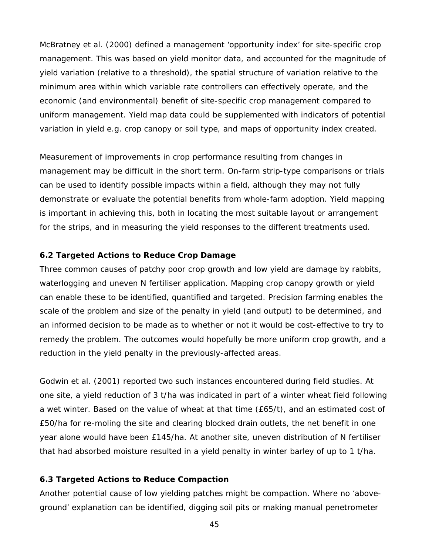McBratney *et al.* (2000) defined a management 'opportunity index' for site-specific crop management. This was based on yield monitor data, and accounted for the magnitude of yield variation (relative to a threshold), the spatial structure of variation relative to the minimum area within which variable rate controllers can effectively operate, and the economic (and environmental) benefit of site-specific crop management compared to uniform management. Yield map data could be supplemented with indicators of potential variation in yield *e.g.* crop canopy or soil type, and maps of opportunity index created.

Measurement of improvements in crop performance resulting from changes in management may be difficult in the short term. On-farm strip-type comparisons or trials can be used to identify possible impacts within a field, although they may not fully demonstrate or evaluate the potential benefits from whole-farm adoption. Yield mapping is important in achieving this, both in locating the most suitable layout or arrangement for the strips, and in measuring the yield responses to the different treatments used.

# **6.2 Targeted Actions to Reduce Crop Damage**

Three common causes of patchy poor crop growth and low yield are damage by rabbits, waterlogging and uneven N fertiliser application. Mapping crop canopy growth or yield can enable these to be identified, quantified and targeted. Precision farming enables the scale of the problem and size of the penalty in yield (and output) to be determined, and an informed decision to be made as to whether or not it would be cost-effective to try to remedy the problem. The outcomes would hopefully be more uniform crop growth, and a reduction in the yield penalty in the previously-affected areas.

Godwin *et al*. (2001) reported two such instances encountered during field studies. At one site, a yield reduction of 3 t/ha was indicated in part of a winter wheat field following a wet winter. Based on the value of wheat at that time (£65/t), and an estimated cost of £50/ha for re-moling the site and clearing blocked drain outlets, the net benefit in one year alone would have been £145/ha. At another site, uneven distribution of N fertiliser that had absorbed moisture resulted in a yield penalty in winter barley of up to 1 t/ha.

### **6.3 Targeted Actions to Reduce Compaction**

Another potential cause of low yielding patches might be compaction. Where no 'aboveground' explanation can be identified, digging soil pits or making manual penetrometer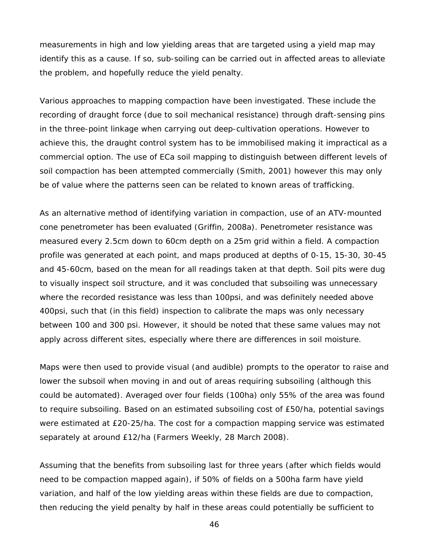measurements in high and low yielding areas that are targeted using a yield map may identify this as a cause. If so, sub-soiling can be carried out in affected areas to alleviate the problem, and hopefully reduce the yield penalty.

Various approaches to mapping compaction have been investigated. These include the recording of draught force (due to soil mechanical resistance) through draft-sensing pins in the three-point linkage when carrying out deep-cultivation operations. However to achieve this, the draught control system has to be immobilised making it impractical as a commercial option. The use of ECa soil mapping to distinguish between different levels of soil compaction has been attempted commercially (Smith, 2001) however this may only be of value where the patterns seen can be related to known areas of trafficking.

As an alternative method of identifying variation in compaction, use of an ATV-mounted cone penetrometer has been evaluated (Griffin, 2008a). Penetrometer resistance was measured every 2.5cm down to 60cm depth on a 25m grid within a field. A compaction profile was generated at each point, and maps produced at depths of 0-15, 15-30, 30-45 and 45-60cm, based on the mean for all readings taken at that depth. Soil pits were dug to visually inspect soil structure, and it was concluded that subsoiling was unnecessary where the recorded resistance was less than 100psi, and was definitely needed above 400psi, such that (in this field) inspection to calibrate the maps was only necessary between 100 and 300 psi. However, it should be noted that these same values may not apply across different sites, especially where there are differences in soil moisture.

Maps were then used to provide visual (and audible) prompts to the operator to raise and lower the subsoil when moving in and out of areas requiring subsoiling (although this could be automated). Averaged over four fields (100ha) only 55% of the area was found to require subsoiling. Based on an estimated subsoiling cost of £50/ha, potential savings were estimated at £20-25/ha. The cost for a compaction mapping service was estimated separately at around £12/ha (Farmers Weekly, 28 March 2008).

Assuming that the benefits from subsoiling last for three years (after which fields would need to be compaction mapped again), if 50% of fields on a 500ha farm have yield variation, and half of the low yielding areas within these fields are due to compaction, then reducing the yield penalty by half in these areas could potentially be sufficient to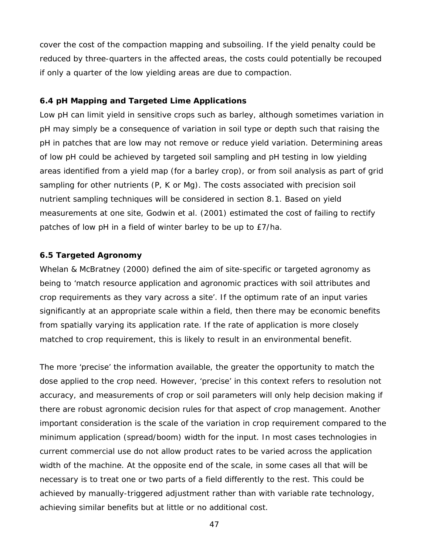cover the cost of the compaction mapping and subsoiling. If the yield penalty could be reduced by three-quarters in the affected areas, the costs could potentially be recouped if only a quarter of the low yielding areas are due to compaction.

# **6.4 pH Mapping and Targeted Lime Applications**

Low pH can limit yield in sensitive crops such as barley, although sometimes variation in pH may simply be a consequence of variation in soil type or depth such that raising the pH in patches that are low may not remove or reduce yield variation. Determining areas of low pH could be achieved by targeted soil sampling and pH testing in low yielding areas identified from a yield map (for a barley crop), or from soil analysis as part of grid sampling for other nutrients (P, K or Mg). The costs associated with precision soil nutrient sampling techniques will be considered in section 8.1. Based on yield measurements at one site, Godwin *et al*. (2001) estimated the cost of failing to rectify patches of low pH in a field of winter barley to be up to £7/ha.

# **6.5 Targeted Agronomy**

Whelan & McBratney (2000) defined the aim of site-specific or targeted agronomy as being to 'match resource application and agronomic practices with soil attributes and crop requirements as they vary across a site'. If the optimum rate of an input varies significantly at an appropriate scale within a field, then there may be economic benefits from spatially varying its application rate. If the rate of application is more closely matched to crop requirement, this is likely to result in an environmental benefit.

The more 'precise' the information available, the greater the opportunity to match the dose applied to the crop need. However, 'precise' in this context refers to resolution not accuracy, and measurements of crop or soil parameters will only help decision making if there are robust agronomic decision rules for that aspect of crop management. Another important consideration is the scale of the variation in crop requirement compared to the minimum application (spread/boom) width for the input. In most cases technologies in current commercial use do not allow product rates to be varied across the application width of the machine. At the opposite end of the scale, in some cases all that will be necessary is to treat one or two parts of a field differently to the rest. This could be achieved by manually-triggered adjustment rather than with variable rate technology, achieving similar benefits but at little or no additional cost.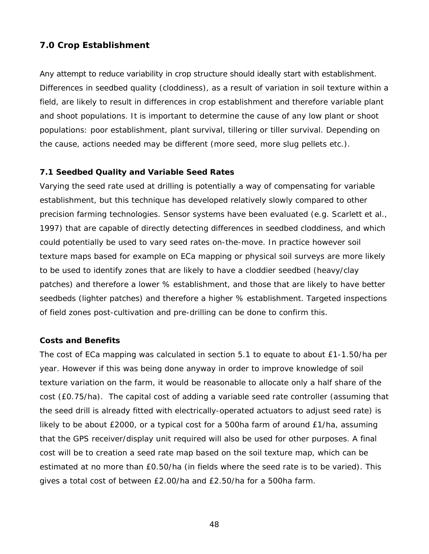# **7.0 Crop Establishment**

Any attempt to reduce variability in crop structure should ideally start with establishment. Differences in seedbed quality (cloddiness), as a result of variation in soil texture within a field, are likely to result in differences in crop establishment and therefore variable plant and shoot populations. It is important to determine the cause of any low plant or shoot populations: poor establishment, plant survival, tillering or tiller survival. Depending on the cause, actions needed may be different (more seed, more slug pellets etc.).

# **7.1 Seedbed Quality and Variable Seed Rates**

Varying the seed rate used at drilling is potentially a way of compensating for variable establishment, but this technique has developed relatively slowly compared to other precision farming technologies. Sensor systems have been evaluated (e.g. Scarlett *et al.*, 1997) that are capable of directly detecting differences in seedbed cloddiness, and which could potentially be used to vary seed rates on-the-move. In practice however soil texture maps based for example on ECa mapping or physical soil surveys are more likely to be used to identify zones that are likely to have a cloddier seedbed (heavy/clay patches) and therefore a lower % establishment, and those that are likely to have better seedbeds (lighter patches) and therefore a higher % establishment. Targeted inspections of field zones post-cultivation and pre-drilling can be done to confirm this.

## **Costs and Benefits**

The cost of ECa mapping was calculated in section 5.1 to equate to about £1-1.50/ha per year. However if this was being done anyway in order to improve knowledge of soil texture variation on the farm, it would be reasonable to allocate only a half share of the cost (£0.75/ha). The capital cost of adding a variable seed rate controller (assuming that the seed drill is already fitted with electrically-operated actuators to adjust seed rate) is likely to be about £2000, or a typical cost for a 500ha farm of around £1/ha, assuming that the GPS receiver/display unit required will also be used for other purposes. A final cost will be to creation a seed rate map based on the soil texture map, which can be estimated at no more than £0.50/ha (in fields where the seed rate is to be varied). This gives a total cost of between £2.00/ha and £2.50/ha for a 500ha farm.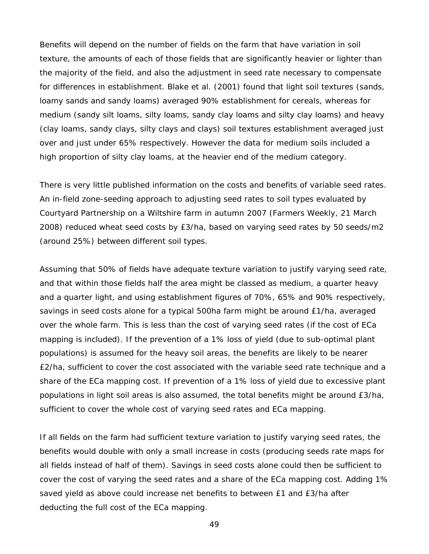Benefits will depend on the number of fields on the farm that have variation in soil texture, the amounts of each of those fields that are significantly heavier or lighter than the majority of the field, and also the adjustment in seed rate necessary to compensate for differences in establishment. Blake *et al.* (2001) found that light soil textures (sands, loamy sands and sandy loams) averaged 90% establishment for cereals, whereas for medium (sandy silt loams, silty loams, sandy clay loams and silty clay loams) and heavy (clay loams, sandy clays, silty clays and clays) soil textures establishment averaged just over and just under 65% respectively. However the data for medium soils included a high proportion of silty clay loams, at the heavier end of the medium category.

There is very little published information on the costs and benefits of variable seed rates. An in-field zone-seeding approach to adjusting seed rates to soil types evaluated by Courtyard Partnership on a Wiltshire farm in autumn 2007 (Farmers Weekly, 21 March 2008) reduced wheat seed costs by £3/ha, based on varying seed rates by 50 seeds/m2 (around 25%) between different soil types.

Assuming that 50% of fields have adequate texture variation to justify varying seed rate, and that within those fields half the area might be classed as medium, a quarter heavy and a quarter light, and using establishment figures of 70%, 65% and 90% respectively, savings in seed costs alone for a typical 500ha farm might be around £1/ha, averaged over the whole farm. This is less than the cost of varying seed rates (if the cost of ECa mapping is included). If the prevention of a 1% loss of yield (due to sub-optimal plant populations) is assumed for the heavy soil areas, the benefits are likely to be nearer £2/ha, sufficient to cover the cost associated with the variable seed rate technique and a share of the ECa mapping cost. If prevention of a 1% loss of yield due to excessive plant populations in light soil areas is also assumed, the total benefits might be around £3/ha, sufficient to cover the whole cost of varying seed rates and ECa mapping.

If all fields on the farm had sufficient texture variation to justify varying seed rates, the benefits would double with only a small increase in costs (producing seeds rate maps for all fields instead of half of them). Savings in seed costs alone could then be sufficient to cover the cost of varying the seed rates and a share of the ECa mapping cost. Adding 1% saved yield as above could increase net benefits to between £1 and £3/ha after deducting the full cost of the ECa mapping.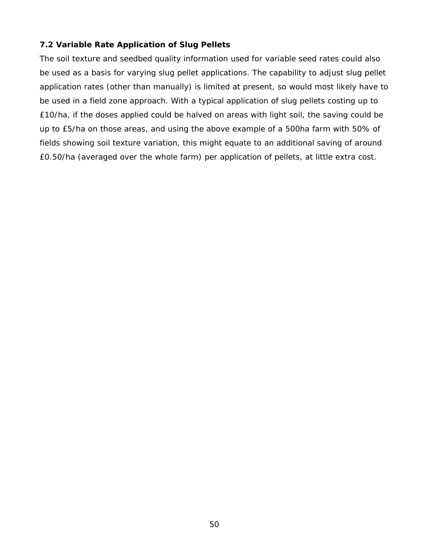# **7.2 Variable Rate Application of Slug Pellets**

The soil texture and seedbed quality information used for variable seed rates could also be used as a basis for varying slug pellet applications. The capability to adjust slug pellet application rates (other than manually) is limited at present, so would most likely have to be used in a field zone approach. With a typical application of slug pellets costing up to £10/ha, if the doses applied could be halved on areas with light soil, the saving could be up to £5/ha on those areas, and using the above example of a 500ha farm with 50% of fields showing soil texture variation, this might equate to an additional saving of around £0.50/ha (averaged over the whole farm) per application of pellets, at little extra cost.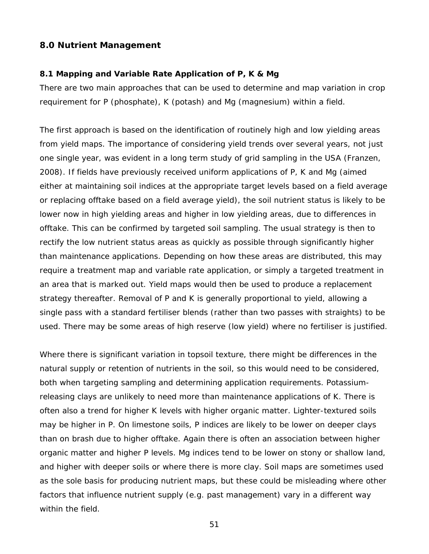# **8.0 Nutrient Management**

#### **8.1 Mapping and Variable Rate Application of P, K & Mg**

There are two main approaches that can be used to determine and map variation in crop requirement for P (phosphate), K (potash) and Mg (magnesium) within a field.

The first approach is based on the identification of routinely high and low yielding areas from yield maps. The importance of considering yield trends over several years, not just one single year, was evident in a long term study of grid sampling in the USA (Franzen, 2008). If fields have previously received uniform applications of P, K and Mg (aimed either at maintaining soil indices at the appropriate target levels based on a field average or replacing offtake based on a field average yield), the soil nutrient status is likely to be lower now in high yielding areas and higher in low yielding areas, due to differences in offtake. This can be confirmed by targeted soil sampling. The usual strategy is then to rectify the low nutrient status areas as quickly as possible through significantly higher than maintenance applications. Depending on how these areas are distributed, this may require a treatment map and variable rate application, or simply a targeted treatment in an area that is marked out. Yield maps would then be used to produce a replacement strategy thereafter. Removal of P and K is generally proportional to yield, allowing a single pass with a standard fertiliser blends (rather than two passes with straights) to be used. There may be some areas of high reserve (low yield) where no fertiliser is justified.

Where there is significant variation in topsoil texture, there might be differences in the natural supply or retention of nutrients in the soil, so this would need to be considered, both when targeting sampling and determining application requirements. Potassiumreleasing clays are unlikely to need more than maintenance applications of K. There is often also a trend for higher K levels with higher organic matter. Lighter-textured soils may be higher in P. On limestone soils, P indices are likely to be lower on deeper clays than on brash due to higher offtake. Again there is often an association between higher organic matter and higher P levels. Mg indices tend to be lower on stony or shallow land, and higher with deeper soils or where there is more clay. Soil maps are sometimes used as the sole basis for producing nutrient maps, but these could be misleading where other factors that influence nutrient supply (*e.g.* past management) vary in a different way within the field.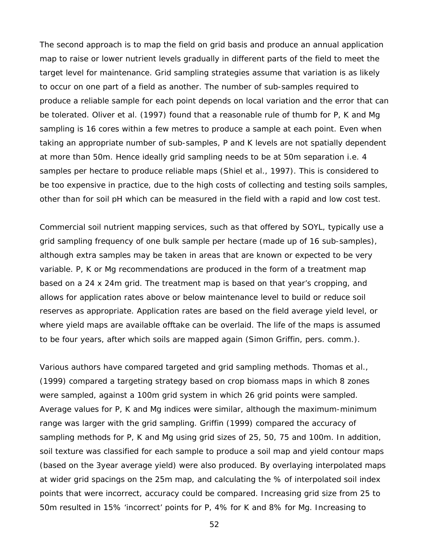The second approach is to map the field on grid basis and produce an annual application map to raise or lower nutrient levels gradually in different parts of the field to meet the target level for maintenance. Grid sampling strategies assume that variation is as likely to occur on one part of a field as another. The number of sub-samples required to produce a reliable sample for each point depends on local variation and the error that can be tolerated. Oliver *et al.* (1997) found that a reasonable rule of thumb for P, K and Mg sampling is 16 cores within a few metres to produce a sample at each point. Even when taking an appropriate number of sub-samples, P and K levels are not spatially dependent at more than 50m. Hence ideally grid sampling needs to be at 50m separation *i.e.* 4 samples per hectare to produce reliable maps (Shiel *et al.*, 1997). This is considered to be too expensive in practice, due to the high costs of collecting and testing soils samples, other than for soil pH which can be measured in the field with a rapid and low cost test.

Commercial soil nutrient mapping services, such as that offered by SOYL, typically use a grid sampling frequency of one bulk sample per hectare (made up of 16 sub-samples), although extra samples may be taken in areas that are known or expected to be very variable. P, K or Mg recommendations are produced in the form of a treatment map based on a 24 x 24m grid. The treatment map is based on that year's cropping, and allows for application rates above or below maintenance level to build or reduce soil reserves as appropriate. Application rates are based on the field average yield level, or where yield maps are available offtake can be overlaid. The life of the maps is assumed to be four years, after which soils are mapped again (Simon Griffin, pers. comm.).

Various authors have compared targeted and grid sampling methods. Thomas *et al.*, (1999) compared a targeting strategy based on crop biomass maps in which 8 zones were sampled, against a 100m grid system in which 26 grid points were sampled. Average values for P, K and Mg indices were similar, although the maximum-minimum range was larger with the grid sampling. Griffin (1999) compared the accuracy of sampling methods for P, K and Mg using grid sizes of 25, 50, 75 and 100m. In addition, soil texture was classified for each sample to produce a soil map and yield contour maps (based on the 3year average yield) were also produced. By overlaying interpolated maps at wider grid spacings on the 25m map, and calculating the % of interpolated soil index points that were incorrect, accuracy could be compared. Increasing grid size from 25 to 50m resulted in 15% 'incorrect' points for P, 4% for K and 8% for Mg. Increasing to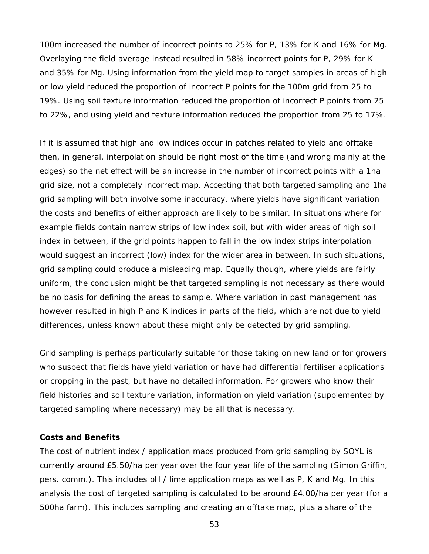100m increased the number of incorrect points to 25% for P, 13% for K and 16% for Mg. Overlaying the field average instead resulted in 58% incorrect points for P, 29% for K and 35% for Mg. Using information from the yield map to target samples in areas of high or low yield reduced the proportion of incorrect P points for the 100m grid from 25 to 19%. Using soil texture information reduced the proportion of incorrect P points from 25 to 22%, and using yield and texture information reduced the proportion from 25 to 17%.

If it is assumed that high and low indices occur in patches related to yield and offtake then, in general, interpolation should be right most of the time (and wrong mainly at the edges) so the net effect will be an increase in the number of incorrect points with a 1ha grid size, not a completely incorrect map. Accepting that both targeted sampling and 1ha grid sampling will both involve some inaccuracy, where yields have significant variation the costs and benefits of either approach are likely to be similar. In situations where for example fields contain narrow strips of low index soil, but with wider areas of high soil index in between, if the grid points happen to fall in the low index strips interpolation would suggest an incorrect (low) index for the wider area in between. In such situations, grid sampling could produce a misleading map. Equally though, where yields are fairly uniform, the conclusion might be that targeted sampling is not necessary as there would be no basis for defining the areas to sample. Where variation in past management has however resulted in high P and K indices in parts of the field, which are not due to yield differences, unless known about these might only be detected by grid sampling.

Grid sampling is perhaps particularly suitable for those taking on new land or for growers who suspect that fields have yield variation or have had differential fertiliser applications or cropping in the past, but have no detailed information. For growers who know their field histories and soil texture variation, information on yield variation (supplemented by targeted sampling where necessary) may be all that is necessary.

### **Costs and Benefits**

The cost of nutrient index / application maps produced from grid sampling by SOYL is currently around £5.50/ha per year over the four year life of the sampling (Simon Griffin, pers. comm.). This includes pH / lime application maps as well as P, K and Mg. In this analysis the cost of targeted sampling is calculated to be around £4.00/ha per year (for a 500ha farm). This includes sampling and creating an offtake map, plus a share of the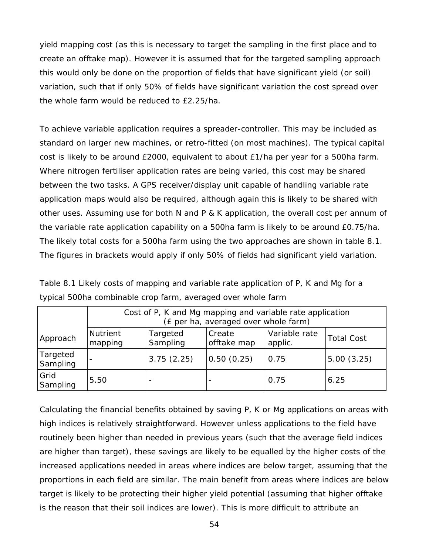yield mapping cost (as this is necessary to target the sampling in the first place and to create an offtake map). However it is assumed that for the targeted sampling approach this would only be done on the proportion of fields that have significant yield (or soil) variation, such that if only 50% of fields have significant variation the cost spread over the whole farm would be reduced to £2.25/ha.

To achieve variable application requires a spreader-controller. This may be included as standard on larger new machines, or retro-fitted (on most machines). The typical capital cost is likely to be around £2000, equivalent to about £1/ha per year for a 500ha farm. Where nitrogen fertiliser application rates are being varied, this cost may be shared between the two tasks. A GPS receiver/display unit capable of handling variable rate application maps would also be required, although again this is likely to be shared with other uses. Assuming use for both N and P & K application, the overall cost per annum of the variable rate application capability on a 500ha farm is likely to be around £0.75/ha. The likely total costs for a 500ha farm using the two approaches are shown in table 8.1. The figures in brackets would apply if only 50% of fields had significant yield variation.

|                      | Cost of P, K and Mg mapping and variable rate application<br>(£ per ha, averaged over whole farm) |                                                                                                |            |      |            |  |  |  |
|----------------------|---------------------------------------------------------------------------------------------------|------------------------------------------------------------------------------------------------|------------|------|------------|--|--|--|
| Approach             | <b>Nutrient</b><br>mapping                                                                        | Variable rate<br>Targeted<br>Create<br><b>Total Cost</b><br>Sampling<br>offtake map<br>applic. |            |      |            |  |  |  |
| Targeted<br>Sampling |                                                                                                   | 3.75(2.25)                                                                                     | 0.50(0.25) | 0.75 | 5.00(3.25) |  |  |  |
| Grid<br>Sampling     | 5.50                                                                                              |                                                                                                |            | 0.75 | 6.25       |  |  |  |

Table 8.1 Likely costs of mapping and variable rate application of P, K and Mg for a typical 500ha combinable crop farm, averaged over whole farm

Calculating the financial benefits obtained by saving P, K or Mg applications on areas with high indices is relatively straightforward. However unless applications to the field have routinely been higher than needed in previous years (such that the average field indices are higher than target), these savings are likely to be equalled by the higher costs of the increased applications needed in areas where indices are below target, assuming that the proportions in each field are similar. The main benefit from areas where indices are below target is likely to be protecting their higher yield potential (assuming that higher offtake is the reason that their soil indices are lower). This is more difficult to attribute an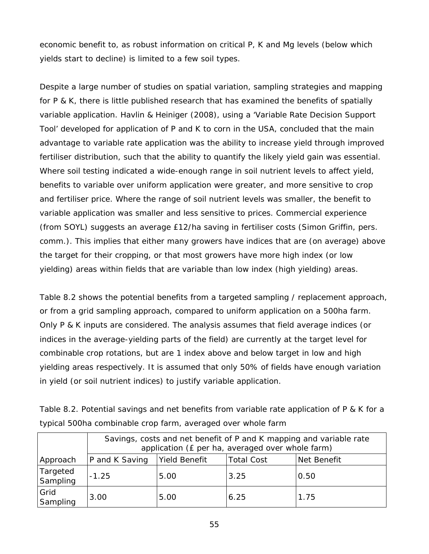economic benefit to, as robust information on critical P, K and Mg levels (below which yields start to decline) is limited to a few soil types.

Despite a large number of studies on spatial variation, sampling strategies and mapping for P & K, there is little published research that has examined the benefits of spatially variable application. Havlin & Heiniger (2008), using a 'Variable Rate Decision Support Tool' developed for application of P and K to corn in the USA, concluded that the main advantage to variable rate application was the ability to increase yield through improved fertiliser distribution, such that the ability to quantify the likely yield gain was essential. Where soil testing indicated a wide-enough range in soil nutrient levels to affect yield, benefits to variable over uniform application were greater, and more sensitive to crop and fertiliser price. Where the range of soil nutrient levels was smaller, the benefit to variable application was smaller and less sensitive to prices. Commercial experience (from SOYL) suggests an average £12/ha saving in fertiliser costs (Simon Griffin, pers. comm.). This implies that either many growers have indices that are (on average) above the target for their cropping, or that most growers have more high index (or low yielding) areas within fields that are variable than low index (high yielding) areas.

Table 8.2 shows the potential benefits from a targeted sampling / replacement approach, or from a grid sampling approach, compared to uniform application on a 500ha farm. Only P & K inputs are considered. The analysis assumes that field average indices (or indices in the average-yielding parts of the field) are currently at the target level for combinable crop rotations, but are 1 index above and below target in low and high yielding areas respectively. It is assumed that only 50% of fields have enough variation in yield (or soil nutrient indices) to justify variable application.

| Table 8.2. Potential savings and net benefits from variable rate application of P & K for a |  |  |  |
|---------------------------------------------------------------------------------------------|--|--|--|
| typical 500ha combinable crop farm, averaged over whole farm                                |  |  |  |

|                      | Savings, costs and net benefit of P and K mapping and variable rate<br>application (£ per ha, averaged over whole farm) |               |                   |             |  |  |  |
|----------------------|-------------------------------------------------------------------------------------------------------------------------|---------------|-------------------|-------------|--|--|--|
| Approach             | P and K Saving                                                                                                          | Yield Benefit | <b>Total Cost</b> | Net Benefit |  |  |  |
| Targeted<br>Sampling | $-1.25$                                                                                                                 | 5.00          | 3.25              | 0.50        |  |  |  |
| Grid<br>Sampling     | 3.00                                                                                                                    | 5.00          | 6.25              | 1.75        |  |  |  |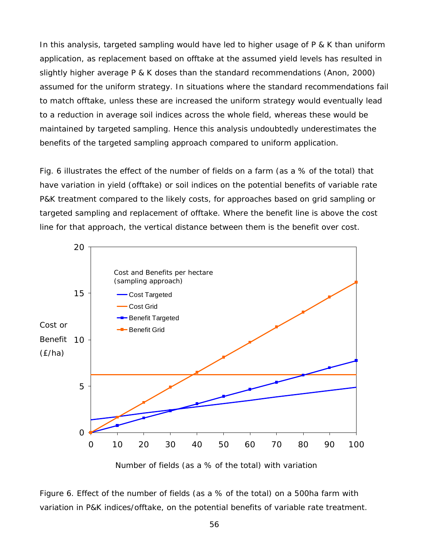In this analysis, targeted sampling would have led to higher usage of P & K than uniform application, as replacement based on offtake at the assumed yield levels has resulted in slightly higher average P & K doses than the standard recommendations (Anon, 2000) assumed for the uniform strategy. In situations where the standard recommendations fail to match offtake, unless these are increased the uniform strategy would eventually lead to a reduction in average soil indices across the whole field, whereas these would be maintained by targeted sampling. Hence this analysis undoubtedly underestimates the benefits of the targeted sampling approach compared to uniform application.

Fig. 6 illustrates the effect of the number of fields on a farm (as a % of the total) that have variation in yield (offtake) or soil indices on the potential benefits of variable rate P&K treatment compared to the likely costs, for approaches based on grid sampling or targeted sampling and replacement of offtake. Where the benefit line is above the cost line for that approach, the vertical distance between them is the benefit over cost.



Number of fields (as a % of the total) with variation

Figure 6. Effect of the number of fields (as a % of the total) on a 500ha farm with variation in P&K indices/offtake, on the potential benefits of variable rate treatment.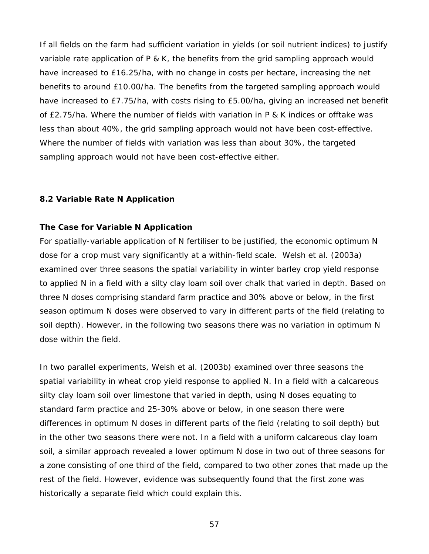If all fields on the farm had sufficient variation in yields (or soil nutrient indices) to justify variable rate application of P & K, the benefits from the grid sampling approach would have increased to £16.25/ha, with no change in costs per hectare, increasing the net benefits to around £10.00/ha. The benefits from the targeted sampling approach would have increased to £7.75/ha, with costs rising to £5.00/ha, giving an increased net benefit of £2.75/ha. Where the number of fields with variation in P & K indices or offtake was less than about 40%, the grid sampling approach would not have been cost-effective. Where the number of fields with variation was less than about 30%, the targeted sampling approach would not have been cost-effective either.

# **8.2 Variable Rate N Application**

### **The Case for Variable N Application**

For spatially-variable application of N fertiliser to be justified, the economic optimum N dose for a crop must vary significantly at a within-field scale. Welsh *et al.* (2003a) examined over three seasons the spatial variability in winter barley crop yield response to applied N in a field with a silty clay loam soil over chalk that varied in depth. Based on three N doses comprising standard farm practice and 30% above or below, in the first season optimum N doses were observed to vary in different parts of the field (relating to soil depth). However, in the following two seasons there was no variation in optimum N dose within the field.

In two parallel experiments, Welsh *et al*. (2003b) examined over three seasons the spatial variability in wheat crop yield response to applied N. In a field with a calcareous silty clay loam soil over limestone that varied in depth, using N doses equating to standard farm practice and 25-30% above or below, in one season there were differences in optimum N doses in different parts of the field (relating to soil depth) but in the other two seasons there were not. In a field with a uniform calcareous clay loam soil, a similar approach revealed a lower optimum N dose in two out of three seasons for a zone consisting of one third of the field, compared to two other zones that made up the rest of the field. However, evidence was subsequently found that the first zone was historically a separate field which could explain this.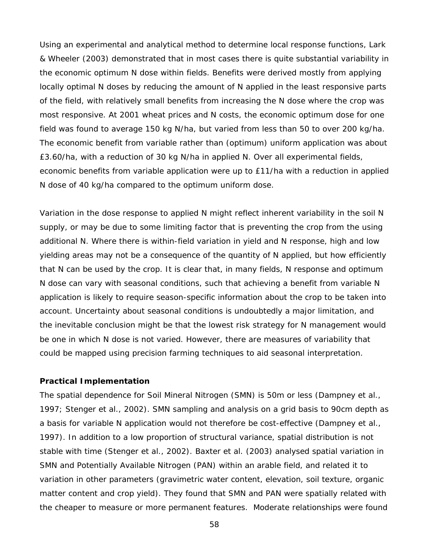Using an experimental and analytical method to determine local response functions, Lark & Wheeler (2003) demonstrated that in most cases there is quite substantial variability in the economic optimum N dose within fields. Benefits were derived mostly from applying locally optimal N doses by reducing the amount of N applied in the least responsive parts of the field, with relatively small benefits from increasing the N dose where the crop was most responsive. At 2001 wheat prices and N costs, the economic optimum dose for one field was found to average 150 kg N/ha, but varied from less than 50 to over 200 kg/ha. The economic benefit from variable rather than (optimum) uniform application was about £3.60/ha, with a reduction of 30 kg N/ha in applied N. Over all experimental fields, economic benefits from variable application were up to £11/ha with a reduction in applied N dose of 40 kg/ha compared to the optimum uniform dose.

Variation in the dose response to applied N might reflect inherent variability in the soil N supply, or may be due to some limiting factor that is preventing the crop from the using additional N. Where there is within-field variation in yield and N response, high and low yielding areas may not be a consequence of the quantity of N applied, but how efficiently that N can be used by the crop. It is clear that, in many fields, N response and optimum N dose can vary with seasonal conditions, such that achieving a benefit from variable N application is likely to require season-specific information about the crop to be taken into account. Uncertainty about seasonal conditions is undoubtedly a major limitation, and the inevitable conclusion might be that the lowest risk strategy for N management would be one in which N dose is not varied. However, there are measures of variability that could be mapped using precision farming techniques to aid seasonal interpretation.

#### **Practical Implementation**

The spatial dependence for Soil Mineral Nitrogen (SMN) is 50m or less (Dampney *et al*., 1997; Stenger *et al*., 2002). SMN sampling and analysis on a grid basis to 90cm depth as a basis for variable N application would not therefore be cost-effective (Dampney *et al.*, 1997). In addition to a low proportion of structural variance, spatial distribution is not stable with time (Stenger *et al.*, 2002). Baxter *et al.* (2003) analysed spatial variation in SMN and Potentially Available Nitrogen (PAN) within an arable field, and related it to variation in other parameters (gravimetric water content, elevation, soil texture, organic matter content and crop yield). They found that SMN and PAN were spatially related with the cheaper to measure or more permanent features. Moderate relationships were found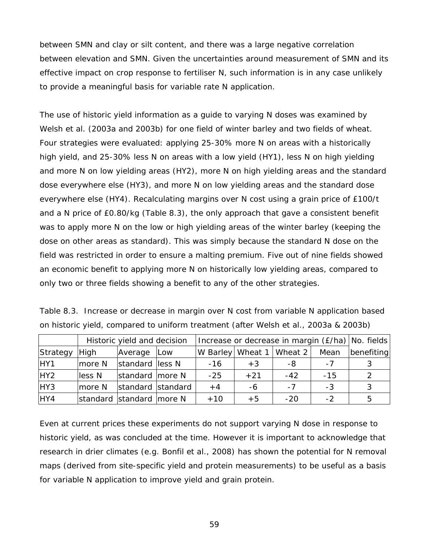between SMN and clay or silt content, and there was a large negative correlation between elevation and SMN. Given the uncertainties around measurement of SMN and its effective impact on crop response to fertiliser N, such information is in any case unlikely to provide a meaningful basis for variable rate N application.

The use of historic yield information as a guide to varying N doses was examined by Welsh *et al*. (2003a and 2003b) for one field of winter barley and two fields of wheat. Four strategies were evaluated: applying 25-30% more N on areas with a historically high yield, and 25-30% less N on areas with a low yield (HY1), less N on high yielding and more N on low yielding areas (HY2), more N on high yielding areas and the standard dose everywhere else (HY3), and more N on low yielding areas and the standard dose everywhere else (HY4). Recalculating margins over N cost using a grain price of £100/t and a N price of £0.80/kg (Table 8.3), the only approach that gave a consistent benefit was to apply more N on the low or high yielding areas of the winter barley (keeping the dose on other areas as standard). This was simply because the standard N dose on the field was restricted in order to ensure a malting premium. Five out of nine fields showed an economic benefit to applying more N on historically low yielding areas, compared to only two or three fields showing a benefit to any of the other strategies.

|  | Table 8.3. Increase or decrease in margin over N cost from variable N application based |  |  |  |
|--|-----------------------------------------------------------------------------------------|--|--|--|
|  | on historic yield, compared to uniform treatment (after Welsh et al., 2003a & 2003b)    |  |  |  |

|                 |        | Historic yield and decision |     |       | Increase or decrease in margin (£/ha) No. fields |         |       |            |
|-----------------|--------|-----------------------------|-----|-------|--------------------------------------------------|---------|-------|------------|
| Strategy        | High   | Average                     | Low |       | W Barley Wheat 1                                 | Wheat 2 | Mean  | benefiting |
| HY1             | more N | standard less N             |     | -16   | $+3$                                             | -8      | $-7$  |            |
| HY <sub>2</sub> | less N | standard more N             |     | $-25$ | $+21$                                            | $-42$   | $-15$ |            |
| HY3             | more N | standard standard           |     | $+4$  | -6                                               | $-7$    | -3    |            |
| HY4             |        | standard standard more N    |     | $+10$ | $+5$                                             | $-20$   | $-2$  | 5          |

Even at current prices these experiments do not support varying N dose in response to historic yield, as was concluded at the time. However it is important to acknowledge that research in drier climates (*e.g.* Bonfil *et al.*, 2008) has shown the potential for N removal maps (derived from site-specific yield and protein measurements) to be useful as a basis for variable N application to improve yield and grain protein.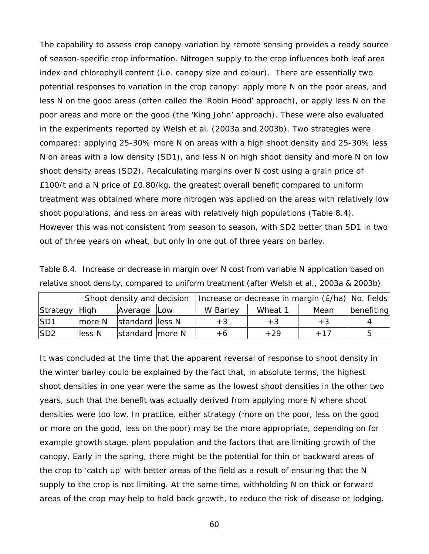The capability to assess crop canopy variation by remote sensing provides a ready source of season-specific crop information. Nitrogen supply to the crop influences both leaf area index and chlorophyll content (i.e. canopy size and colour). There are essentially two potential responses to variation in the crop canopy: apply more N on the poor areas, and less N on the good areas (often called the 'Robin Hood' approach), or apply less N on the poor areas and more on the good (the 'King John' approach). These were also evaluated in the experiments reported by Welsh *et al.* (2003a and 2003b). Two strategies were compared: applying 25-30% more N on areas with a high shoot density and 25-30% less N on areas with a low density (SD1), and less N on high shoot density and more N on low shoot density areas (SD2). Recalculating margins over N cost using a grain price of £100/t and a N price of £0.80/kg, the greatest overall benefit compared to uniform treatment was obtained where more nitrogen was applied on the areas with relatively low shoot populations, and less on areas with relatively high populations (Table 8.4). However this was not consistent from season to season, with SD2 better than SD1 in two out of three years on wheat, but only in one out of three years on barley.

| Table 8.4. Increase or decrease in margin over N cost from variable N application based on |  |  |  |  |  |
|--------------------------------------------------------------------------------------------|--|--|--|--|--|
| relative shoot density, compared to uniform treatment (after Welsh et al., 2003a & 2003b)  |  |  |  |  |  |

|                 |         | Shoot density and decision | Increase or decrease in margin (£/ha) No. fields |         |       |            |
|-----------------|---------|----------------------------|--------------------------------------------------|---------|-------|------------|
| Strategy High   |         | Average Low                | W Barley                                         | Wheat 1 | Mean  | benefiting |
| SD <sub>1</sub> | more N  | standard less N            | $+3$                                             | +3      | $+3$  |            |
| SD <sub>2</sub> | lless N | standard more N            | +6                                               | +29     | $+17$ |            |

It was concluded at the time that the apparent reversal of response to shoot density in the winter barley could be explained by the fact that, in absolute terms, the highest shoot densities in one year were the same as the lowest shoot densities in the other two years, such that the benefit was actually derived from applying more N where shoot densities were too low. In practice, either strategy (more on the poor, less on the good or more on the good, less on the poor) may be the more appropriate, depending on for example growth stage, plant population and the factors that are limiting growth of the canopy. Early in the spring, there might be the potential for thin or backward areas of the crop to 'catch up' with better areas of the field as a result of ensuring that the N supply to the crop is not limiting. At the same time, withholding N on thick or forward areas of the crop may help to hold back growth, to reduce the risk of disease or lodging.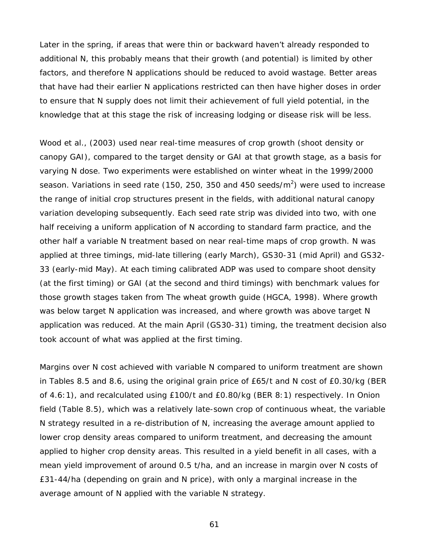Later in the spring, if areas that were thin or backward haven't already responded to additional N, this probably means that their growth (and potential) is limited by other factors, and therefore N applications should be reduced to avoid wastage. Better areas that have had their earlier N applications restricted can then have higher doses in order to ensure that N supply does not limit their achievement of full yield potential, in the knowledge that at this stage the risk of increasing lodging or disease risk will be less.

Wood *et al.*, (2003) used near real-time measures of crop growth (shoot density or canopy GAI), compared to the target density or GAI at that growth stage, as a basis for varying N dose. Two experiments were established on winter wheat in the 1999/2000 season. Variations in seed rate (150, 250, 350 and 450 seeds/m<sup>2</sup>) were used to increase the range of initial crop structures present in the fields, with additional natural canopy variation developing subsequently. Each seed rate strip was divided into two, with one half receiving a uniform application of N according to standard farm practice, and the other half a variable N treatment based on near real-time maps of crop growth. N was applied at three timings, mid-late tillering (early March), GS30-31 (mid April) and GS32- 33 (early-mid May). At each timing calibrated ADP was used to compare shoot density (at the first timing) or GAI (at the second and third timings) with benchmark values for those growth stages taken from *The wheat growth guide* (HGCA, 1998). Where growth was below target N application was increased, and where growth was above target N application was reduced. At the main April (GS30-31) timing, the treatment decision also took account of what was applied at the first timing.

Margins over N cost achieved with variable N compared to uniform treatment are shown in Tables 8.5 and 8.6, using the original grain price of £65/t and N cost of £0.30/kg (BER of 4.6:1), and recalculated using £100/t and £0.80/kg (BER 8:1) respectively. In Onion field (Table 8.5), which was a relatively late-sown crop of continuous wheat, the variable N strategy resulted in a re-distribution of N, increasing the average amount applied to lower crop density areas compared to uniform treatment, and decreasing the amount applied to higher crop density areas. This resulted in a yield benefit in all cases, with a mean yield improvement of around 0.5 t/ha, and an increase in margin over N costs of £31-44/ha (depending on grain and N price), with only a marginal increase in the average amount of N applied with the variable N strategy.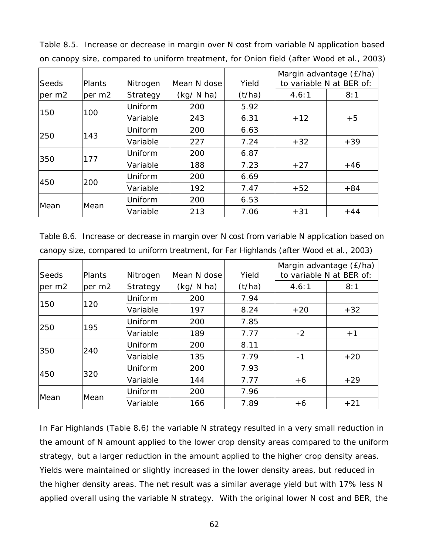| Seeds  | Plants | Nitrogen | Mean N dose  | Yield  | to variable N at BER of: | Margin advantage (£/ha) |
|--------|--------|----------|--------------|--------|--------------------------|-------------------------|
| per m2 | per m2 | Strategy | $(kg/N)$ ha) | (t/ha) | 4.6:1                    | 8:1                     |
| 150    | 100    | Uniform  | 200          | 5.92   |                          |                         |
|        |        | Variable | 243          | 6.31   | $+12$                    | $+5$                    |
| 250    |        | Uniform  | 200          | 6.63   |                          |                         |
|        | 143    | Variable | 227          | 7.24   | $+32$                    | $+39$                   |
| 350    | 177    | Uniform  | 200          | 6.87   |                          |                         |
|        |        | Variable | 188          | 7.23   | $+27$                    | $+46$                   |
|        |        | Uniform  | 200          | 6.69   |                          |                         |
| 450    | 200    | Variable | 192          | 7.47   | $+52$                    | $+84$                   |
|        |        | Uniform  | 200          | 6.53   |                          |                         |
| Mean   | Mean   | Variable | 213          | 7.06   | $+31$                    | $+44$                   |

Table 8.5. Increase or decrease in margin over N cost from variable N application based on canopy size, compared to uniform treatment, for Onion field (after Wood *et al*., 2003)

Table 8.6. Increase or decrease in margin over N cost from variable N application based on canopy size, compared to uniform treatment, for Far Highlands (after Wood *et al*., 2003)

| Seeds  | <b>Plants</b> | Nitrogen       | Mean N dose  | Yield  | to variable N at BER of: | Margin advantage (£/ha) |
|--------|---------------|----------------|--------------|--------|--------------------------|-------------------------|
| per m2 | per m2        | Strategy       | $(kq/N)$ ha) | (t/ha) | 4.6:1                    | 8:1                     |
| 150    | 120           | Uniform        | 200          | 7.94   |                          |                         |
|        |               | Variable       | 197          | 8.24   | $+20$                    | $+32$                   |
|        |               | Uniform        | 200          | 7.85   |                          |                         |
| 250    | 195           | Variable       | 189          | 7.77   | $-2$                     | $+1$                    |
|        |               | Uniform        | 200          | 8.11   |                          |                         |
| 350    | 240           | Variable       | 135          | 7.79   | $-1$                     | $+20$                   |
|        |               | <b>Uniform</b> | 200          | 7.93   |                          |                         |
| 450    | 320           | Variable       | 144          | 7.77   | $+6$                     | $+29$                   |
|        |               | Uniform        | 200          | 7.96   |                          |                         |
| Mean   | Mean          | Variable       | 166          | 7.89   | $+6$                     | $+21$                   |

In Far Highlands (Table 8.6) the variable N strategy resulted in a very small reduction in the amount of N amount applied to the lower crop density areas compared to the uniform strategy, but a larger reduction in the amount applied to the higher crop density areas. Yields were maintained or slightly increased in the lower density areas, but reduced in the higher density areas. The net result was a similar average yield but with 17% less N applied overall using the variable N strategy. With the original lower N cost and BER, the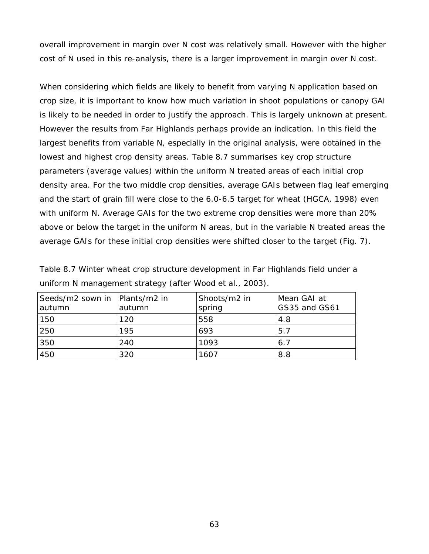overall improvement in margin over N cost was relatively small. However with the higher cost of N used in this re-analysis, there is a larger improvement in margin over N cost.

When considering which fields are likely to benefit from varying N application based on crop size, it is important to know how much variation in shoot populations or canopy GAI is likely to be needed in order to justify the approach. This is largely unknown at present. However the results from Far Highlands perhaps provide an indication. In this field the largest benefits from variable N, especially in the original analysis, were obtained in the lowest and highest crop density areas. Table 8.7 summarises key crop structure parameters (average values) within the uniform N treated areas of each initial crop density area. For the two middle crop densities, average GAIs between flag leaf emerging and the start of grain fill were close to the 6.0-6.5 target for wheat (HGCA, 1998) even with uniform N. Average GAIs for the two extreme crop densities were more than 20% above or below the target in the uniform N areas, but in the variable N treated areas the average GAIs for these initial crop densities were shifted closer to the target (Fig. 7).

| Seeds/m2 sown in  Plants/m2 in<br>autumn | autumn | Shoots/m2 in<br>spring | Mean GAI at<br>GS35 and GS61 |
|------------------------------------------|--------|------------------------|------------------------------|
| 150                                      | 120    | 558                    | 4.8                          |
| 250                                      | 195    | 693                    | 5.7                          |
| 350                                      | 240    | 1093                   | 6.7                          |
| 450                                      | 320    | 1607                   | 8.8                          |

Table 8.7 Winter wheat crop structure development in Far Highlands field under a uniform N management strategy (after Wood *et al.*, 2003).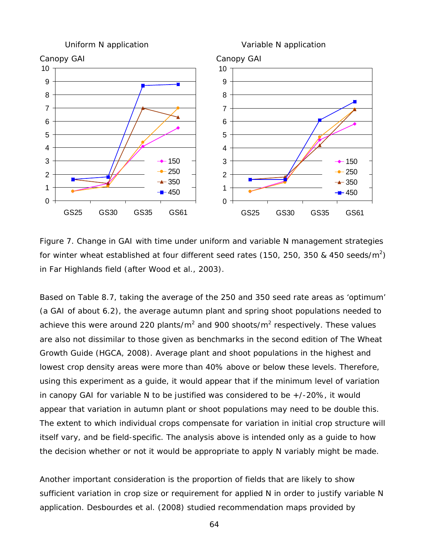

Figure 7. Change in GAI with time under uniform and variable N management strategies for winter wheat established at four different seed rates (150, 250, 350 & 450 seeds/m<sup>2</sup>) in Far Highlands field (after Wood *et al.*, 2003).

Based on Table 8.7, taking the average of the 250 and 350 seed rate areas as 'optimum' (a GAI of about 6.2), the average autumn plant and spring shoot populations needed to achieve this were around 220 plants/m<sup>2</sup> and 900 shoots/m<sup>2</sup> respectively. These values are also not dissimilar to those given as benchmarks in the second edition of The Wheat Growth Guide (HGCA, 2008). Average plant and shoot populations in the highest and lowest crop density areas were more than 40% above or below these levels. Therefore, using this experiment as a guide, it would appear that if the minimum level of variation in canopy GAI for variable N to be justified was considered to be  $+/-20\%$ , it would appear that variation in autumn plant or shoot populations may need to be double this. The extent to which individual crops compensate for variation in initial crop structure will itself vary, and be field-specific. The analysis above is intended only as a guide to how the decision whether or not it would be appropriate to apply N variably might be made.

Another important consideration is the proportion of fields that are likely to show sufficient variation in crop size or requirement for applied N in order to justify variable N application. Desbourdes *et al*. (2008) studied recommendation maps provided by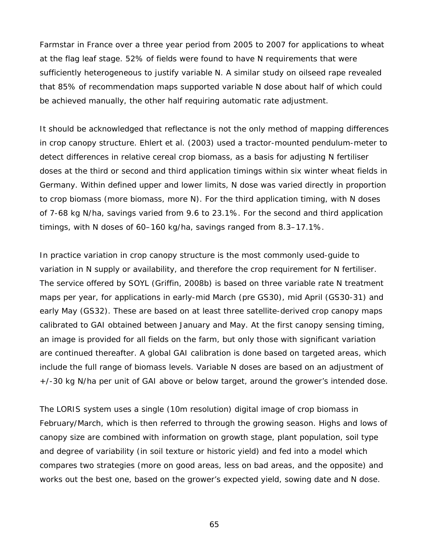Farmstar in France over a three year period from 2005 to 2007 for applications to wheat at the flag leaf stage. 52% of fields were found to have N requirements that were sufficiently heterogeneous to justify variable N. A similar study on oilseed rape revealed that 85% of recommendation maps supported variable N dose about half of which could be achieved manually, the other half requiring automatic rate adjustment.

It should be acknowledged that reflectance is not the only method of mapping differences in crop canopy structure. Ehlert *et al.* (2003) used a tractor-mounted pendulum-meter to detect differences in relative cereal crop biomass, as a basis for adjusting N fertiliser doses at the third or second and third application timings within six winter wheat fields in Germany. Within defined upper and lower limits, N dose was varied directly in proportion to crop biomass (more biomass, more N). For the third application timing, with N doses of 7-68 kg N/ha, savings varied from 9.6 to 23.1%. For the second and third application timings, with N doses of 60–160 kg/ha, savings ranged from 8.3–17.1%.

In practice variation in crop canopy structure is the most commonly used-guide to variation in N supply or availability, and therefore the crop requirement for N fertiliser. The service offered by SOYL (Griffin, 2008b) is based on three variable rate N treatment maps per year, for applications in early-mid March (pre GS30), mid April (GS30-31) and early May (GS32). These are based on at least three satellite-derived crop canopy maps calibrated to GAI obtained between January and May. At the first canopy sensing timing, an image is provided for all fields on the farm, but only those with significant variation are continued thereafter. A global GAI calibration is done based on targeted areas, which include the full range of biomass levels. Variable N doses are based on an adjustment of +/-30 kg N/ha per unit of GAI above or below target, around the grower's intended dose.

The LORIS system uses a single (10m resolution) digital image of crop biomass in February/March, which is then referred to through the growing season. Highs and lows of canopy size are combined with information on growth stage, plant population, soil type and degree of variability (in soil texture or historic yield) and fed into a model which compares two strategies (more on good areas, less on bad areas, and the opposite) and works out the best one, based on the grower's expected yield, sowing date and N dose.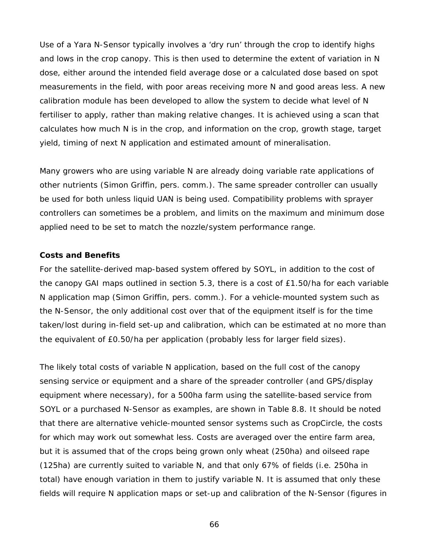Use of a Yara N-Sensor typically involves a 'dry run' through the crop to identify highs and lows in the crop canopy. This is then used to determine the extent of variation in N dose, either around the intended field average dose or a calculated dose based on spot measurements in the field, with poor areas receiving more N and good areas less. A new calibration module has been developed to allow the system to decide what level of N fertiliser to apply, rather than making relative changes. It is achieved using a scan that calculates how much N is in the crop, and information on the crop, growth stage, target yield, timing of next N application and estimated amount of mineralisation.

Many growers who are using variable N are already doing variable rate applications of other nutrients (Simon Griffin, pers. comm.). The same spreader controller can usually be used for both unless liquid UAN is being used. Compatibility problems with sprayer controllers can sometimes be a problem, and limits on the maximum and minimum dose applied need to be set to match the nozzle/system performance range.

### **Costs and Benefits**

For the satellite-derived map-based system offered by SOYL, in addition to the cost of the canopy GAI maps outlined in section 5.3, there is a cost of £1.50/ha for each variable N application map (Simon Griffin, pers. comm.). For a vehicle-mounted system such as the N-Sensor, the only additional cost over that of the equipment itself is for the time taken/lost during in-field set-up and calibration, which can be estimated at no more than the equivalent of £0.50/ha per application (probably less for larger field sizes).

The likely total costs of variable N application, based on the full cost of the canopy sensing service or equipment and a share of the spreader controller (and GPS/display equipment where necessary), for a 500ha farm using the satellite-based service from SOYL or a purchased N-Sensor as examples, are shown in Table 8.8. It should be noted that there are alternative vehicle-mounted sensor systems such as CropCircle, the costs for which may work out somewhat less. Costs are averaged over the entire farm area, but it is assumed that of the crops being grown only wheat (250ha) and oilseed rape (125ha) are currently suited to variable N, and that only 67% of fields (*i.e.* 250ha in total) have enough variation in them to justify variable N. It is assumed that only these fields will require N application maps or set-up and calibration of the N-Sensor (figures in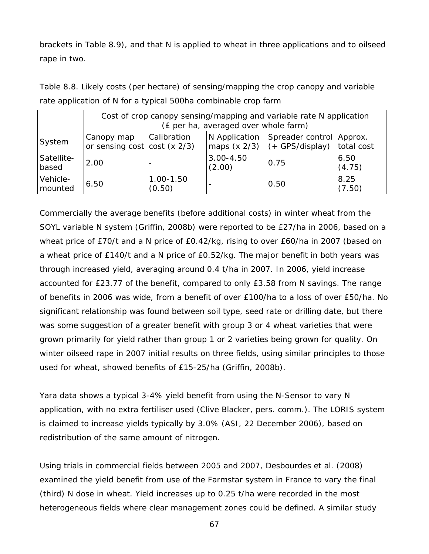brackets in Table 8.9), and that N is applied to wheat in three applications and to oilseed rape in two.

|                     | Cost of crop canopy sensing/mapping and variable rate N application<br>(£ per ha, averaged over whole farm) |                         |                                 |                                                           |                |
|---------------------|-------------------------------------------------------------------------------------------------------------|-------------------------|---------------------------------|-----------------------------------------------------------|----------------|
| System              | Canopy map<br>or sensing cost $\cos$ (x 2/3)                                                                | Calibration             | N Application<br>maps $(x 2/3)$ | Spreader control Approx.<br>$((+$ GPS/display) total cost |                |
| Satellite-<br>based | 2.00                                                                                                        |                         | $3.00 - 4.50$<br>(2.00)         | 0.75                                                      | 6.50<br>(4.75) |
| Vehicle-<br>mounted | 6.50                                                                                                        | $1.00 - 1.50$<br>(0.50) |                                 | 0.50                                                      | 8.25<br>(7.50) |

Table 8.8. Likely costs (per hectare) of sensing/mapping the crop canopy and variable rate application of N for a typical 500ha combinable crop farm

Commercially the average benefits (before additional costs) in winter wheat from the SOYL variable N system (Griffin, 2008b) were reported to be £27/ha in 2006, based on a wheat price of £70/t and a N price of £0.42/kg, rising to over £60/ha in 2007 (based on a wheat price of £140/t and a N price of £0.52/kg. The major benefit in both years was through increased yield, averaging around 0.4 t/ha in 2007. In 2006, yield increase accounted for £23.77 of the benefit, compared to only £3.58 from N savings. The range of benefits in 2006 was wide, from a benefit of over £100/ha to a loss of over £50/ha. No significant relationship was found between soil type, seed rate or drilling date, but there was some suggestion of a greater benefit with group 3 or 4 wheat varieties that were grown primarily for yield rather than group 1 or 2 varieties being grown for quality. On winter oilseed rape in 2007 initial results on three fields, using similar principles to those used for wheat, showed benefits of £15-25/ha (Griffin, 2008b).

Yara data shows a typical 3-4% yield benefit from using the N-Sensor to vary N application, with no extra fertiliser used (Clive Blacker, pers. comm.). The LORIS system is claimed to increase yields typically by 3.0% (ASI, 22 December 2006), based on redistribution of the same amount of nitrogen.

Using trials in commercial fields between 2005 and 2007, Desbourdes *et al*. (2008) examined the yield benefit from use of the Farmstar system in France to vary the final (third) N dose in wheat. Yield increases up to 0.25 t/ha were recorded in the most heterogeneous fields where clear management zones could be defined. A similar study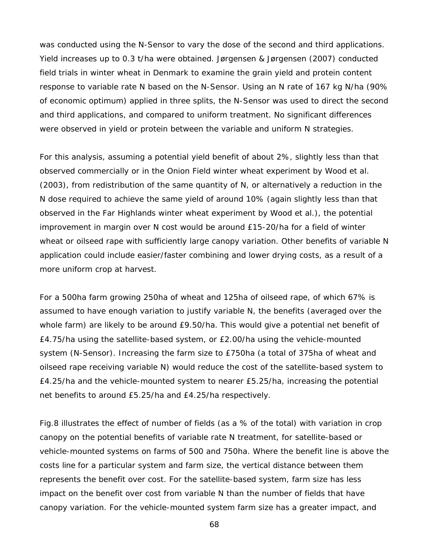was conducted using the N-Sensor to vary the dose of the second and third applications. Yield increases up to 0.3 t/ha were obtained. Jørgensen & Jørgensen (2007) conducted field trials in winter wheat in Denmark to examine the grain yield and protein content response to variable rate N based on the N-Sensor. Using an N rate of 167 kg N/ha (90% of economic optimum) applied in three splits, the N-Sensor was used to direct the second and third applications, and compared to uniform treatment. No significant differences were observed in yield or protein between the variable and uniform N strategies.

For this analysis, assuming a potential yield benefit of about 2%, slightly less than that observed commercially or in the Onion Field winter wheat experiment by Wood *et al.* (2003), from redistribution of the same quantity of N, or alternatively a reduction in the N dose required to achieve the same yield of around 10% (again slightly less than that observed in the Far Highlands winter wheat experiment by Wood et *al.*), the potential improvement in margin over N cost would be around £15-20/ha for a field of winter wheat or oilseed rape with sufficiently large canopy variation. Other benefits of variable N application could include easier/faster combining and lower drying costs, as a result of a more uniform crop at harvest.

For a 500ha farm growing 250ha of wheat and 125ha of oilseed rape, of which 67% is assumed to have enough variation to justify variable N, the benefits (averaged over the whole farm) are likely to be around £9.50/ha. This would give a potential net benefit of £4.75/ha using the satellite-based system, or £2.00/ha using the vehicle-mounted system (N-Sensor). Increasing the farm size to £750ha (a total of 375ha of wheat and oilseed rape receiving variable N) would reduce the cost of the satellite-based system to £4.25/ha and the vehicle-mounted system to nearer £5.25/ha, increasing the potential net benefits to around £5.25/ha and £4.25/ha respectively.

Fig.8 illustrates the effect of number of fields (as a % of the total) with variation in crop canopy on the potential benefits of variable rate N treatment, for satellite-based or vehicle-mounted systems on farms of 500 and 750ha. Where the benefit line is above the costs line for a particular system and farm size, the vertical distance between them represents the benefit over cost. For the satellite-based system, farm size has less impact on the benefit over cost from variable N than the number of fields that have canopy variation. For the vehicle-mounted system farm size has a greater impact, and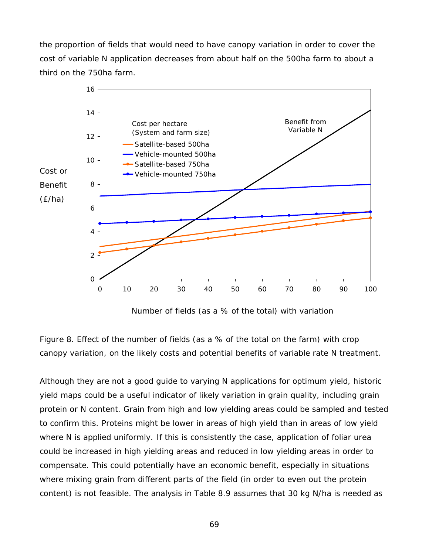the proportion of fields that would need to have canopy variation in order to cover the cost of variable N application decreases from about half on the 500ha farm to about a third on the 750ha farm.



Number of fields (as a % of the total) with variation

Figure 8. Effect of the number of fields (as a % of the total on the farm) with crop canopy variation, on the likely costs and potential benefits of variable rate N treatment.

Although they are not a good guide to varying N applications for optimum yield, historic yield maps could be a useful indicator of likely variation in grain quality, including grain protein or N content. Grain from high and low yielding areas could be sampled and tested to confirm this. Proteins might be lower in areas of high yield than in areas of low yield where N is applied uniformly. If this is consistently the case, application of foliar urea could be increased in high yielding areas and reduced in low yielding areas in order to compensate. This could potentially have an economic benefit, especially in situations where mixing grain from different parts of the field (in order to even out the protein content) is not feasible. The analysis in Table 8.9 assumes that 30 kg N/ha is needed as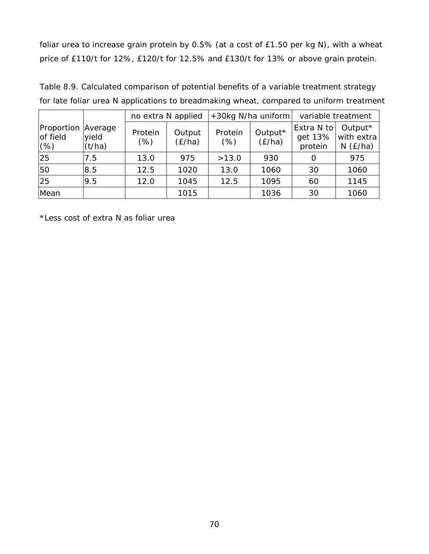foliar urea to increase grain protein by 0.5% (at a cost of £1.50 per kg N), with a wheat price of £110/t for 12%, £120/t for 12.5% and £130/t for 13% or above grain protein.

|                                        |                 | +30kg N/ha uniform<br>no extra N applied |                  | variable treatment |                   |                                  |                                         |
|----------------------------------------|-----------------|------------------------------------------|------------------|--------------------|-------------------|----------------------------------|-----------------------------------------|
| Proportion Average<br>of field<br>(% ) | yield<br>(t/ha) | Protein<br>$(\%)$                        | Output<br>(E/ha) | Protein<br>$(\%)$  | Output*<br>(E/ha) | Extra N to<br>get 13%<br>protein | Output*<br>with extra<br>$N$ ( $E/ha$ ) |
| 25                                     | 7.5             | 13.0                                     | 975              | >13.0              | 930               | 0                                | 975                                     |
| 50                                     | 8.5             | 12.5                                     | 1020             | 13.0               | 1060              | 30                               | 1060                                    |
| 25                                     | 9.5             | 12.0                                     | 1045             | 12.5               | 1095              | 60                               | 1145                                    |
| Mean                                   |                 |                                          | 1015             |                    | 1036              | 30                               | 1060                                    |

Table 8.9. Calculated comparison of potential benefits of a variable treatment strategy for late foliar urea N applications to breadmaking wheat, compared to uniform treatment

\*Less cost of extra N as foliar urea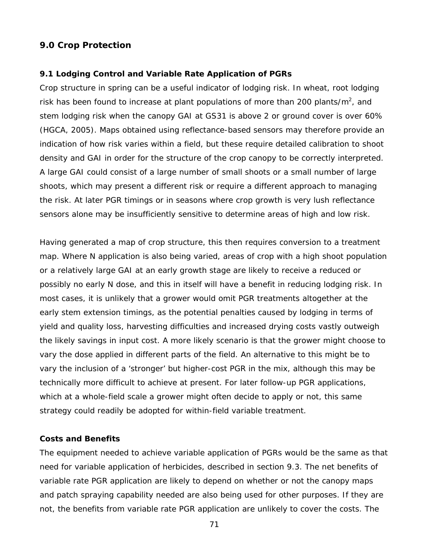# **9.0 Crop Protection**

### **9.1 Lodging Control and Variable Rate Application of PGRs**

Crop structure in spring can be a useful indicator of lodging risk. In wheat, root lodging risk has been found to increase at plant populations of more than 200 plants/m<sup>2</sup>, and stem lodging risk when the canopy GAI at GS31 is above 2 or ground cover is over 60% (HGCA, 2005). Maps obtained using reflectance-based sensors may therefore provide an indication of how risk varies within a field, but these require detailed calibration to shoot density and GAI in order for the structure of the crop canopy to be correctly interpreted. A large GAI could consist of a large number of small shoots or a small number of large shoots, which may present a different risk or require a different approach to managing the risk. At later PGR timings or in seasons where crop growth is very lush reflectance sensors alone may be insufficiently sensitive to determine areas of high and low risk.

Having generated a map of crop structure, this then requires conversion to a treatment map. Where N application is also being varied, areas of crop with a high shoot population or a relatively large GAI at an early growth stage are likely to receive a reduced or possibly no early N dose, and this in itself will have a benefit in reducing lodging risk. In most cases, it is unlikely that a grower would omit PGR treatments altogether at the early stem extension timings, as the potential penalties caused by lodging in terms of yield and quality loss, harvesting difficulties and increased drying costs vastly outweigh the likely savings in input cost. A more likely scenario is that the grower might choose to vary the dose applied in different parts of the field. An alternative to this might be to vary the inclusion of a 'stronger' but higher-cost PGR in the mix, although this may be technically more difficult to achieve at present. For later follow-up PGR applications, which at a whole-field scale a grower might often decide to apply or not, this same strategy could readily be adopted for within-field variable treatment.

### **Costs and Benefits**

The equipment needed to achieve variable application of PGRs would be the same as that need for variable application of herbicides, described in section 9.3. The net benefits of variable rate PGR application are likely to depend on whether or not the canopy maps and patch spraying capability needed are also being used for other purposes. If they are not, the benefits from variable rate PGR application are unlikely to cover the costs. The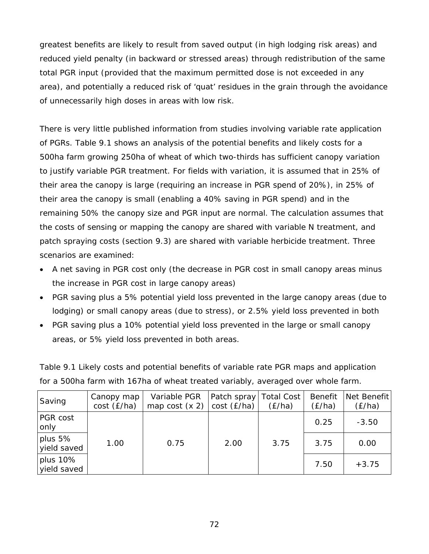greatest benefits are likely to result from saved output (in high lodging risk areas) and reduced yield penalty (in backward or stressed areas) through redistribution of the same total PGR input (provided that the maximum permitted dose is not exceeded in any area), and potentially a reduced risk of 'quat' residues in the grain through the avoidance of unnecessarily high doses in areas with low risk.

There is very little published information from studies involving variable rate application of PGRs. Table 9.1 shows an analysis of the potential benefits and likely costs for a 500ha farm growing 250ha of wheat of which two-thirds has sufficient canopy variation to justify variable PGR treatment. For fields with variation, it is assumed that in 25% of their area the canopy is large (requiring an increase in PGR spend of 20%), in 25% of their area the canopy is small (enabling a 40% saving in PGR spend) and in the remaining 50% the canopy size and PGR input are normal. The calculation assumes that the costs of sensing or mapping the canopy are shared with variable N treatment, and patch spraying costs (section 9.3) are shared with variable herbicide treatment. Three scenarios are examined:

- A net saving in PGR cost only (the decrease in PGR cost in small canopy areas minus the increase in PGR cost in large canopy areas)
- PGR saving plus a 5% potential yield loss prevented in the large canopy areas (due to lodging) or small canopy areas (due to stress), or 2.5% yield loss prevented in both
- PGR saving plus a 10% potential yield loss prevented in the large or small canopy areas, or 5% yield loss prevented in both areas.

Table 9.1 Likely costs and potential benefits of variable rate PGR maps and application for a 500ha farm with 167ha of wheat treated variably, averaged over whole farm.

| Saving                   | Canopy map<br>cost(E/ha) | Variable PGR<br>map cost $(x 2)$ | Patch spray<br>$cost$ ( $E/ha$ ) | <b>Total Cost</b><br>(E/ha) | <b>Benefit</b><br>(E/ha) | Net Benefit<br>(E/ha) |
|--------------------------|--------------------------|----------------------------------|----------------------------------|-----------------------------|--------------------------|-----------------------|
| PGR cost<br>only         |                          |                                  |                                  |                             | 0.25                     | $-3.50$               |
| plus $5%$<br>yield saved | 1.00                     | 0.75                             | 2.00                             | 3.75                        | 3.75                     | 0.00                  |
| plus 10%<br>vield saved  |                          |                                  |                                  |                             | 7.50                     | $+3.75$               |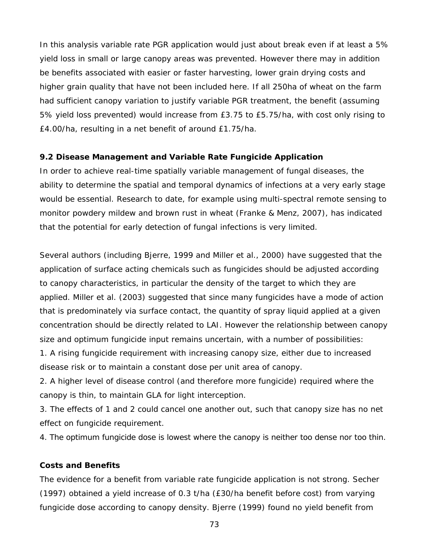In this analysis variable rate PGR application would just about break even if at least a 5% yield loss in small or large canopy areas was prevented. However there may in addition be benefits associated with easier or faster harvesting, lower grain drying costs and higher grain quality that have not been included here. If all 250ha of wheat on the farm had sufficient canopy variation to justify variable PGR treatment, the benefit (assuming 5% yield loss prevented) would increase from £3.75 to £5.75/ha, with cost only rising to £4.00/ha, resulting in a net benefit of around £1.75/ha.

# **9.2 Disease Management and Variable Rate Fungicide Application**

In order to achieve real-time spatially variable management of fungal diseases, the ability to determine the spatial and temporal dynamics of infections at a very early stage would be essential. Research to date, for example using multi-spectral remote sensing to monitor powdery mildew and brown rust in wheat (Franke & Menz, 2007), has indicated that the potential for early detection of fungal infections is very limited.

Several authors (including Bjerre, 1999 and Miller *et al.*, 2000) have suggested that the application of surface acting chemicals such as fungicides should be adjusted according to canopy characteristics, in particular the density of the target to which they are applied. Miller *et al*. (2003) suggested that since many fungicides have a mode of action that is predominately via surface contact, the quantity of spray liquid applied at a given concentration should be directly related to LAI. However the relationship between canopy size and optimum fungicide input remains uncertain, with a number of possibilities:

1. A rising fungicide requirement with increasing canopy size, either due to increased disease risk or to maintain a constant dose per unit area of canopy.

2. A higher level of disease control (and therefore more fungicide) required where the canopy is thin, to maintain GLA for light interception.

3. The effects of 1 and 2 could cancel one another out, such that canopy size has no net effect on fungicide requirement.

4. The optimum fungicide dose is lowest where the canopy is neither too dense nor too thin.

# **Costs and Benefits**

The evidence for a benefit from variable rate fungicide application is not strong. Secher (1997) obtained a yield increase of 0.3 t/ha (£30/ha benefit before cost) from varying fungicide dose according to canopy density. Bjerre (1999) found no yield benefit from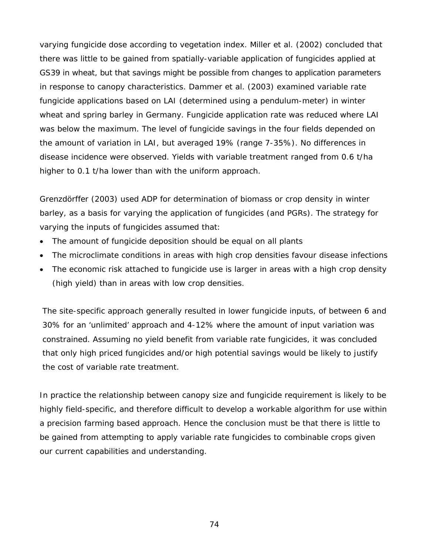varying fungicide dose according to vegetation index. Miller *et al.* (2002) concluded that there was little to be gained from spatially-variable application of fungicides applied at GS39 in wheat, but that savings might be possible from changes to application parameters in response to canopy characteristics. Dammer *et al*. (2003) examined variable rate fungicide applications based on LAI (determined using a pendulum-meter) in winter wheat and spring barley in Germany. Fungicide application rate was reduced where LAI was below the maximum. The level of fungicide savings in the four fields depended on the amount of variation in LAI, but averaged 19% (range 7-35%). No differences in disease incidence were observed. Yields with variable treatment ranged from 0.6 t/ha higher to 0.1 t/ha lower than with the uniform approach.

Grenzdörffer (2003) used ADP for determination of biomass or crop density in winter barley, as a basis for varying the application of fungicides (and PGRs). The strategy for varying the inputs of fungicides assumed that:

- The amount of fungicide deposition should be equal on all plants
- The microclimate conditions in areas with high crop densities favour disease infections
- The economic risk attached to fungicide use is larger in areas with a high crop density (high yield) than in areas with low crop densities.

The site-specific approach generally resulted in lower fungicide inputs, of between 6 and 30% for an 'unlimited' approach and 4-12% where the amount of input variation was constrained. Assuming no yield benefit from variable rate fungicides, it was concluded that only high priced fungicides and/or high potential savings would be likely to justify the cost of variable rate treatment.

In practice the relationship between canopy size and fungicide requirement is likely to be highly field-specific, and therefore difficult to develop a workable algorithm for use within a precision farming based approach. Hence the conclusion must be that there is little to be gained from attempting to apply variable rate fungicides to combinable crops given our current capabilities and understanding.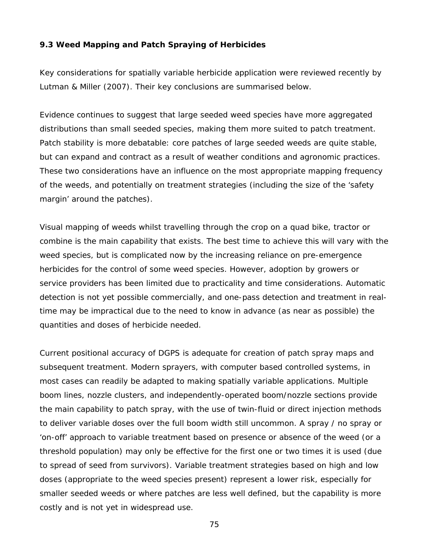### **9.3 Weed Mapping and Patch Spraying of Herbicides**

Key considerations for spatially variable herbicide application were reviewed recently by Lutman & Miller (2007). Their key conclusions are summarised below.

Evidence continues to suggest that large seeded weed species have more aggregated distributions than small seeded species, making them more suited to patch treatment. Patch stability is more debatable: core patches of large seeded weeds are quite stable, but can expand and contract as a result of weather conditions and agronomic practices. These two considerations have an influence on the most appropriate mapping frequency of the weeds, and potentially on treatment strategies (including the size of the 'safety margin' around the patches).

Visual mapping of weeds whilst travelling through the crop on a quad bike, tractor or combine is the main capability that exists. The best time to achieve this will vary with the weed species, but is complicated now by the increasing reliance on pre-emergence herbicides for the control of some weed species. However, adoption by growers or service providers has been limited due to practicality and time considerations. Automatic detection is not yet possible commercially, and one-pass detection and treatment in realtime may be impractical due to the need to know in advance (as near as possible) the quantities and doses of herbicide needed.

Current positional accuracy of DGPS is adequate for creation of patch spray maps and subsequent treatment. Modern sprayers, with computer based controlled systems, in most cases can readily be adapted to making spatially variable applications. Multiple boom lines, nozzle clusters, and independently-operated boom/nozzle sections provide the main capability to patch spray, with the use of twin-fluid or direct injection methods to deliver variable doses over the full boom width still uncommon. A spray / no spray or 'on-off' approach to variable treatment based on presence or absence of the weed (or a threshold population) may only be effective for the first one or two times it is used (due to spread of seed from survivors). Variable treatment strategies based on high and low doses (appropriate to the weed species present) represent a lower risk, especially for smaller seeded weeds or where patches are less well defined, but the capability is more costly and is not yet in widespread use.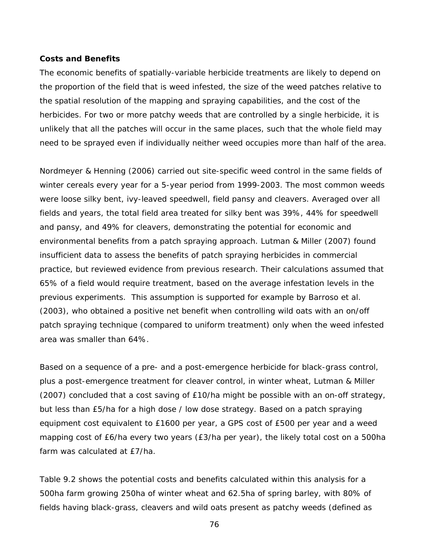#### **Costs and Benefits**

The economic benefits of spatially-variable herbicide treatments are likely to depend on the proportion of the field that is weed infested, the size of the weed patches relative to the spatial resolution of the mapping and spraying capabilities, and the cost of the herbicides. For two or more patchy weeds that are controlled by a single herbicide, it is unlikely that all the patches will occur in the same places, such that the whole field may need to be sprayed even if individually neither weed occupies more than half of the area.

Nordmeyer & Henning (2006) carried out site-specific weed control in the same fields of winter cereals every year for a 5-year period from 1999-2003. The most common weeds were loose silky bent, ivy-leaved speedwell, field pansy and cleavers. Averaged over all fields and years, the total field area treated for silky bent was 39%, 44% for speedwell and pansy, and 49% for cleavers, demonstrating the potential for economic and environmental benefits from a patch spraying approach. Lutman & Miller (2007) found insufficient data to assess the benefits of patch spraying herbicides in commercial practice, but reviewed evidence from previous research. Their calculations assumed that 65% of a field would require treatment, based on the average infestation levels in the previous experiments. This assumption is supported for example by Barroso *et al*. (2003), who obtained a positive net benefit when controlling wild oats with an on/off patch spraying technique (compared to uniform treatment) only when the weed infested area was smaller than 64%.

Based on a sequence of a pre- and a post-emergence herbicide for black-grass control, plus a post-emergence treatment for cleaver control, in winter wheat, Lutman & Miller (2007) concluded that a cost saving of £10/ha might be possible with an on-off strategy, but less than £5/ha for a high dose / low dose strategy. Based on a patch spraying equipment cost equivalent to £1600 per year, a GPS cost of £500 per year and a weed mapping cost of £6/ha every two years (£3/ha per year), the likely total cost on a 500ha farm was calculated at £7/ha.

Table 9.2 shows the potential costs and benefits calculated within this analysis for a 500ha farm growing 250ha of winter wheat and 62.5ha of spring barley, with 80% of fields having black-grass, cleavers and wild oats present as patchy weeds (defined as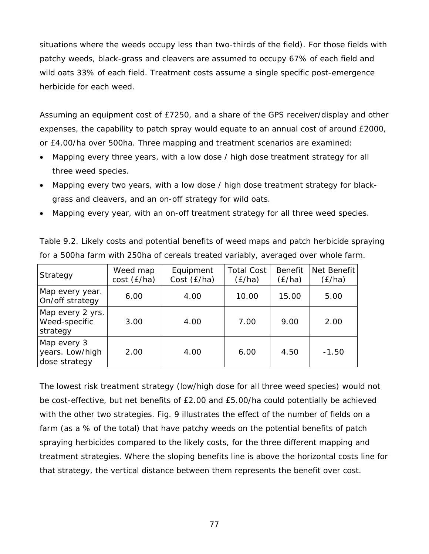situations where the weeds occupy less than two-thirds of the field). For those fields with patchy weeds, black-grass and cleavers are assumed to occupy 67% of each field and wild oats 33% of each field. Treatment costs assume a single specific post-emergence herbicide for each weed.

Assuming an equipment cost of £7250, and a share of the GPS receiver/display and other expenses, the capability to patch spray would equate to an annual cost of around £2000, or £4.00/ha over 500ha. Three mapping and treatment scenarios are examined:

- Mapping every three years, with a low dose / high dose treatment strategy for all three weed species.
- Mapping every two years, with a low dose / high dose treatment strategy for blackgrass and cleavers, and an on-off strategy for wild oats.
- Mapping every year, with an on-off treatment strategy for all three weed species.

Table 9.2. Likely costs and potential benefits of weed maps and patch herbicide spraying for a 500ha farm with 250ha of cereals treated variably, averaged over whole farm.

| Strategy                                        | Weed map<br>cost(E/ha) | Equipment<br>Cost (£/ha) | <b>Total Cost</b><br>(E/ha) | <b>Benefit</b><br>(E/ha) | Net Benefit<br>(E/ha) |
|-------------------------------------------------|------------------------|--------------------------|-----------------------------|--------------------------|-----------------------|
| Map every year.<br>On/off strategy              | 6.00                   | 4.00                     | 10.00                       | 15.00                    | 5.00                  |
| Map every 2 yrs.<br>Weed-specific<br>strategy   | 3.00                   | 4.00                     | 7.00                        | 9.00                     | 2.00                  |
| Map every 3<br>years. Low/high<br>dose strategy | 2.00                   | 4.00                     | 6.00                        | 4.50                     | $-1.50$               |

The lowest risk treatment strategy (low/high dose for all three weed species) would not be cost-effective, but net benefits of £2.00 and £5.00/ha could potentially be achieved with the other two strategies. Fig. 9 illustrates the effect of the number of fields on a farm (as a % of the total) that have patchy weeds on the potential benefits of patch spraying herbicides compared to the likely costs, for the three different mapping and treatment strategies. Where the sloping benefits line is above the horizontal costs line for that strategy, the vertical distance between them represents the benefit over cost.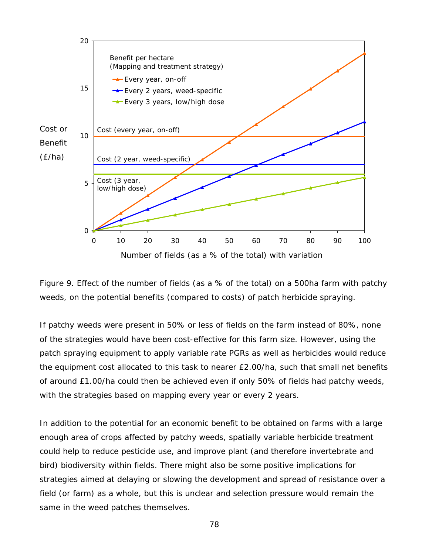

Figure 9. Effect of the number of fields (as a % of the total) on a 500ha farm with patchy weeds, on the potential benefits (compared to costs) of patch herbicide spraying.

If patchy weeds were present in 50% or less of fields on the farm instead of 80%, none of the strategies would have been cost-effective for this farm size. However, using the patch spraying equipment to apply variable rate PGRs as well as herbicides would reduce the equipment cost allocated to this task to nearer £2.00/ha, such that small net benefits of around £1.00/ha could then be achieved even if only 50% of fields had patchy weeds, with the strategies based on mapping every year or every 2 years.

In addition to the potential for an economic benefit to be obtained on farms with a large enough area of crops affected by patchy weeds, spatially variable herbicide treatment could help to reduce pesticide use, and improve plant (and therefore invertebrate and bird) biodiversity within fields. There might also be some positive implications for strategies aimed at delaying or slowing the development and spread of resistance over a field (or farm) as a whole, but this is unclear and selection pressure would remain the same in the weed patches themselves.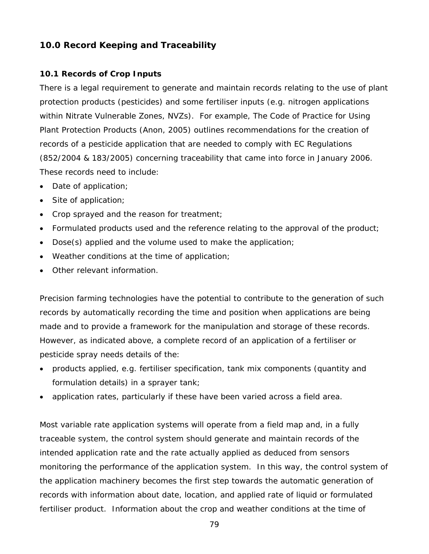# **10.0 Record Keeping and Traceability**

# **10.1 Records of Crop Inputs**

There is a legal requirement to generate and maintain records relating to the use of plant protection products (pesticides) and some fertiliser inputs (e.g. nitrogen applications within Nitrate Vulnerable Zones, NVZs). For example, The Code of Practice for Using Plant Protection Products (Anon, 2005) outlines recommendations for the creation of records of a pesticide application that are needed to comply with EC Regulations (852/2004 & 183/2005) concerning traceability that came into force in January 2006. These records need to include:

- Date of application;
- Site of application;
- Crop sprayed and the reason for treatment;
- Formulated products used and the reference relating to the approval of the product;
- Dose(s) applied and the volume used to make the application;
- Weather conditions at the time of application;
- Other relevant information.

Precision farming technologies have the potential to contribute to the generation of such records by automatically recording the time and position when applications are being made and to provide a framework for the manipulation and storage of these records. However, as indicated above, a complete record of an application of a fertiliser or pesticide spray needs details of the:

- products applied, e.g. fertiliser specification, tank mix components (quantity and formulation details) in a sprayer tank;
- application rates, particularly if these have been varied across a field area.

Most variable rate application systems will operate from a field map and, in a fully traceable system, the control system should generate and maintain records of the intended application rate and the rate actually applied as deduced from sensors monitoring the performance of the application system. In this way, the control system of the application machinery becomes the first step towards the automatic generation of records with information about date, location, and applied rate of liquid or formulated fertiliser product. Information about the crop and weather conditions at the time of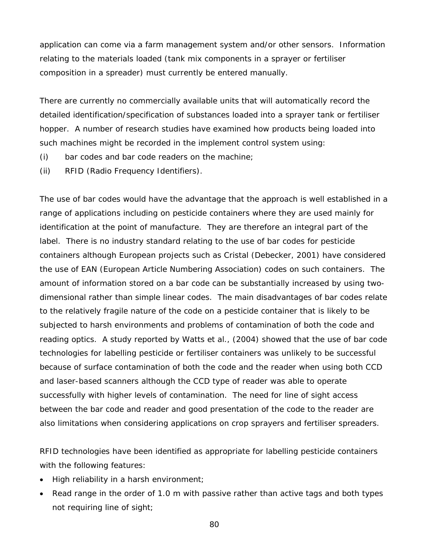application can come via a farm management system and/or other sensors. Information relating to the materials loaded (tank mix components in a sprayer or fertiliser composition in a spreader) must currently be entered manually.

There are currently no commercially available units that will automatically record the detailed identification/specification of substances loaded into a sprayer tank or fertiliser hopper. A number of research studies have examined how products being loaded into such machines might be recorded in the implement control system using:

- (i) bar codes and bar code readers on the machine;
- (ii) RFID (Radio Frequency Identifiers).

The use of bar codes would have the advantage that the approach is well established in a range of applications including on pesticide containers where they are used mainly for identification at the point of manufacture. They are therefore an integral part of the label. There is no industry standard relating to the use of bar codes for pesticide containers although European projects such as Cristal (Debecker, 2001) have considered the use of EAN (European Article Numbering Association) codes on such containers. The amount of information stored on a bar code can be substantially increased by using twodimensional rather than simple linear codes. The main disadvantages of bar codes relate to the relatively fragile nature of the code on a pesticide container that is likely to be subjected to harsh environments and problems of contamination of both the code and reading optics. A study reported by Watts et al., (2004) showed that the use of bar code technologies for labelling pesticide or fertiliser containers was unlikely to be successful because of surface contamination of both the code and the reader when using both CCD and laser-based scanners although the CCD type of reader was able to operate successfully with higher levels of contamination. The need for line of sight access between the bar code and reader and good presentation of the code to the reader are also limitations when considering applications on crop sprayers and fertiliser spreaders.

RFID technologies have been identified as appropriate for labelling pesticide containers with the following features:

- High reliability in a harsh environment;
- Read range in the order of 1.0 m with passive rather than active tags and both types not requiring line of sight;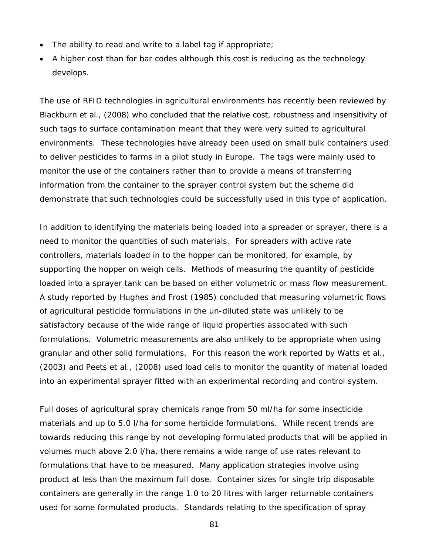- The ability to read and write to a label tag if appropriate;
- A higher cost than for bar codes although this cost is reducing as the technology develops.

The use of RFID technologies in agricultural environments has recently been reviewed by Blackburn *et al*., (2008) who concluded that the relative cost, robustness and insensitivity of such tags to surface contamination meant that they were very suited to agricultural environments. These technologies have already been used on small bulk containers used to deliver pesticides to farms in a pilot study in Europe. The tags were mainly used to monitor the use of the containers rather than to provide a means of transferring information from the container to the sprayer control system but the scheme did demonstrate that such technologies could be successfully used in this type of application.

In addition to identifying the materials being loaded into a spreader or sprayer, there is a need to monitor the quantities of such materials. For spreaders with active rate controllers, materials loaded in to the hopper can be monitored, for example, by supporting the hopper on weigh cells. Methods of measuring the quantity of pesticide loaded into a sprayer tank can be based on either volumetric or mass flow measurement. A study reported by Hughes and Frost (1985) concluded that measuring volumetric flows of agricultural pesticide formulations in the un-diluted state was unlikely to be satisfactory because of the wide range of liquid properties associated with such formulations. Volumetric measurements are also unlikely to be appropriate when using granular and other solid formulations. For this reason the work reported by Watts *et al*., (2003) and Peets *et al.,* (2008) used load cells to monitor the quantity of material loaded into an experimental sprayer fitted with an experimental recording and control system.

Full doses of agricultural spray chemicals range from 50 ml/ha for some insecticide materials and up to 5.0 l/ha for some herbicide formulations. While recent trends are towards reducing this range by not developing formulated products that will be applied in volumes much above 2.0 l/ha, there remains a wide range of use rates relevant to formulations that have to be measured. Many application strategies involve using product at less than the maximum full dose. Container sizes for single trip disposable containers are generally in the range 1.0 to 20 litres with larger returnable containers used for some formulated products. Standards relating to the specification of spray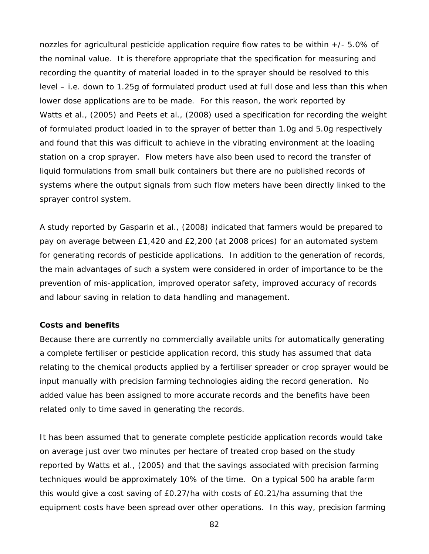nozzles for agricultural pesticide application require flow rates to be within +/- 5.0% of the nominal value. It is therefore appropriate that the specification for measuring and recording the quantity of material loaded in to the sprayer should be resolved to this level – i.e. down to 1.25g of formulated product used at full dose and less than this when lower dose applications are to be made. For this reason, the work reported by Watts *et al*., (2005) and Peets *et al*., (2008) used a specification for recording the weight of formulated product loaded in to the sprayer of better than 1.0g and 5.0g respectively and found that this was difficult to achieve in the vibrating environment at the loading station on a crop sprayer. Flow meters have also been used to record the transfer of liquid formulations from small bulk containers but there are no published records of systems where the output signals from such flow meters have been directly linked to the sprayer control system.

A study reported by Gasparin *et al.*, (2008) indicated that farmers would be prepared to pay on average between £1,420 and £2,200 (at 2008 prices) for an automated system for generating records of pesticide applications. In addition to the generation of records, the main advantages of such a system were considered in order of importance to be the prevention of mis-application, improved operator safety, improved accuracy of records and labour saving in relation to data handling and management.

# **Costs and benefits**

Because there are currently no commercially available units for automatically generating a complete fertiliser or pesticide application record, this study has assumed that data relating to the chemical products applied by a fertiliser spreader or crop sprayer would be input manually with precision farming technologies aiding the record generation. No added value has been assigned to more accurate records and the benefits have been related only to time saved in generating the records.

It has been assumed that to generate complete pesticide application records would take on average just over two minutes per hectare of treated crop based on the study reported by Watts *et al*., (2005) and that the savings associated with precision farming techniques would be approximately 10% of the time. On a typical 500 ha arable farm this would give a cost saving of £0.27/ha with costs of £0.21/ha assuming that the equipment costs have been spread over other operations. In this way, precision farming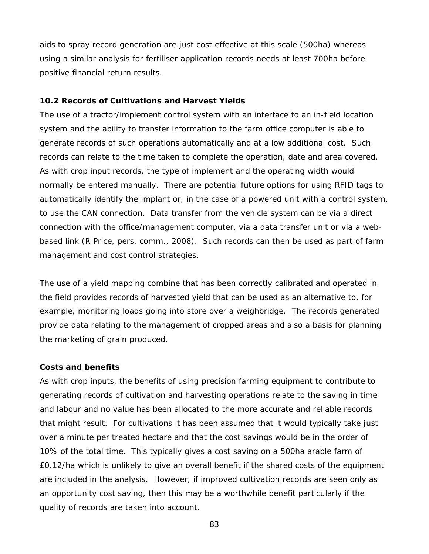aids to spray record generation are just cost effective at this scale (500ha) whereas using a similar analysis for fertiliser application records needs at least 700ha before positive financial return results.

#### **10.2 Records of Cultivations and Harvest Yields**

The use of a tractor/implement control system with an interface to an in-field location system and the ability to transfer information to the farm office computer is able to generate records of such operations automatically and at a low additional cost. Such records can relate to the time taken to complete the operation, date and area covered. As with crop input records, the type of implement and the operating width would normally be entered manually. There are potential future options for using RFID tags to automatically identify the implant or, in the case of a powered unit with a control system, to use the CAN connection. Data transfer from the vehicle system can be via a direct connection with the office/management computer, via a data transfer unit or via a webbased link (R Price, pers. comm., 2008). Such records can then be used as part of farm management and cost control strategies.

The use of a yield mapping combine that has been correctly calibrated and operated in the field provides records of harvested yield that can be used as an alternative to, for example, monitoring loads going into store over a weighbridge. The records generated provide data relating to the management of cropped areas and also a basis for planning the marketing of grain produced.

#### **Costs and benefits**

As with crop inputs, the benefits of using precision farming equipment to contribute to generating records of cultivation and harvesting operations relate to the saving in time and labour and no value has been allocated to the more accurate and reliable records that might result. For cultivations it has been assumed that it would typically take just over a minute per treated hectare and that the cost savings would be in the order of 10% of the total time. This typically gives a cost saving on a 500ha arable farm of £0.12/ha which is unlikely to give an overall benefit if the shared costs of the equipment are included in the analysis. However, if improved cultivation records are seen only as an opportunity cost saving, then this may be a worthwhile benefit particularly if the quality of records are taken into account.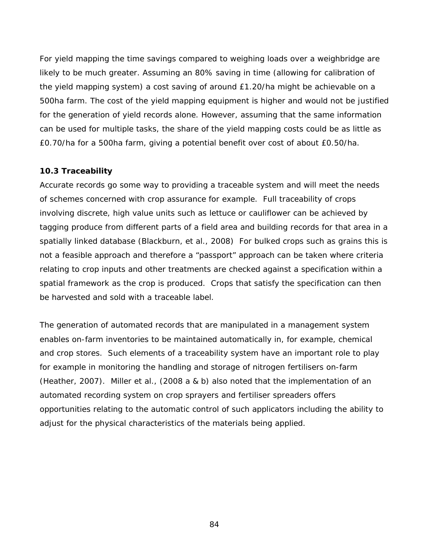For yield mapping the time savings compared to weighing loads over a weighbridge are likely to be much greater. Assuming an 80% saving in time (allowing for calibration of the yield mapping system) a cost saving of around £1.20/ha might be achievable on a 500ha farm. The cost of the yield mapping equipment is higher and would not be justified for the generation of yield records alone. However, assuming that the same information can be used for multiple tasks, the share of the yield mapping costs could be as little as £0.70/ha for a 500ha farm, giving a potential benefit over cost of about £0.50/ha.

# **10.3 Traceability**

Accurate records go some way to providing a traceable system and will meet the needs of schemes concerned with crop assurance for example. Full traceability of crops involving discrete, high value units such as lettuce or cauliflower can be achieved by tagging produce from different parts of a field area and building records for that area in a spatially linked database (Blackburn, *et al*., 2008) For bulked crops such as grains this is not a feasible approach and therefore a "passport" approach can be taken where criteria relating to crop inputs and other treatments are checked against a specification within a spatial framework as the crop is produced. Crops that satisfy the specification can then be harvested and sold with a traceable label.

The generation of automated records that are manipulated in a management system enables on-farm inventories to be maintained automatically in, for example, chemical and crop stores. Such elements of a traceability system have an important role to play for example in monitoring the handling and storage of nitrogen fertilisers on-farm (Heather, 2007). Miller *et al.*, (2008 a & b) also noted that the implementation of an automated recording system on crop sprayers and fertiliser spreaders offers opportunities relating to the automatic control of such applicators including the ability to adjust for the physical characteristics of the materials being applied.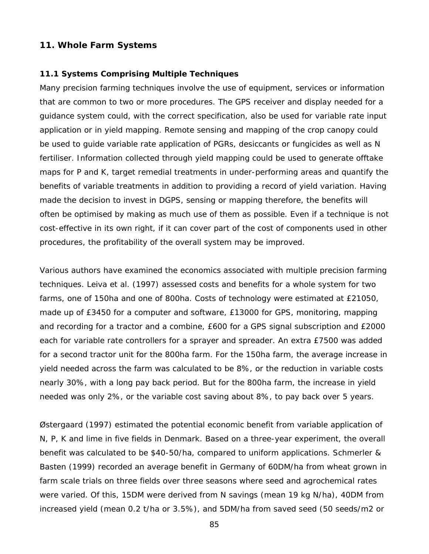# **11. Whole Farm Systems**

#### **11.1 Systems Comprising Multiple Techniques**

Many precision farming techniques involve the use of equipment, services or information that are common to two or more procedures. The GPS receiver and display needed for a guidance system could, with the correct specification, also be used for variable rate input application or in yield mapping. Remote sensing and mapping of the crop canopy could be used to guide variable rate application of PGRs, desiccants or fungicides as well as N fertiliser. Information collected through yield mapping could be used to generate offtake maps for P and K, target remedial treatments in under-performing areas and quantify the benefits of variable treatments in addition to providing a record of yield variation. Having made the decision to invest in DGPS, sensing or mapping therefore, the benefits will often be optimised by making as much use of them as possible. Even if a technique is not cost-effective in its own right, if it can cover part of the cost of components used in other procedures, the profitability of the overall system may be improved.

Various authors have examined the economics associated with multiple precision farming techniques. Leiva *et al.* (1997) assessed costs and benefits for a whole system for two farms, one of 150ha and one of 800ha. Costs of technology were estimated at £21050, made up of £3450 for a computer and software, £13000 for GPS, monitoring, mapping and recording for a tractor and a combine, £600 for a GPS signal subscription and £2000 each for variable rate controllers for a sprayer and spreader. An extra £7500 was added for a second tractor unit for the 800ha farm. For the 150ha farm, the average increase in yield needed across the farm was calculated to be 8%, or the reduction in variable costs nearly 30%, with a long pay back period. But for the 800ha farm, the increase in yield needed was only 2%, or the variable cost saving about 8%, to pay back over 5 years.

Østergaard (1997) estimated the potential economic benefit from variable application of N, P, K and lime in five fields in Denmark. Based on a three-year experiment, the overall benefit was calculated to be \$40-50/ha, compared to uniform applications. Schmerler & Basten (1999) recorded an average benefit in Germany of 60DM/ha from wheat grown in farm scale trials on three fields over three seasons where seed and agrochemical rates were varied. Of this, 15DM were derived from N savings (mean 19 kg N/ha), 40DM from increased yield (mean 0.2 t/ha or 3.5%), and 5DM/ha from saved seed (50 seeds/m2 or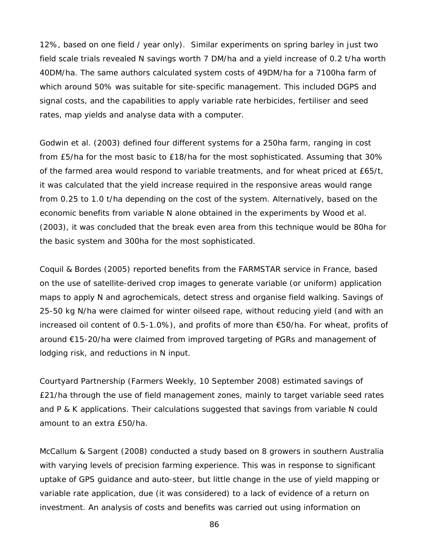12%, based on one field / year only). Similar experiments on spring barley in just two field scale trials revealed N savings worth 7 DM/ha and a yield increase of 0.2 t/ha worth 40DM/ha. The same authors calculated system costs of 49DM/ha for a 7100ha farm of which around 50% was suitable for site-specific management. This included DGPS and signal costs, and the capabilities to apply variable rate herbicides, fertiliser and seed rates, map yields and analyse data with a computer.

Godwin *et al.* (2003) defined four different systems for a 250ha farm, ranging in cost from £5/ha for the most basic to £18/ha for the most sophisticated. Assuming that 30% of the farmed area would respond to variable treatments, and for wheat priced at £65/t, it was calculated that the yield increase required in the responsive areas would range from 0.25 to 1.0 t/ha depending on the cost of the system. Alternatively, based on the economic benefits from variable N alone obtained in the experiments by Wood *et al*. (2003), it was concluded that the break even area from this technique would be 80ha for the basic system and 300ha for the most sophisticated.

Coquil & Bordes (2005) reported benefits from the FARMSTAR service in France, based on the use of satellite-derived crop images to generate variable (or uniform) application maps to apply N and agrochemicals, detect stress and organise field walking. Savings of 25-50 kg N/ha were claimed for winter oilseed rape, without reducing yield (and with an increased oil content of 0.5-1.0%), and profits of more than  $\epsilon$ 50/ha. For wheat, profits of around €15-20/ha were claimed from improved targeting of PGRs and management of lodging risk, and reductions in N input.

Courtyard Partnership (Farmers Weekly, 10 September 2008) estimated savings of £21/ha through the use of field management zones, mainly to target variable seed rates and P & K applications. Their calculations suggested that savings from variable N could amount to an extra £50/ha.

McCallum & Sargent (2008) conducted a study based on 8 growers in southern Australia with varying levels of precision farming experience. This was in response to significant uptake of GPS guidance and auto-steer, but little change in the use of yield mapping or variable rate application, due (it was considered) to a lack of evidence of a return on investment. An analysis of costs and benefits was carried out using information on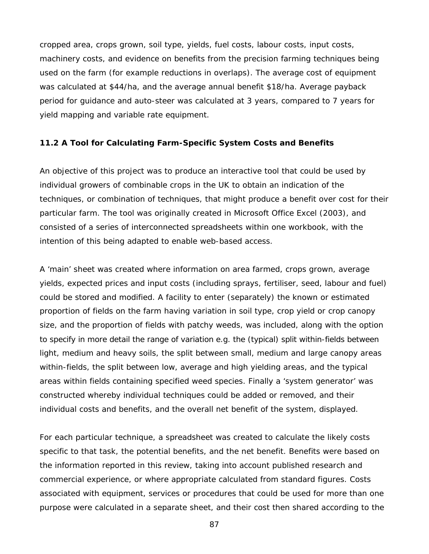cropped area, crops grown, soil type, yields, fuel costs, labour costs, input costs, machinery costs, and evidence on benefits from the precision farming techniques being used on the farm (for example reductions in overlaps). The average cost of equipment was calculated at \$44/ha, and the average annual benefit \$18/ha. Average payback period for guidance and auto-steer was calculated at 3 years, compared to 7 years for yield mapping and variable rate equipment.

# **11.2 A Tool for Calculating Farm-Specific System Costs and Benefits**

An objective of this project was to produce an interactive tool that could be used by individual growers of combinable crops in the UK to obtain an indication of the techniques, or combination of techniques, that might produce a benefit over cost for their particular farm. The tool was originally created in Microsoft Office Excel (2003), and consisted of a series of interconnected spreadsheets within one workbook, with the intention of this being adapted to enable web-based access.

A 'main' sheet was created where information on area farmed, crops grown, average yields, expected prices and input costs (including sprays, fertiliser, seed, labour and fuel) could be stored and modified. A facility to enter (separately) the known or estimated proportion of fields on the farm having variation in soil type, crop yield or crop canopy size, and the proportion of fields with patchy weeds, was included, along with the option to specify in more detail the range of variation *e.g.* the (typical) split within-fields between light, medium and heavy soils, the split between small, medium and large canopy areas within-fields, the split between low, average and high yielding areas, and the typical areas within fields containing specified weed species. Finally a 'system generator' was constructed whereby individual techniques could be added or removed, and their individual costs and benefits, and the overall net benefit of the system, displayed.

For each particular technique, a spreadsheet was created to calculate the likely costs specific to that task, the potential benefits, and the net benefit. Benefits were based on the information reported in this review, taking into account published research and commercial experience, or where appropriate calculated from standard figures. Costs associated with equipment, services or procedures that could be used for more than one purpose were calculated in a separate sheet, and their cost then shared according to the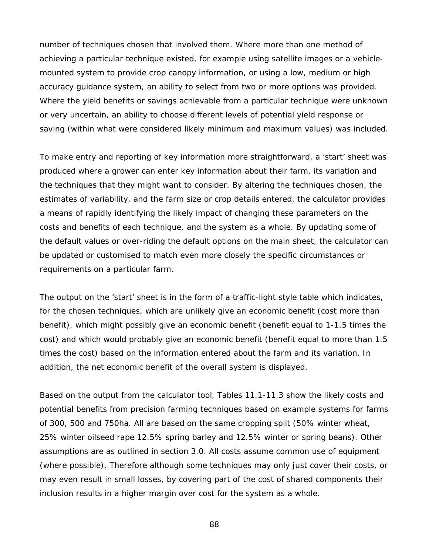number of techniques chosen that involved them. Where more than one method of achieving a particular technique existed, for example using satellite images or a vehiclemounted system to provide crop canopy information, or using a low, medium or high accuracy guidance system, an ability to select from two or more options was provided. Where the yield benefits or savings achievable from a particular technique were unknown or very uncertain, an ability to choose different levels of potential yield response or saving (within what were considered likely minimum and maximum values) was included.

To make entry and reporting of key information more straightforward, a 'start' sheet was produced where a grower can enter key information about their farm, its variation and the techniques that they might want to consider. By altering the techniques chosen, the estimates of variability, and the farm size or crop details entered, the calculator provides a means of rapidly identifying the likely impact of changing these parameters on the costs and benefits of each technique, and the system as a whole. By updating some of the default values or over-riding the default options on the main sheet, the calculator can be updated or customised to match even more closely the specific circumstances or requirements on a particular farm.

The output on the 'start' sheet is in the form of a traffic-light style table which indicates, for the chosen techniques, which are unlikely give an economic benefit (cost more than benefit), which might possibly give an economic benefit (benefit equal to 1-1.5 times the cost) and which would probably give an economic benefit (benefit equal to more than 1.5 times the cost) based on the information entered about the farm and its variation. In addition, the net economic benefit of the overall system is displayed.

Based on the output from the calculator tool, Tables 11.1-11.3 show the likely costs and potential benefits from precision farming techniques based on example systems for farms of 300, 500 and 750ha. All are based on the same cropping split (50% winter wheat, 25% winter oilseed rape 12.5% spring barley and 12.5% winter or spring beans). Other assumptions are as outlined in section 3.0. All costs assume common use of equipment (where possible). Therefore although some techniques may only just cover their costs, or may even result in small losses, by covering part of the cost of shared components their inclusion results in a higher margin over cost for the system as a whole.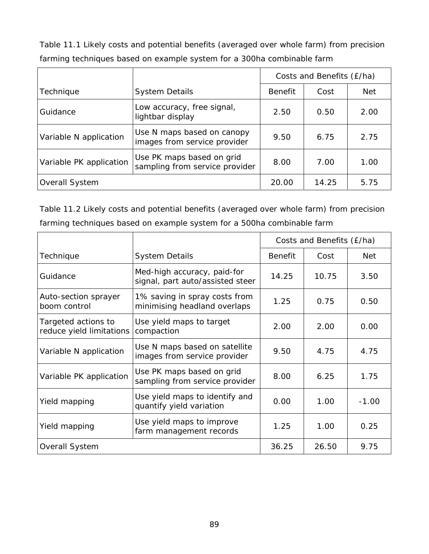Table 11.1 Likely costs and potential benefits (averaged over whole farm) from precision farming techniques based on example system for a 300ha combinable farm

|                         |                                                             | Costs and Benefits (£/ha) |       |            |
|-------------------------|-------------------------------------------------------------|---------------------------|-------|------------|
| Technique               | <b>System Details</b>                                       | <b>Benefit</b>            | Cost  | <b>Net</b> |
| Guidance                | Low accuracy, free signal,<br>lightbar display              | 2.50                      | 0.50  | 2.00       |
| Variable N application  | Use N maps based on canopy<br>images from service provider  | 9.50                      | 6.75  | 2.75       |
| Variable PK application | Use PK maps based on grid<br>sampling from service provider | 8.00                      | 7.00  | 1.00       |
| Overall System          |                                                             | 20.00                     | 14.25 | 5.75       |

Table 11.2 Likely costs and potential benefits (averaged over whole farm) from precision farming techniques based on example system for a 500ha combinable farm

|                                                 |                                                                 | Costs and Benefits (£/ha) |       |         |
|-------------------------------------------------|-----------------------------------------------------------------|---------------------------|-------|---------|
| Technique                                       | <b>System Details</b>                                           | <b>Benefit</b>            | Cost  | Net     |
| Guidance                                        | Med-high accuracy, paid-for<br>signal, part auto/assisted steer | 14.25                     | 10.75 | 3.50    |
| Auto-section sprayer<br>boom control            | 1% saving in spray costs from<br>minimising headland overlaps   | 1.25                      | 0.75  | 0.50    |
| Targeted actions to<br>reduce yield limitations | Use yield maps to target<br>compaction                          | 2.00                      | 2.00  | 0.00    |
| Variable N application                          | Use N maps based on satellite<br>images from service provider   | 9.50                      | 4.75  | 4.75    |
| Variable PK application                         | Use PK maps based on grid<br>sampling from service provider     | 8.00                      | 6.25  | 1.75    |
| Yield mapping                                   | Use yield maps to identify and<br>quantify yield variation      | 0.00                      | 1.00  | $-1.00$ |
| Yield mapping                                   | Use yield maps to improve<br>farm management records            | 1.25                      | 1.00  | 0.25    |
| Overall System                                  |                                                                 | 36.25                     | 26.50 | 9.75    |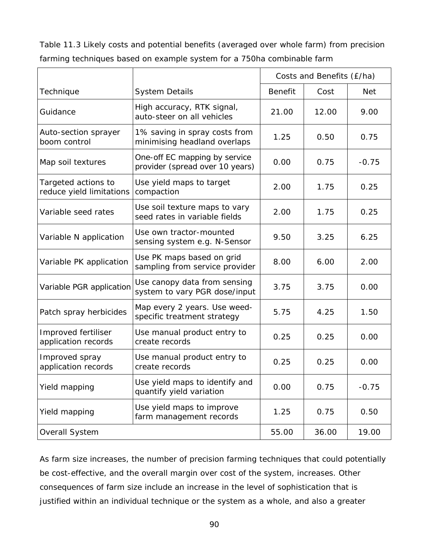Table 11.3 Likely costs and potential benefits (averaged over whole farm) from precision farming techniques based on example system for a 750ha combinable farm

|                                                 |                                                                  | Costs and Benefits (£/ha) |       |            |
|-------------------------------------------------|------------------------------------------------------------------|---------------------------|-------|------------|
| Technique                                       | <b>System Details</b>                                            | <b>Benefit</b>            | Cost  | <b>Net</b> |
| Guidance                                        | High accuracy, RTK signal,<br>auto-steer on all vehicles         | 21.00                     | 12.00 | 9.00       |
| Auto-section sprayer<br>boom control            | 1% saving in spray costs from<br>minimising headland overlaps    | 1.25                      | 0.50  | 0.75       |
| Map soil textures                               | One-off EC mapping by service<br>provider (spread over 10 years) | 0.00                      | 0.75  | $-0.75$    |
| Targeted actions to<br>reduce yield limitations | Use yield maps to target<br>compaction                           | 2.00                      | 1.75  | 0.25       |
| Variable seed rates                             | Use soil texture maps to vary<br>seed rates in variable fields   | 2.00                      | 1.75  | 0.25       |
| Variable N application                          | Use own tractor-mounted<br>sensing system e.g. N-Sensor          | 9.50                      | 3.25  | 6.25       |
| Variable PK application                         | Use PK maps based on grid<br>sampling from service provider      | 8.00                      | 6.00  | 2.00       |
| Variable PGR application                        | Use canopy data from sensing<br>system to vary PGR dose/input    | 3.75                      | 3.75  | 0.00       |
| Patch spray herbicides                          | Map every 2 years. Use weed-<br>specific treatment strategy      | 5.75                      | 4.25  | 1.50       |
| Improved fertiliser<br>application records      | Use manual product entry to<br>create records                    | 0.25                      | 0.25  | 0.00       |
| Improved spray<br>application records           | Use manual product entry to<br>create records                    | 0.25                      | 0.25  | 0.00       |
| Yield mapping                                   | Use yield maps to identify and<br>quantify yield variation       | 0.00                      | 0.75  | $-0.75$    |
| Yield mapping                                   | Use yield maps to improve<br>farm management records             | 1.25                      | 0.75  | 0.50       |
| Overall System                                  |                                                                  | 55.00                     | 36.00 | 19.00      |

As farm size increases, the number of precision farming techniques that could potentially be cost-effective, and the overall margin over cost of the system, increases. Other consequences of farm size include an increase in the level of sophistication that is justified within an individual technique or the system as a whole, and also a greater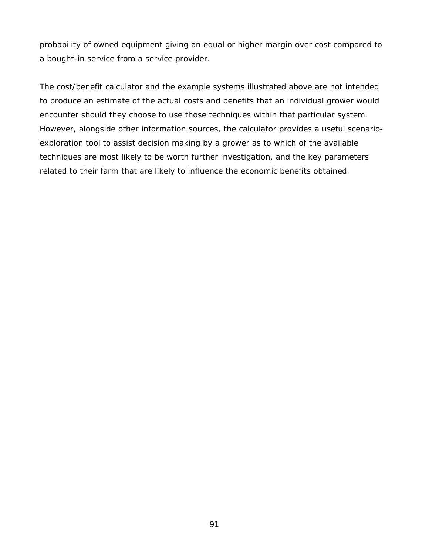probability of owned equipment giving an equal or higher margin over cost compared to a bought-in service from a service provider.

The cost/benefit calculator and the example systems illustrated above are not intended to produce an estimate of the actual costs and benefits that an individual grower would encounter should they choose to use those techniques within that particular system. However, alongside other information sources, the calculator provides a useful scenarioexploration tool to assist decision making by a grower as to which of the available techniques are most likely to be worth further investigation, and the key parameters related to their farm that are likely to influence the economic benefits obtained.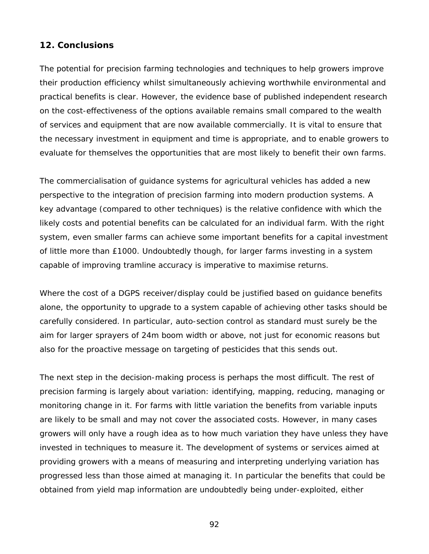# **12. Conclusions**

The potential for precision farming technologies and techniques to help growers improve their production efficiency whilst simultaneously achieving worthwhile environmental and practical benefits is clear. However, the evidence base of published independent research on the cost-effectiveness of the options available remains small compared to the wealth of services and equipment that are now available commercially. It is vital to ensure that the necessary investment in equipment and time is appropriate, and to enable growers to evaluate for themselves the opportunities that are most likely to benefit their own farms.

The commercialisation of guidance systems for agricultural vehicles has added a new perspective to the integration of precision farming into modern production systems. A key advantage (compared to other techniques) is the relative confidence with which the likely costs and potential benefits can be calculated for an individual farm. With the right system, even smaller farms can achieve some important benefits for a capital investment of little more than £1000. Undoubtedly though, for larger farms investing in a system capable of improving tramline accuracy is imperative to maximise returns.

Where the cost of a DGPS receiver/display could be justified based on guidance benefits alone, the opportunity to upgrade to a system capable of achieving other tasks should be carefully considered. In particular, auto-section control as standard must surely be the aim for larger sprayers of 24m boom width or above, not just for economic reasons but also for the proactive message on targeting of pesticides that this sends out.

The next step in the decision-making process is perhaps the most difficult. The rest of precision farming is largely about variation: identifying, mapping, reducing, managing or monitoring change in it. For farms with little variation the benefits from variable inputs are likely to be small and may not cover the associated costs. However, in many cases growers will only have a rough idea as to how much variation they have unless they have invested in techniques to measure it. The development of systems or services aimed at providing growers with a means of measuring and interpreting underlying variation has progressed less than those aimed at managing it. In particular the benefits that could be obtained from yield map information are undoubtedly being under-exploited, either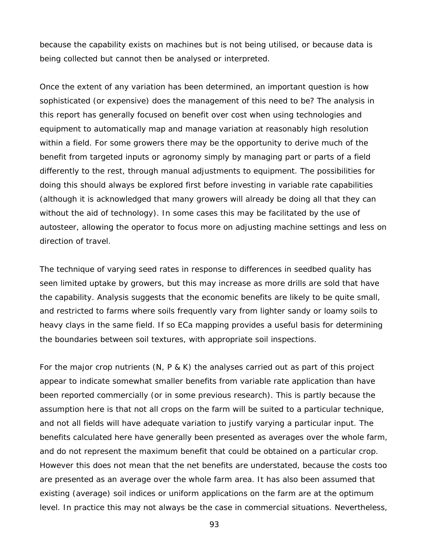because the capability exists on machines but is not being utilised, or because data is being collected but cannot then be analysed or interpreted.

Once the extent of any variation has been determined, an important question is how sophisticated (or expensive) does the management of this need to be? The analysis in this report has generally focused on benefit over cost when using technologies and equipment to automatically map and manage variation at reasonably high resolution within a field. For some growers there may be the opportunity to derive much of the benefit from targeted inputs or agronomy simply by managing part or parts of a field differently to the rest, through manual adjustments to equipment. The possibilities for doing this should always be explored first before investing in variable rate capabilities (although it is acknowledged that many growers will already be doing all that they can without the aid of technology). In some cases this may be facilitated by the use of autosteer, allowing the operator to focus more on adjusting machine settings and less on direction of travel.

The technique of varying seed rates in response to differences in seedbed quality has seen limited uptake by growers, but this may increase as more drills are sold that have the capability. Analysis suggests that the economic benefits are likely to be quite small, and restricted to farms where soils frequently vary from lighter sandy or loamy soils to heavy clays in the same field. If so ECa mapping provides a useful basis for determining the boundaries between soil textures, with appropriate soil inspections.

For the major crop nutrients (N, P & K) the analyses carried out as part of this project appear to indicate somewhat smaller benefits from variable rate application than have been reported commercially (or in some previous research). This is partly because the assumption here is that not all crops on the farm will be suited to a particular technique, and not all fields will have adequate variation to justify varying a particular input. The benefits calculated here have generally been presented as averages over the whole farm, and do not represent the maximum benefit that could be obtained on a particular crop. However this does not mean that the net benefits are understated, because the costs too are presented as an average over the whole farm area. It has also been assumed that existing (average) soil indices or uniform applications on the farm are at the optimum level. In practice this may not always be the case in commercial situations. Nevertheless,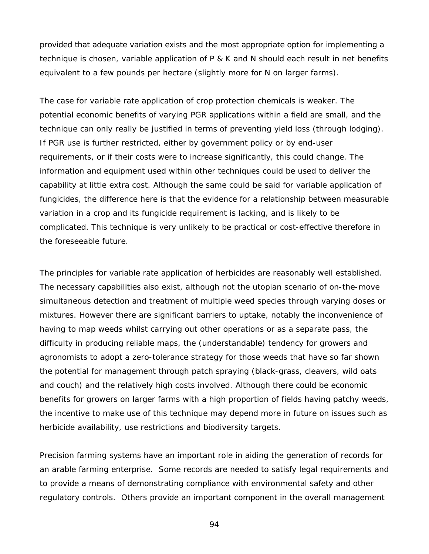provided that adequate variation exists and the most appropriate option for implementing a technique is chosen, variable application of P & K and N should each result in net benefits equivalent to a few pounds per hectare (slightly more for N on larger farms).

The case for variable rate application of crop protection chemicals is weaker. The potential economic benefits of varying PGR applications within a field are small, and the technique can only really be justified in terms of preventing yield loss (through lodging). If PGR use is further restricted, either by government policy or by end-user requirements, or if their costs were to increase significantly, this could change. The information and equipment used within other techniques could be used to deliver the capability at little extra cost. Although the same could be said for variable application of fungicides, the difference here is that the evidence for a relationship between measurable variation in a crop and its fungicide requirement is lacking, and is likely to be complicated. This technique is very unlikely to be practical or cost-effective therefore in the foreseeable future.

The principles for variable rate application of herbicides are reasonably well established. The necessary capabilities also exist, although not the utopian scenario of on-the-move simultaneous detection and treatment of multiple weed species through varying doses or mixtures. However there are significant barriers to uptake, notably the inconvenience of having to map weeds whilst carrying out other operations or as a separate pass, the difficulty in producing reliable maps, the (understandable) tendency for growers and agronomists to adopt a zero-tolerance strategy for those weeds that have so far shown the potential for management through patch spraying (black-grass, cleavers, wild oats and couch) and the relatively high costs involved. Although there could be economic benefits for growers on larger farms with a high proportion of fields having patchy weeds, the incentive to make use of this technique may depend more in future on issues such as herbicide availability, use restrictions and biodiversity targets.

Precision farming systems have an important role in aiding the generation of records for an arable farming enterprise. Some records are needed to satisfy legal requirements and to provide a means of demonstrating compliance with environmental safety and other regulatory controls. Others provide an important component in the overall management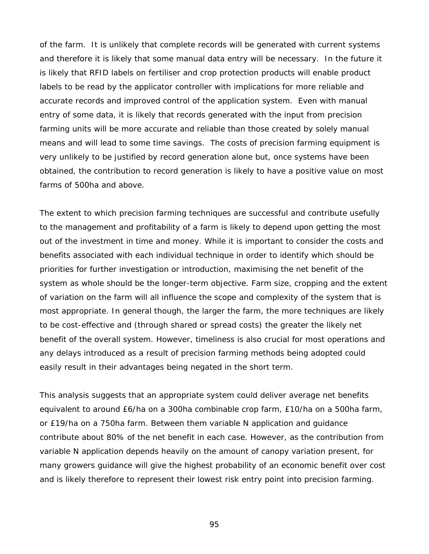of the farm. It is unlikely that complete records will be generated with current systems and therefore it is likely that some manual data entry will be necessary. In the future it is likely that RFID labels on fertiliser and crop protection products will enable product labels to be read by the applicator controller with implications for more reliable and accurate records and improved control of the application system. Even with manual entry of some data, it is likely that records generated with the input from precision farming units will be more accurate and reliable than those created by solely manual means and will lead to some time savings. The costs of precision farming equipment is very unlikely to be justified by record generation alone but, once systems have been obtained, the contribution to record generation is likely to have a positive value on most farms of 500ha and above.

The extent to which precision farming techniques are successful and contribute usefully to the management and profitability of a farm is likely to depend upon getting the most out of the investment in time and money. While it is important to consider the costs and benefits associated with each individual technique in order to identify which should be priorities for further investigation or introduction, maximising the net benefit of the system as whole should be the longer-term objective. Farm size, cropping and the extent of variation on the farm will all influence the scope and complexity of the system that is most appropriate. In general though, the larger the farm, the more techniques are likely to be cost-effective and (through shared or spread costs) the greater the likely net benefit of the overall system. However, timeliness is also crucial for most operations and any delays introduced as a result of precision farming methods being adopted could easily result in their advantages being negated in the short term.

This analysis suggests that an appropriate system could deliver average net benefits equivalent to around £6/ha on a 300ha combinable crop farm, £10/ha on a 500ha farm, or £19/ha on a 750ha farm. Between them variable N application and guidance contribute about 80% of the net benefit in each case. However, as the contribution from variable N application depends heavily on the amount of canopy variation present, for many growers guidance will give the highest probability of an economic benefit over cost and is likely therefore to represent their lowest risk entry point into precision farming.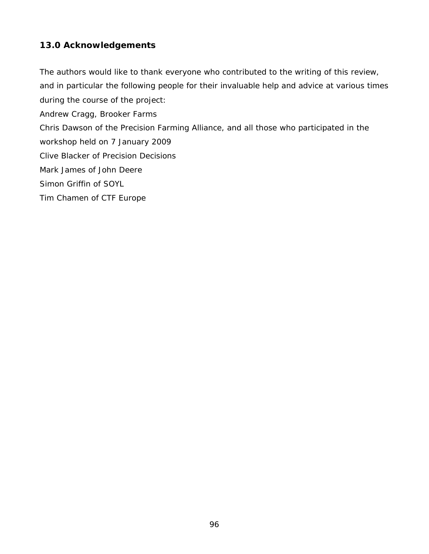# **13.0 Acknowledgements**

The authors would like to thank everyone who contributed to the writing of this review, and in particular the following people for their invaluable help and advice at various times during the course of the project:

Andrew Cragg, Brooker Farms

Chris Dawson of the Precision Farming Alliance, and all those who participated in the

workshop held on 7 January 2009

Clive Blacker of Precision Decisions

Mark James of John Deere

Simon Griffin of SOYL

Tim Chamen of CTF Europe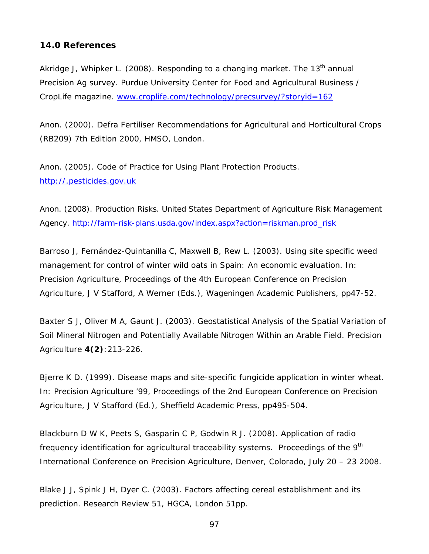# **14.0 References**

Akridge J, Whipker L. (2008). Responding to a changing market. The  $13<sup>th</sup>$  annual Precision Ag survey. Purdue University Center for Food and Agricultural Business / CropLife magazine*.* www.croplife.com/technology/precsurvey/?storyid=162

Anon. (2000). Defra Fertiliser Recommendations for Agricultural and Horticultural Crops (RB209) 7th Edition 2000, HMSO, London.

Anon. (2005). Code of Practice for Using Plant Protection Products. http://.pesticides.gov.uk

Anon. (2008). Production Risks. United States Department of Agriculture Risk Management Agency. http://farm-risk-plans.usda.gov/index.aspx?action=riskman.prod\_risk

Barroso J, Fernández-Quintanilla C, Maxwell B, Rew L. (2003). Using site specific weed management for control of winter wild oats in Spain: An economic evaluation. In: *Precision Agriculture*, *Proceedings of the 4th European Conference on Precision Agriculture*, J V Stafford, A Werner (Eds.), Wageningen Academic Publishers, pp47-52.

Baxter S J, Oliver M A, Gaunt J. (2003). Geostatistical Analysis of the Spatial Variation of Soil Mineral Nitrogen and Potentially Available Nitrogen Within an Arable Field. *Precision Agriculture* **4(2)**:213-226.

Bjerre K D. (1999). Disease maps and site-specific fungicide application in winter wheat. In: *Precision Agriculture '99, Proceedings of the 2nd European Conference on Precision Agriculture*, J V Stafford (Ed.), Sheffield Academic Press, pp495-504.

Blackburn D W K, Peets S, Gasparin C P, Godwin R J. (2008). Application of radio frequency identification for agricultural traceability systems. *Proceedings of the 9th International Conference on Precision Agriculture*, Denver, Colorado, July 20 – 23 2008.

Blake J J, Spink J H, Dyer C. (2003). Factors affecting cereal establishment and its prediction. *Research Review* 51, HGCA, London 51pp.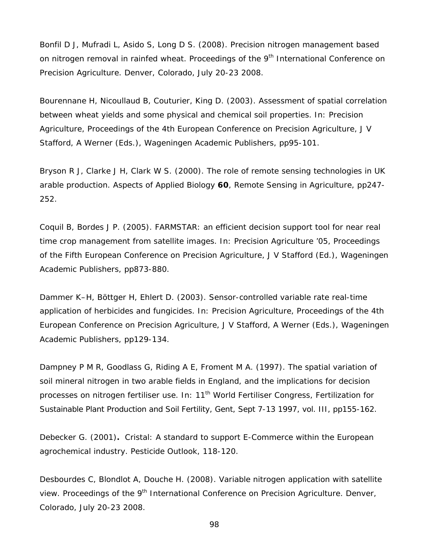Bonfil D J, Mufradi L, Asido S, Long D S. (2008). Precision nitrogen management based on nitrogen removal in rainfed wheat. *Proceedings of the 9th International Conference on Precision Agriculture*. Denver, Colorado, July 20-23 2008.

Bourennane H, Nicoullaud B, Couturier, King D. (2003). Assessment of spatial correlation between wheat yields and some physical and chemical soil properties. In: *Precision Agriculture*, *Proceedings of the 4th European Conference on Precision Agriculture*, J V Stafford, A Werner (Eds.), Wageningen Academic Publishers, pp95-101.

Bryson R J, Clarke J H, Clark W S. (2000). The role of remote sensing technologies in UK arable production. *Aspects of Applied Biology* **60***, Remote Sensing in Agriculture*, pp247- 252.

Coquil B, Bordes J P. (2005). FARMSTAR: an efficient decision support tool for near real time crop management from satellite images. In: *Precision Agriculture '05, Proceedings of the Fifth European Conference on Precision Agriculture*, J V Stafford (Ed.), Wageningen Academic Publishers, pp873-880.

Dammer K–H, Böttger H, Ehlert D. (2003). Sensor-controlled variable rate real-time application of herbicides and fungicides. In: *Precision Agriculture*, *Proceedings of the 4th European Conference on Precision Agriculture*, J V Stafford, A Werner (Eds.), Wageningen Academic Publishers, pp129-134.

Dampney P M R, Goodlass G, Riding A E, Froment M A. (1997). The spatial variation of soil mineral nitrogen in two arable fields in England, and the implications for decision processes on nitrogen fertiliser use. In: *11th World Fertiliser Congress, Fertilization for Sustainable Plant Production and Soil Fertility*, Gent, Sept 7-13 1997, vol. III, pp155-162.

Debecker G. (2001)**.** Cristal: A standard to support E-Commerce within the European agrochemical industry. *Pesticide Outlook*, 118-120.

Desbourdes C, Blondlot A, Douche H. (2008). Variable nitrogen application with satellite view. Proceedings of the 9<sup>th</sup> International Conference on Precision Agriculture. Denver, Colorado, July 20-23 2008.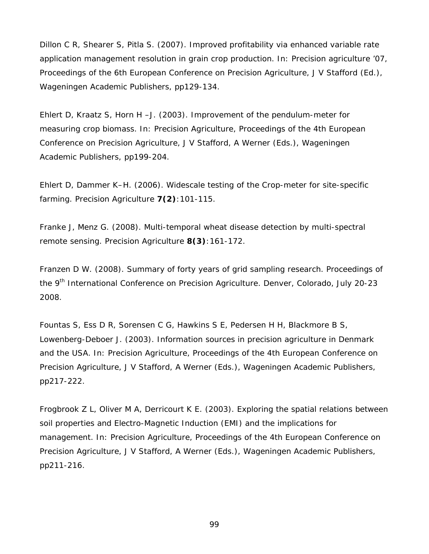Dillon C R, Shearer S, Pitla S. (2007). Improved profitability via enhanced variable rate application management resolution in grain crop production. In: *Precision agriculture '07, Proceedings of the 6th European Conference on Precision Agriculture*, J V Stafford (Ed.), Wageningen Academic Publishers, pp129-134.

Ehlert D, Kraatz S, Horn H –J. (2003). Improvement of the pendulum-meter for measuring crop biomass. In: *Precision Agriculture*, *Proceedings of the 4th European Conference on Precision Agriculture*, J V Stafford, A Werner (Eds.), Wageningen Academic Publishers, pp199-204.

Ehlert D, Dammer K–H. (2006). Widescale testing of the Crop-meter for site-specific farming. *Precision Agriculture* **7(2)**:101-115.

Franke J, Menz G. (2008). Multi-temporal wheat disease detection by multi-spectral remote sensing. *Precision Agriculture* **8(3)**:161-172.

Franzen D W. (2008). Summary of forty years of grid sampling research. *Proceedings of the 9th International Conference on Precision Agriculture*. Denver, Colorado, July 20-23 2008.

Fountas S, Ess D R, Sorensen C G, Hawkins S E, Pedersen H H, Blackmore B S, Lowenberg-Deboer J. (2003). Information sources in precision agriculture in Denmark and the USA. In: *Precision Agriculture*, *Proceedings of the 4th European Conference on Precision Agriculture*, J V Stafford, A Werner (Eds.), Wageningen Academic Publishers, pp217-222.

Frogbrook Z L, Oliver M A, Derricourt K E. (2003). Exploring the spatial relations between soil properties and Electro-Magnetic Induction (EMI) and the implications for management. In: *Precision Agriculture*, *Proceedings of the 4th European Conference on Precision Agriculture*, J V Stafford, A Werner (Eds.), Wageningen Academic Publishers, pp211-216.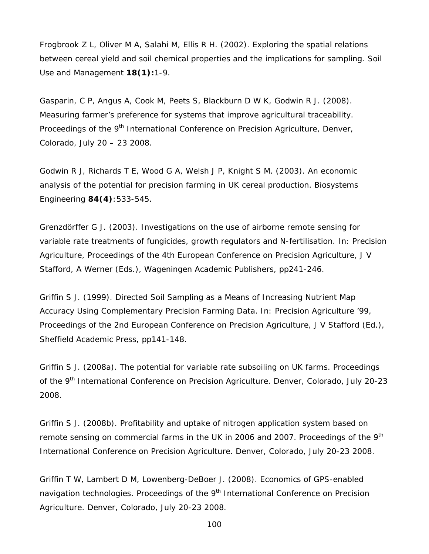Frogbrook Z L, Oliver M A, Salahi M, Ellis R H. (2002). Exploring the spatial relations between cereal yield and soil chemical properties and the implications for sampling. *Soil Use and Management* **18(1):**1-9.

Gasparin, C P, Angus A, Cook M, Peets S, Blackburn D W K, Godwin R J. (2008). Measuring farmer's preference for systems that improve agricultural traceability. *Proceedings of the 9th International Conference on Precision Agriculture*, Denver, Colorado, July 20 – 23 2008.

Godwin R J, Richards T E, Wood G A, Welsh J P, Knight S M. (2003). An economic analysis of the potential for precision farming in UK cereal production. *Biosystems Engineering* **84(4)**:533-545.

Grenzdörffer G J. (2003). Investigations on the use of airborne remote sensing for variable rate treatments of fungicides, growth regulators and N-fertilisation. In: *Precision Agriculture*, *Proceedings of the 4th European Conference on Precision Agriculture*, J V Stafford, A Werner (Eds.), Wageningen Academic Publishers, pp241-246.

Griffin S J. (1999). Directed Soil Sampling as a Means of Increasing Nutrient Map Accuracy Using Complementary Precision Farming Data. In: *Precision Agriculture '99, Proceedings of the 2nd European Conference on Precision Agriculture*, J V Stafford (Ed.), Sheffield Academic Press, pp141-148.

Griffin S J. (2008a). The potential for variable rate subsoiling on UK farms. *Proceedings*  of the 9<sup>th</sup> International Conference on Precision Agriculture. Denver, Colorado, July 20-23 2008.

Griffin S J. (2008b). Profitability and uptake of nitrogen application system based on remote sensing on commercial farms in the UK in 2006 and 2007. *Proceedings of the 9th International Conference on Precision Agriculture*. Denver, Colorado, July 20-23 2008.

Griffin T W, Lambert D M, Lowenberg-DeBoer J. (2008). Economics of GPS-enabled navigation technologies. *Proceedings of the 9th International Conference on Precision Agriculture*. Denver, Colorado, July 20-23 2008.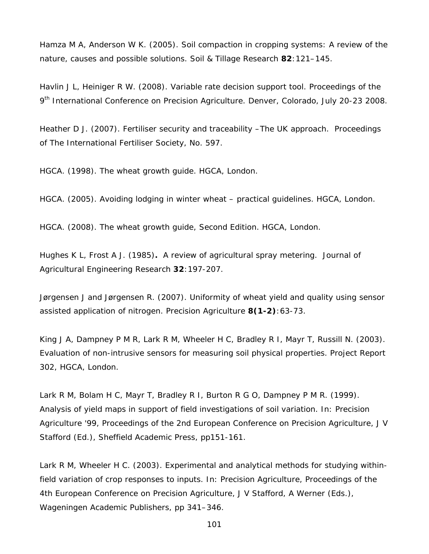Hamza M A, Anderson W K. (2005). Soil compaction in cropping systems: A review of the nature, causes and possible solutions. *Soil & Tillage Research* **82**:121–145.

Havlin J L, Heiniger R W. (2008). Variable rate decision support tool. *Proceedings of the 9th International Conference on Precision Agriculture*. Denver, Colorado, July 20-23 2008.

Heather D J. (2007). Fertiliser security and traceability –The UK approach. Proceedings of The International Fertiliser Society, No. 597.

HGCA. (1998). *The wheat growth guide*. HGCA, London.

HGCA. (2005). *Avoiding lodging in winter wheat – practical guidelines*. HGCA, London.

HGCA. (2008). *The wheat growth guide*, Second Edition. HGCA, London.

Hughes K L, Frost A J. (1985)**.** A review of agricultural spray metering. *Journal of Agricultural Engineering Research* **32**:197-207.

Jørgensen J and Jørgensen R. (2007). Uniformity of wheat yield and quality using sensor assisted application of nitrogen. *Precision Agriculture* **8(1-2)**:63-73.

King J A, Dampney P M R, Lark R M, Wheeler H C, Bradley R I, Mayr T, Russill N*.* (2003). Evaluation of non-intrusive sensors for measuring soil physical properties. *Project Report* 302, HGCA, London.

Lark R M, Bolam H C, Mayr T, Bradley R I, Burton R G O, Dampney P M R. (1999). Analysis of yield maps in support of field investigations of soil variation. In: *Precision Agriculture '99, Proceedings of the 2nd European Conference on* Precision *Agriculture*, J V Stafford (Ed.), Sheffield Academic Press, pp151-161.

Lark R M, Wheeler H C. (2003). Experimental and analytical methods for studying withinfield variation of crop responses to inputs. In: *Precision Agriculture*, *Proceedings of the 4th European Conference on Precision Agriculture*, J V Stafford, A Werner (Eds.), Wageningen Academic Publishers, pp 341–346.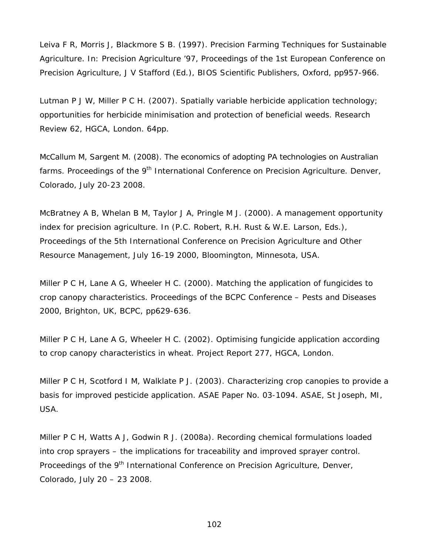Leiva F R, Morris J, Blackmore S B. (1997). Precision Farming Techniques for Sustainable Agriculture. In: *Precision Agriculture '97, Proceedings of the 1st European Conference on Precision Agriculture*, J V Stafford (Ed.), BIOS Scientific Publishers, Oxford, pp957-966.

Lutman P J W, Miller P C H. (2007). Spatially variable herbicide application technology; opportunities for herbicide minimisation and protection of beneficial weeds. *Research Review* 62, HGCA, London. 64pp.

McCallum M, Sargent M. (2008). The economics of adopting PA technologies on Australian farms. *Proceedings of the 9<sup>th</sup> International Conference on Precision Agriculture*. Denver, Colorado, July 20-23 2008.

McBratney A B, Whelan B M, Taylor J A, Pringle M J. (2000). A management opportunity index for precision agriculture. In (P.C. Robert, R.H. Rust & W.E. Larson, Eds.), *Proceedings of the 5th International Conference on Precision Agriculture and Other Resource Management*, July 16-19 2000, Bloomington, Minnesota, USA.

Miller P C H, Lane A G, Wheeler H C. (2000). Matching the application of fungicides to crop canopy characteristics. *Proceedings of the BCPC Conference – Pests and Diseases 2000*, Brighton, UK, BCPC, pp629-636.

Miller P C H, Lane A G, Wheeler H C. (2002). Optimising fungicide application according to crop canopy characteristics in wheat. *Project Report* 277, HGCA, London.

Miller P C H, Scotford I M, Walklate P J. (2003). Characterizing crop canopies to provide a basis for improved pesticide application. ASAE Paper No. 03-1094. ASAE, St Joseph, MI, USA.

Miller P C H, Watts A J, Godwin R J. (2008a). Recording chemical formulations loaded into crop sprayers – the implications for traceability and improved sprayer control. *Proceedings of the 9<sup>th</sup> International Conference on Precision Agriculture*, Denver, Colorado, July 20 – 23 2008.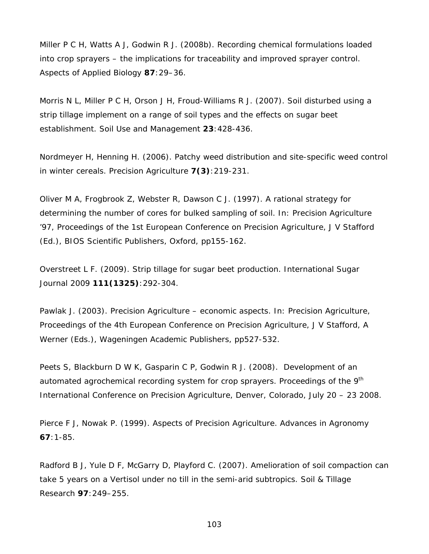Miller P C H, Watts A J, Godwin R J. (2008b). Recording chemical formulations loaded into crop sprayers – the implications for traceability and improved sprayer control. *Aspects of Applied Biology* **87**:29–36.

Morris N L, Miller P C H, Orson J H, Froud-Williams R J. (2007). Soil disturbed using a strip tillage implement on a range of soil types and the effects on sugar beet establishment. *Soil Use and Management* **23**:428-436.

Nordmeyer H, Henning H. (2006). Patchy weed distribution and site-specific weed control in winter cereals. *Precision Agriculture* **7(3)**:219-231.

Oliver M A, Frogbrook Z, Webster R, Dawson C J. (1997). A rational strategy for determining the number of cores for bulked sampling of soil. In: *Precision Agriculture '97, Proceedings of the 1st European Conference on Precision Agriculture*, J V Stafford (Ed.), BIOS Scientific Publishers, Oxford, pp155-162.

Overstreet L F. (2009). Strip tillage for sugar beet production. International Sugar Journal 2009 **111(1325)**:292-304.

Pawlak J. (2003). Precision Agriculture – economic aspects. In: *Precision Agriculture*, *Proceedings of the 4th European Conference on Precision Agriculture*, J V Stafford, A Werner (Eds.), Wageningen Academic Publishers, pp527-532.

Peets S, Blackburn D W K, Gasparin C P, Godwin R J. (2008). Development of an automated agrochemical recording system for crop sprayers. *Proceedings of the 9th International Conference on Precision Agriculture*, Denver, Colorado, July 20 – 23 2008.

Pierce F J, Nowak P. (1999). Aspects of Precision Agriculture. *Advances in Agronomy* **67**:1-85.

Radford B J, Yule D F, McGarry D, Playford C. (2007). Amelioration of soil compaction can take 5 years on a Vertisol under no till in the semi-arid subtropics. *Soil & Tillage Research* **97**:249–255.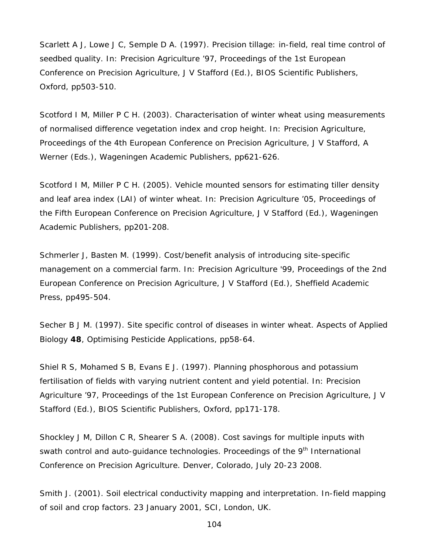Scarlett A J, Lowe J C, Semple D A. (1997). Precision tillage: in-field, real time control of seedbed quality. In: *Precision Agriculture '97, Proceedings of the 1st European Conference on Precision Agriculture*, J V Stafford (Ed.), BIOS Scientific Publishers, Oxford, pp503-510.

Scotford I M, Miller P C H. (2003). Characterisation of winter wheat using measurements of normalised difference vegetation index and crop height. In: *Precision Agriculture*, *Proceedings of the 4th European Conference on Precision Agriculture*, J V Stafford, A Werner (Eds.), Wageningen Academic Publishers, pp621-626.

Scotford I M, Miller P C H. (2005). Vehicle mounted sensors for estimating tiller density and leaf area index (LAI) of winter wheat. In: *Precision Agriculture '05, Proceedings of the Fifth European Conference on Precision Agriculture*, J V Stafford (Ed.), Wageningen Academic Publishers, pp201-208.

Schmerler J, Basten M. (1999). Cost/benefit analysis of introducing site-specific management on a commercial farm. In: *Precision Agriculture '99, Proceedings of the 2nd European Conference on* Precision *Agriculture*, J V Stafford (Ed.), Sheffield Academic Press, pp495-504.

Secher B J M. (1997). Site specific control of diseases in winter wheat. *Aspects of Applied Biology* **48**, Optimising Pesticide Applications, pp58-64.

Shiel R S, Mohamed S B, Evans E J. (1997). Planning phosphorous and potassium fertilisation of fields with varying nutrient content and yield potential. In: *Precision Agriculture '97, Proceedings of the 1st European Conference on Precision Agriculture*, J V Stafford (Ed.), BIOS Scientific Publishers, Oxford, pp171-178.

Shockley J M, Dillon C R, Shearer S A. (2008). Cost savings for multiple inputs with swath control and auto-guidance technologies. *Proceedings of the 9th International Conference on Precision Agriculture*. Denver, Colorado, July 20-23 2008.

Smith J. (2001). Soil electrical conductivity mapping and interpretation. In-field mapping of soil and crop factors. 23 January 2001, SCI, London, UK.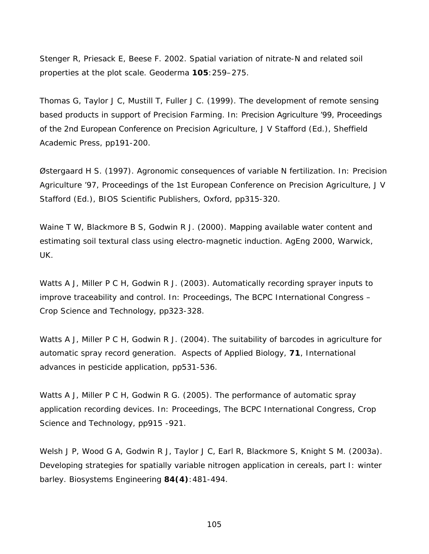Stenger R, Priesack E, Beese F. 2002. Spatial variation of nitrate-N and related soil properties at the plot scale. *Geoderma* **105**:259–275.

Thomas G, Taylor J C, Mustill T, Fuller J C. (1999). The development of remote sensing based products in support of Precision Farming. In: *Precision Agriculture '99, Proceedings of the 2nd European Conference on Precision Agriculture*, J V Stafford (Ed.), Sheffield Academic Press, pp191-200.

Østergaard H S. (1997). Agronomic consequences of variable N fertilization. In: *Precision Agriculture '97, Proceedings of the 1st European Conference on Precision Agriculture*, J V Stafford (Ed.), BIOS Scientific Publishers, Oxford, pp315-320.

Waine T W, Blackmore B S, Godwin R J. (2000). Mapping available water content and estimating soil textural class using electro-magnetic induction. *AgEng 2000*, Warwick, UK.

Watts A J, Miller P C H, Godwin R J. (2003). Automatically recording sprayer inputs to improve traceability and control. In: *Proceedings, The BCPC International Congress – Crop Science and Technology*, pp323-328.

Watts A J, Miller P C H, Godwin R J. (2004). The suitability of barcodes in agriculture for automatic spray record generation. *Aspects of Applied Biology*, **71**, International advances in pesticide application, pp531-536.

Watts A J, Miller P C H, Godwin R G. (2005). The performance of automatic spray application recording devices. In: *Proceedings, The BCPC International Congress, Crop Science and Technology*, pp915 -921.

Welsh J P, Wood G A, Godwin R J, Taylor J C, Earl R, Blackmore S, Knight S M. (2003a). Developing strategies for spatially variable nitrogen application in cereals, part I: winter barley. *Biosystems Engineering* **84(4)**:481-494.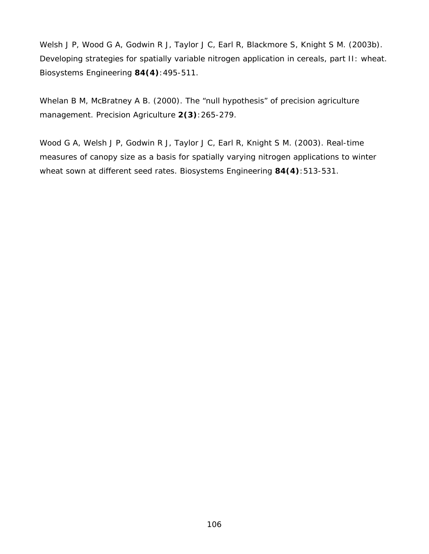Welsh J P, Wood G A, Godwin R J, Taylor J C, Earl R, Blackmore S, Knight S M. (2003b). Developing strategies for spatially variable nitrogen application in cereals, part II: wheat. *Biosystems Engineering* **84(4)**:495-511.

Whelan B M, McBratney A B. (2000). The "null hypothesis" of precision agriculture management. *Precision Agriculture* **2(3)**:265-279.

Wood G A, Welsh J P, Godwin R J, Taylor J C, Earl R, Knight S M. (2003). Real-time measures of canopy size as a basis for spatially varying nitrogen applications to winter wheat sown at different seed rates. *Biosystems Engineering* **84(4)**:513-531.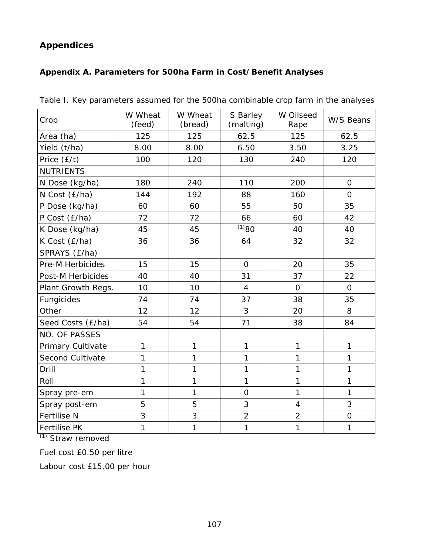# **Appendices**

## **Appendix A. Parameters for 500ha Farm in Cost/Benefit Analyses**

| Crop                    | W Wheat<br>(feed) | W Wheat<br>(bread) | S Barley<br>(malting) | W Oilseed<br>Rape | W/S Beans      |
|-------------------------|-------------------|--------------------|-----------------------|-------------------|----------------|
| Area (ha)               | 125               | 125                | 62.5                  | 125               | 62.5           |
| Yield (t/ha)            | 8.00              | 8.00               | 6.50                  | 3.50              | 3.25           |
| Price (£/t)             | 100               | 120                | 130                   | 240               | 120            |
| <b>NUTRIENTS</b>        |                   |                    |                       |                   |                |
| N Dose (kg/ha)          | 180               | 240                | 110                   | 200               | $\Omega$       |
| N Cost (£/ha)           | 144               | 192                | 88                    | 160               | $\overline{O}$ |
| P Dose (kg/ha)          | 60                | 60                 | 55                    | 50                | 35             |
| P Cost (£/ha)           | 72                | 72                 | 66                    | 60                | 42             |
| K Dose (kg/ha)          | 45                | 45                 | $^{(1)}80$            | 40                | 40             |
| K Cost (£/ha)           | 36                | 36                 | 64                    | 32                | 32             |
| SPRAYS (£/ha)           |                   |                    |                       |                   |                |
| Pre-M Herbicides        | 15                | 15                 | $\mathbf{O}$          | 20                | 35             |
| Post-M Herbicides       | 40                | 40                 | 31                    | 37                | 22             |
| Plant Growth Regs.      | 10                | 10                 | $\overline{4}$        | $\overline{O}$    | $\Omega$       |
| Fungicides              | 74                | 74                 | 37                    | 38                | 35             |
| Other                   | 12                | 12                 | 3                     | 20                | 8              |
| Seed Costs (£/ha)       | 54                | 54                 | 71                    | 38                | 84             |
| <b>NO. OF PASSES</b>    |                   |                    |                       |                   |                |
| Primary Cultivate       | $\mathbf{1}$      | $\mathbf{1}$       | 1                     | $\mathbf{1}$      | $\mathbf{1}$   |
| <b>Second Cultivate</b> | 1                 | 1                  | $\mathbf{1}$          | 1                 | $\mathbf{1}$   |
| Drill                   | 1                 | 1                  | 1                     | 1                 | $\mathbf{1}$   |
| Roll                    | 1                 | 1                  | 1                     | 1                 | $\mathbf{1}$   |
| Spray pre-em            | 1                 | 1                  | $\overline{O}$        | 1                 | $\mathbf{1}$   |
| Spray post-em           | 5                 | 5                  | 3                     | $\overline{4}$    | 3              |
| <b>Fertilise N</b>      | 3                 | 3                  | $\overline{2}$        | $\overline{2}$    | $\overline{O}$ |
| <b>Fertilise PK</b>     | 1                 | 1                  | $\mathbf{1}$          | 1                 | $\mathbf{1}$   |

Table I. Key parameters assumed for the 500ha combinable crop farm in the analyses

(1) Straw removed

Fuel cost £0.50 per litre

Labour cost £15.00 per hour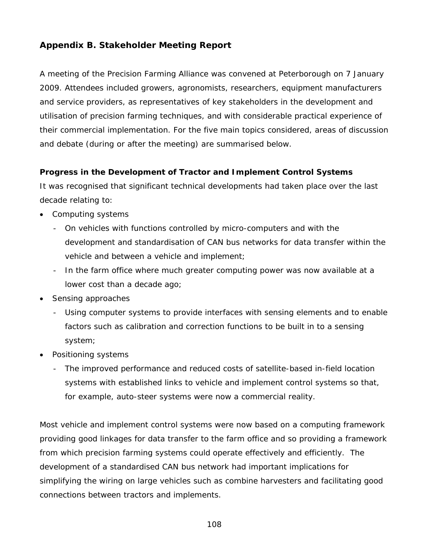## **Appendix B. Stakeholder Meeting Report**

A meeting of the Precision Farming Alliance was convened at Peterborough on 7 January 2009. Attendees included growers, agronomists, researchers, equipment manufacturers and service providers, as representatives of key stakeholders in the development and utilisation of precision farming techniques, and with considerable practical experience of their commercial implementation. For the five main topics considered, areas of discussion and debate (during or after the meeting) are summarised below.

## **Progress in the Development of Tractor and Implement Control Systems**

It was recognised that significant technical developments had taken place over the last decade relating to:

- Computing systems
	- On vehicles with functions controlled by micro-computers and with the development and standardisation of CAN bus networks for data transfer within the vehicle and between a vehicle and implement;
	- In the farm office where much greater computing power was now available at a lower cost than a decade ago;
- Sensing approaches
	- Using computer systems to provide interfaces with sensing elements and to enable factors such as calibration and correction functions to be built in to a sensing system;
- Positioning systems
	- The improved performance and reduced costs of satellite-based in-field location systems with established links to vehicle and implement control systems so that, for example, auto-steer systems were now a commercial reality.

Most vehicle and implement control systems were now based on a computing framework providing good linkages for data transfer to the farm office and so providing a framework from which precision farming systems could operate effectively and efficiently. The development of a standardised CAN bus network had important implications for simplifying the wiring on large vehicles such as combine harvesters and facilitating good connections between tractors and implements.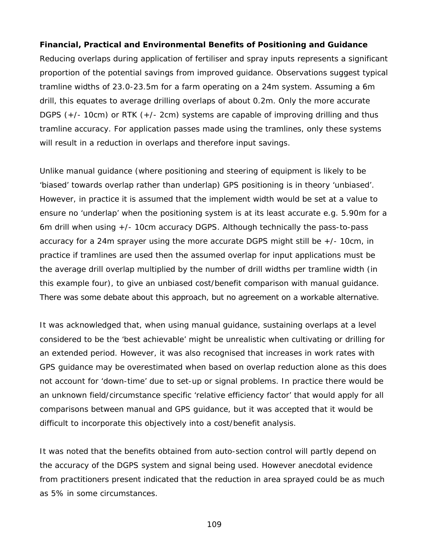## **Financial, Practical and Environmental Benefits of Positioning and Guidance**

Reducing overlaps during application of fertiliser and spray inputs represents a significant proportion of the potential savings from improved guidance. Observations suggest typical tramline widths of 23.0-23.5m for a farm operating on a 24m system. Assuming a 6m drill, this equates to average drilling overlaps of about 0.2m. Only the more accurate DGPS (+/- 10cm) or RTK (+/- 2cm) systems are capable of improving drilling and thus tramline accuracy. For application passes made using the tramlines, only these systems will result in a reduction in overlaps and therefore input savings.

Unlike manual guidance (where positioning and steering of equipment is likely to be 'biased' towards overlap rather than underlap) GPS positioning is in theory 'unbiased'. However, in practice it is assumed that the implement width would be set at a value to ensure no 'underlap' when the positioning system is at its least accurate *e.g.* 5.90m for a 6m drill when using +/- 10cm accuracy DGPS. Although technically the pass-to-pass accuracy for a 24m sprayer using the more accurate DGPS might still be +/- 10cm, in practice if tramlines are used then the assumed overlap for input applications must be the average drill overlap multiplied by the number of drill widths per tramline width (in this example four), to give an unbiased cost/benefit comparison with manual guidance. There was some debate about this approach, but no agreement on a workable alternative.

It was acknowledged that, when using manual guidance, sustaining overlaps at a level considered to be the 'best achievable' might be unrealistic when cultivating or drilling for an extended period. However, it was also recognised that increases in work rates with GPS guidance may be overestimated when based on overlap reduction alone as this does not account for 'down-time' due to set-up or signal problems. In practice there would be an unknown field/circumstance specific 'relative efficiency factor' that would apply for all comparisons between manual and GPS guidance, but it was accepted that it would be difficult to incorporate this objectively into a cost/benefit analysis.

It was noted that the benefits obtained from auto-section control will partly depend on the accuracy of the DGPS system and signal being used. However anecdotal evidence from practitioners present indicated that the reduction in area sprayed could be as much as 5% in some circumstances.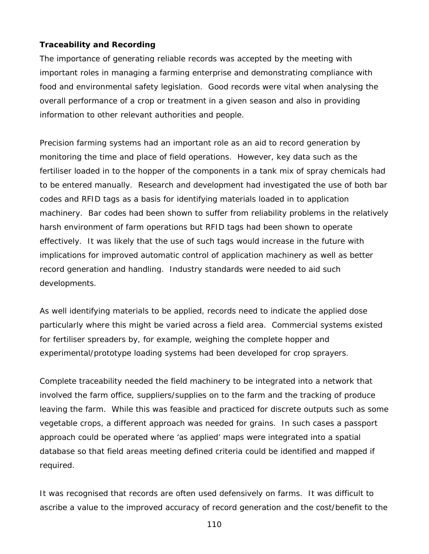## **Traceability and Recording**

The importance of generating reliable records was accepted by the meeting with important roles in managing a farming enterprise and demonstrating compliance with food and environmental safety legislation. Good records were vital when analysing the overall performance of a crop or treatment in a given season and also in providing information to other relevant authorities and people.

Precision farming systems had an important role as an aid to record generation by monitoring the time and place of field operations. However, key data such as the fertiliser loaded in to the hopper of the components in a tank mix of spray chemicals had to be entered manually. Research and development had investigated the use of both bar codes and RFID tags as a basis for identifying materials loaded in to application machinery. Bar codes had been shown to suffer from reliability problems in the relatively harsh environment of farm operations but RFID tags had been shown to operate effectively. It was likely that the use of such tags would increase in the future with implications for improved automatic control of application machinery as well as better record generation and handling. Industry standards were needed to aid such developments.

As well identifying materials to be applied, records need to indicate the applied dose particularly where this might be varied across a field area. Commercial systems existed for fertiliser spreaders by, for example, weighing the complete hopper and experimental/prototype loading systems had been developed for crop sprayers.

Complete traceability needed the field machinery to be integrated into a network that involved the farm office, suppliers/supplies on to the farm and the tracking of produce leaving the farm. While this was feasible and practiced for discrete outputs such as some vegetable crops, a different approach was needed for grains. In such cases a passport approach could be operated where 'as applied' maps were integrated into a spatial database so that field areas meeting defined criteria could be identified and mapped if required.

It was recognised that records are often used defensively on farms. It was difficult to ascribe a value to the improved accuracy of record generation and the cost/benefit to the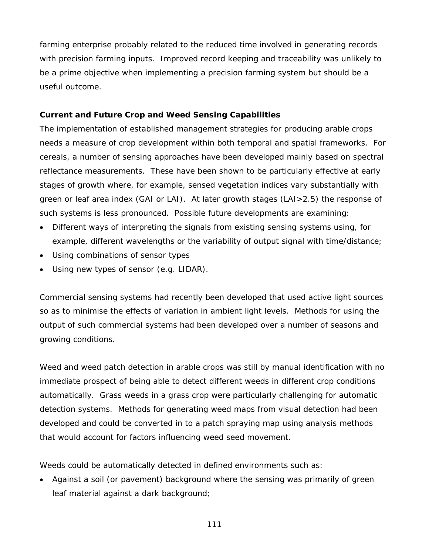farming enterprise probably related to the reduced time involved in generating records with precision farming inputs. Improved record keeping and traceability was unlikely to be a prime objective when implementing a precision farming system but should be a useful outcome.

## **Current and Future Crop and Weed Sensing Capabilities**

The implementation of established management strategies for producing arable crops needs a measure of crop development within both temporal and spatial frameworks. For cereals, a number of sensing approaches have been developed mainly based on spectral reflectance measurements. These have been shown to be particularly effective at early stages of growth where, for example, sensed vegetation indices vary substantially with green or leaf area index (GAI or LAI). At later growth stages (LAI>2.5) the response of such systems is less pronounced. Possible future developments are examining:

- Different ways of interpreting the signals from existing sensing systems using, for example, different wavelengths or the variability of output signal with time/distance;
- Using combinations of sensor types
- Using new types of sensor (e.g. LIDAR).

Commercial sensing systems had recently been developed that used active light sources so as to minimise the effects of variation in ambient light levels. Methods for using the output of such commercial systems had been developed over a number of seasons and growing conditions.

Weed and weed patch detection in arable crops was still by manual identification with no immediate prospect of being able to detect different weeds in different crop conditions automatically. Grass weeds in a grass crop were particularly challenging for automatic detection systems. Methods for generating weed maps from visual detection had been developed and could be converted in to a patch spraying map using analysis methods that would account for factors influencing weed seed movement.

Weeds could be automatically detected in defined environments such as:

• Against a soil (or pavement) background where the sensing was primarily of green leaf material against a dark background;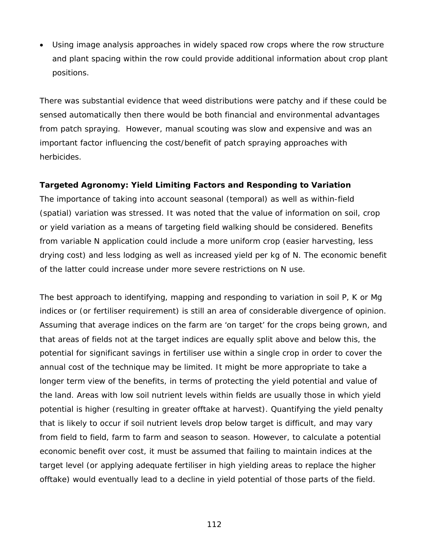• Using image analysis approaches in widely spaced row crops where the row structure and plant spacing within the row could provide additional information about crop plant positions.

There was substantial evidence that weed distributions were patchy and if these could be sensed automatically then there would be both financial and environmental advantages from patch spraying. However, manual scouting was slow and expensive and was an important factor influencing the cost/benefit of patch spraying approaches with herbicides.

## **Targeted Agronomy: Yield Limiting Factors and Responding to Variation**

The importance of taking into account seasonal (temporal) as well as within-field (spatial) variation was stressed. It was noted that the value of information on soil, crop or yield variation as a means of targeting field walking should be considered. Benefits from variable N application could include a more uniform crop (easier harvesting, less drying cost) and less lodging as well as increased yield per kg of N. The economic benefit of the latter could increase under more severe restrictions on N use.

The best approach to identifying, mapping and responding to variation in soil P, K or Mg indices or (or fertiliser requirement) is still an area of considerable divergence of opinion. Assuming that average indices on the farm are 'on target' for the crops being grown, and that areas of fields not at the target indices are equally split above and below this, the potential for significant savings in fertiliser use within a single crop in order to cover the annual cost of the technique may be limited. It might be more appropriate to take a longer term view of the benefits, in terms of protecting the yield potential and value of the land. Areas with low soil nutrient levels within fields are usually those in which yield potential is higher (resulting in greater offtake at harvest). Quantifying the yield penalty that is likely to occur if soil nutrient levels drop below target is difficult, and may vary from field to field, farm to farm and season to season. However, to calculate a potential economic benefit over cost, it must be assumed that failing to maintain indices at the target level (or applying adequate fertiliser in high yielding areas to replace the higher offtake) would eventually lead to a decline in yield potential of those parts of the field.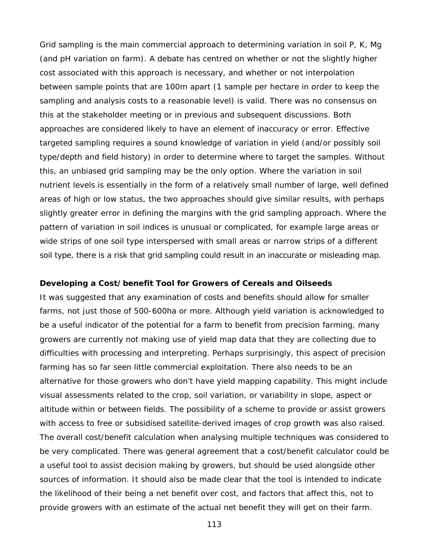Grid sampling is the main commercial approach to determining variation in soil P, K, Mg (and pH variation on farm). A debate has centred on whether or not the slightly higher cost associated with this approach is necessary, and whether or not interpolation between sample points that are 100m apart (1 sample per hectare in order to keep the sampling and analysis costs to a reasonable level) is valid. There was no consensus on this at the stakeholder meeting or in previous and subsequent discussions. Both approaches are considered likely to have an element of inaccuracy or error. Effective targeted sampling requires a sound knowledge of variation in yield (and/or possibly soil type/depth and field history) in order to determine where to target the samples. Without this, an unbiased grid sampling may be the only option. Where the variation in soil nutrient levels is essentially in the form of a relatively small number of large, well defined areas of high or low status, the two approaches should give similar results, with perhaps slightly greater error in defining the margins with the grid sampling approach. Where the pattern of variation in soil indices is unusual or complicated, for example large areas or wide strips of one soil type interspersed with small areas or narrow strips of a different soil type, there is a risk that grid sampling could result in an inaccurate or misleading map.

#### **Developing a Cost/benefit Tool for Growers of Cereals and Oilseeds**

It was suggested that any examination of costs and benefits should allow for smaller farms, not just those of 500-600ha or more. Although yield variation is acknowledged to be a useful indicator of the potential for a farm to benefit from precision farming, many growers are currently not making use of yield map data that they are collecting due to difficulties with processing and interpreting. Perhaps surprisingly, this aspect of precision farming has so far seen little commercial exploitation. There also needs to be an alternative for those growers who don't have yield mapping capability. This might include visual assessments related to the crop, soil variation, or variability in slope, aspect or altitude within or between fields. The possibility of a scheme to provide or assist growers with access to free or subsidised satellite-derived images of crop growth was also raised. The overall cost/benefit calculation when analysing multiple techniques was considered to be very complicated. There was general agreement that a cost/benefit calculator could be a useful tool to assist decision making by growers, but should be used alongside other sources of information. It should also be made clear that the tool is intended to indicate the likelihood of their being a net benefit over cost, and factors that affect this, not to provide growers with an estimate of the actual net benefit they will get on their farm.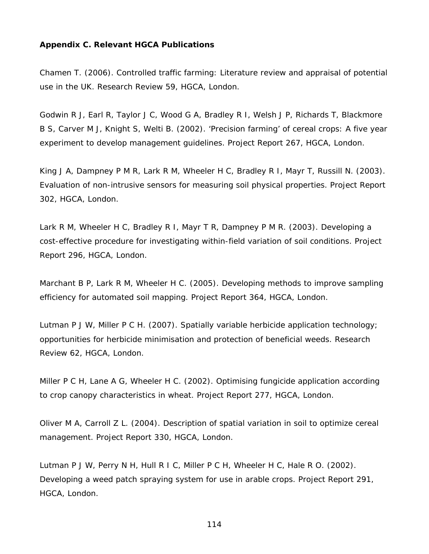## **Appendix C. Relevant HGCA Publications**

Chamen T. (2006). Controlled traffic farming: Literature review and appraisal of potential use in the UK. *Research Review* 59, HGCA, London.

Godwin R J, Earl R, Taylor J C, Wood G A, Bradley R I, Welsh J P, Richards T, Blackmore B S, Carver M J, Knight S, Welti B. (2002). 'Precision farming' of cereal crops: A five year experiment to develop management guidelines. *Project Report* 267, HGCA, London.

King J A, Dampney P M R, Lark R M, Wheeler H C, Bradley R I, Mayr T, Russill N*.* (2003). Evaluation of non-intrusive sensors for measuring soil physical properties. *Project Report* 302, HGCA, London.

Lark R M, Wheeler H C, Bradley R I, Mayr T R, Dampney P M R. (2003). Developing a cost-effective procedure for investigating within-field variation of soil conditions. *Project Report* 296, HGCA, London.

Marchant B P, Lark R M, Wheeler H C. (2005). Developing methods to improve sampling efficiency for automated soil mapping. *Project Report* 364, HGCA, London.

Lutman P J W, Miller P C H. (2007). Spatially variable herbicide application technology; opportunities for herbicide minimisation and protection of beneficial weeds. *Research Review* 62, HGCA, London.

Miller P C H, Lane A G, Wheeler H C. (2002). Optimising fungicide application according to crop canopy characteristics in wheat. *Project Report* 277, HGCA, London.

Oliver M A, Carroll Z L. (2004). Description of spatial variation in soil to optimize cereal management. *Project Report* 330, HGCA, London.

Lutman P J W, Perry N H, Hull R I C, Miller P C H, Wheeler H C, Hale R O. (2002). Developing a weed patch spraying system for use in arable crops. *Project Report* 291, HGCA, London.